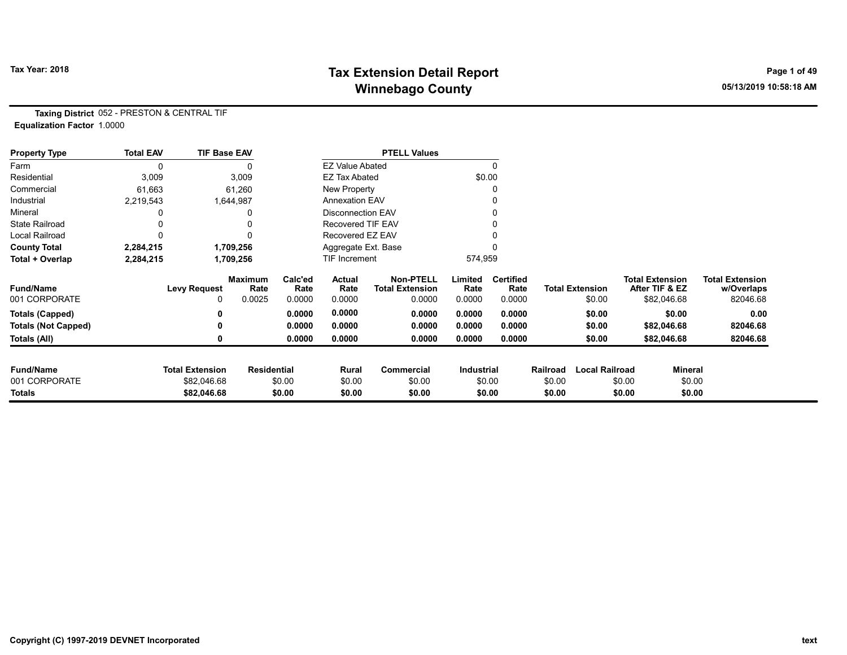# Tax Year: 2018 **Tax Extension Detail Report** Tax Year: 2018 **Page 1 of 49** Winnebago County **Winnebago County COUNTY** 2010 10:58:18 AM

Taxing District 052 - PRESTON & CENTRAL TIF Equalization Factor 1.0000

| <b>Property Type</b>       | <b>Total EAV</b> | <b>TIF Base EAV</b>    |                        |                 |                          | <b>PTELL Values</b>                        |                 |                          |          |                        |                                          |                |                                      |
|----------------------------|------------------|------------------------|------------------------|-----------------|--------------------------|--------------------------------------------|-----------------|--------------------------|----------|------------------------|------------------------------------------|----------------|--------------------------------------|
| Farm                       | 0                |                        | 0                      |                 | <b>EZ Value Abated</b>   |                                            |                 | $\mathbf{0}$             |          |                        |                                          |                |                                      |
| Residential                | 3,009            |                        | 3,009                  |                 | <b>EZ Tax Abated</b>     |                                            |                 | \$0.00                   |          |                        |                                          |                |                                      |
| Commercial                 | 61,663           |                        | 61,260                 |                 | New Property             |                                            |                 | 0                        |          |                        |                                          |                |                                      |
| Industrial                 | 2,219,543        |                        | 1,644,987              |                 | <b>Annexation EAV</b>    |                                            |                 | 0                        |          |                        |                                          |                |                                      |
| Mineral                    |                  |                        | 0                      |                 | <b>Disconnection EAV</b> |                                            |                 | 0                        |          |                        |                                          |                |                                      |
| <b>State Railroad</b>      |                  |                        |                        |                 | Recovered TIF EAV        |                                            |                 |                          |          |                        |                                          |                |                                      |
| <b>Local Railroad</b>      |                  |                        | 0                      |                 | Recovered EZ EAV         |                                            |                 |                          |          |                        |                                          |                |                                      |
| <b>County Total</b>        | 2,284,215        |                        | 1,709,256              |                 | Aggregate Ext. Base      |                                            |                 |                          |          |                        |                                          |                |                                      |
| Total + Overlap            | 2,284,215        |                        | 1,709,256              |                 | <b>TIF Increment</b>     |                                            | 574,959         |                          |          |                        |                                          |                |                                      |
| <b>Fund/Name</b>           |                  | <b>Levy Request</b>    | <b>Maximum</b><br>Rate | Calc'ed<br>Rate | Actual<br>Rate           | <b>Non-PTELL</b><br><b>Total Extension</b> | Limited<br>Rate | <b>Certified</b><br>Rate |          | <b>Total Extension</b> | <b>Total Extension</b><br>After TIF & EZ |                | <b>Total Extension</b><br>w/Overlaps |
| 001 CORPORATE              |                  | 0                      | 0.0025                 | 0.0000          | 0.0000                   | 0.0000                                     | 0.0000          | 0.0000                   |          | \$0.00                 |                                          | \$82,046.68    | 82046.68                             |
| <b>Totals (Capped)</b>     |                  |                        |                        | 0.0000          | 0.0000                   | 0.0000                                     | 0.0000          | 0.0000                   |          | \$0.00                 |                                          | \$0.00         | 0.00                                 |
| <b>Totals (Not Capped)</b> |                  |                        |                        | 0.0000          | 0.0000                   | 0.0000                                     | 0.0000          | 0.0000                   |          | \$0.00                 |                                          | \$82,046.68    | 82046.68                             |
| Totals (All)               |                  |                        |                        | 0.0000          | 0.0000                   | 0.0000                                     | 0.0000          | 0.0000                   |          | \$0.00                 |                                          | \$82,046.68    | 82046.68                             |
| <b>Fund/Name</b>           |                  | <b>Total Extension</b> | <b>Residential</b>     |                 | Rural                    | <b>Commercial</b>                          | Industrial      |                          | Railroad | <b>Local Railroad</b>  |                                          | <b>Mineral</b> |                                      |
| 001 CORPORATE              |                  | \$82,046.68            |                        | \$0.00          | \$0.00                   | \$0.00                                     |                 | \$0.00                   | \$0.00   |                        | \$0.00                                   | \$0.00         |                                      |
| Totals                     |                  | \$82,046.68            |                        | \$0.00          | \$0.00                   | \$0.00                                     |                 | \$0.00                   | \$0.00   |                        | \$0.00                                   | \$0.00         |                                      |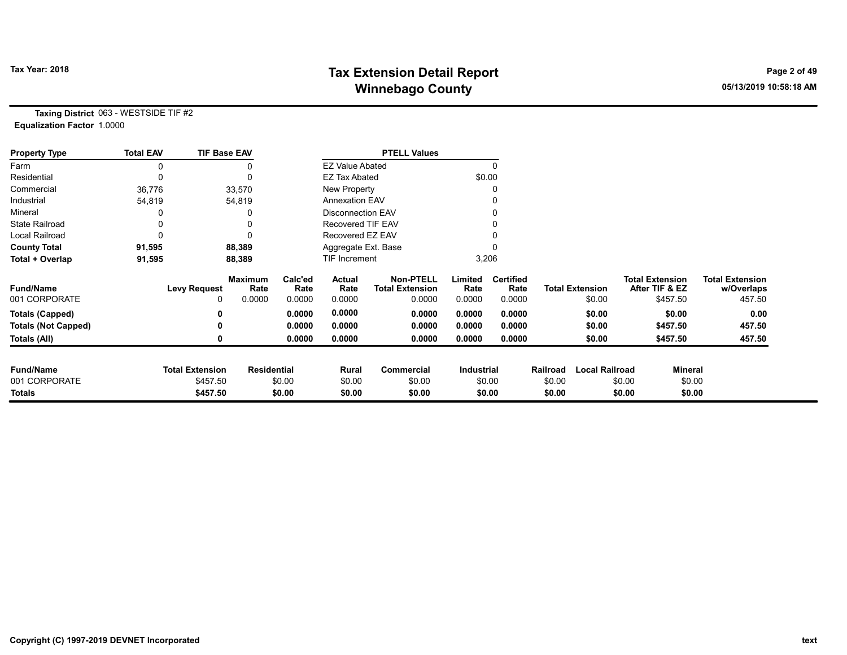# Tax Year: 2018 **Tax Extension Detail Report** Tax Year: 2018 **Page 2 of 49** Winnebago County **Winnebago County COUNTY** 2010 10:58:18 AM

Taxing District 063 - WESTSIDE TIF #2 Equalization Factor 1.0000

| <b>Property Type</b>       | <b>Total EAV</b> | <b>TIF Base EAV</b>    |                        |                 |                          | <b>PTELL Values</b>                        |                 |                          |          |                        |                                          |                                      |
|----------------------------|------------------|------------------------|------------------------|-----------------|--------------------------|--------------------------------------------|-----------------|--------------------------|----------|------------------------|------------------------------------------|--------------------------------------|
| Farm                       | 0                |                        |                        |                 | <b>EZ Value Abated</b>   |                                            |                 |                          |          |                        |                                          |                                      |
| Residential                | 0                |                        |                        |                 | <b>EZ Tax Abated</b>     |                                            | \$0.00          |                          |          |                        |                                          |                                      |
| Commercial                 | 36,776           |                        | 33,570                 |                 | New Property             |                                            |                 |                          |          |                        |                                          |                                      |
| Industrial                 | 54,819           |                        | 54,819                 |                 | <b>Annexation EAV</b>    |                                            |                 |                          |          |                        |                                          |                                      |
| Mineral                    |                  |                        |                        |                 | <b>Disconnection EAV</b> |                                            |                 |                          |          |                        |                                          |                                      |
| <b>State Railroad</b>      | 0                |                        |                        |                 | <b>Recovered TIF EAV</b> |                                            |                 |                          |          |                        |                                          |                                      |
| Local Railroad             | 0                |                        |                        |                 | Recovered EZ EAV         |                                            |                 |                          |          |                        |                                          |                                      |
| <b>County Total</b>        | 91,595           |                        | 88,389                 |                 | Aggregate Ext. Base      |                                            |                 |                          |          |                        |                                          |                                      |
| Total + Overlap            | 91,595           |                        | 88,389                 |                 | TIF Increment            |                                            |                 | 3,206                    |          |                        |                                          |                                      |
| <b>Fund/Name</b>           |                  | <b>Levy Request</b>    | <b>Maximum</b><br>Rate | Calc'ed<br>Rate | Actual<br>Rate           | <b>Non-PTELL</b><br><b>Total Extension</b> | Limited<br>Rate | <b>Certified</b><br>Rate |          | <b>Total Extension</b> | <b>Total Extension</b><br>After TIF & EZ | <b>Total Extension</b><br>w/Overlaps |
| 001 CORPORATE              |                  | 0                      | 0.0000                 | 0.0000          | 0.0000                   | 0.0000                                     | 0.0000          | 0.0000                   |          | \$0.00                 | \$457.50                                 | 457.50                               |
| <b>Totals (Capped)</b>     |                  | 0                      |                        | 0.0000          | 0.0000                   | 0.0000                                     | 0.0000          | 0.0000                   |          | \$0.00                 | \$0.00                                   | 0.00                                 |
| <b>Totals (Not Capped)</b> |                  | 0                      |                        | 0.0000          | 0.0000                   | 0.0000                                     | 0.0000          | 0.0000                   |          | \$0.00                 | \$457.50                                 | 457.50                               |
| Totals (All)               |                  | 0                      |                        | 0.0000          | 0.0000                   | 0.0000                                     | 0.0000          | 0.0000                   |          | \$0.00                 | \$457.50                                 | 457.50                               |
| <b>Fund/Name</b>           |                  | <b>Total Extension</b> | <b>Residential</b>     |                 | Rural                    | <b>Commercial</b>                          | Industrial      |                          | Railroad | <b>Local Railroad</b>  | Mineral                                  |                                      |
| 001 CORPORATE              |                  | \$457.50               |                        | \$0.00          | \$0.00                   | \$0.00                                     |                 | \$0.00                   | \$0.00   |                        | \$0.00                                   | \$0.00                               |
| Totals                     |                  | \$457.50               |                        | \$0.00          | \$0.00                   | \$0.00                                     |                 | \$0.00                   | \$0.00   |                        | \$0.00                                   | \$0.00                               |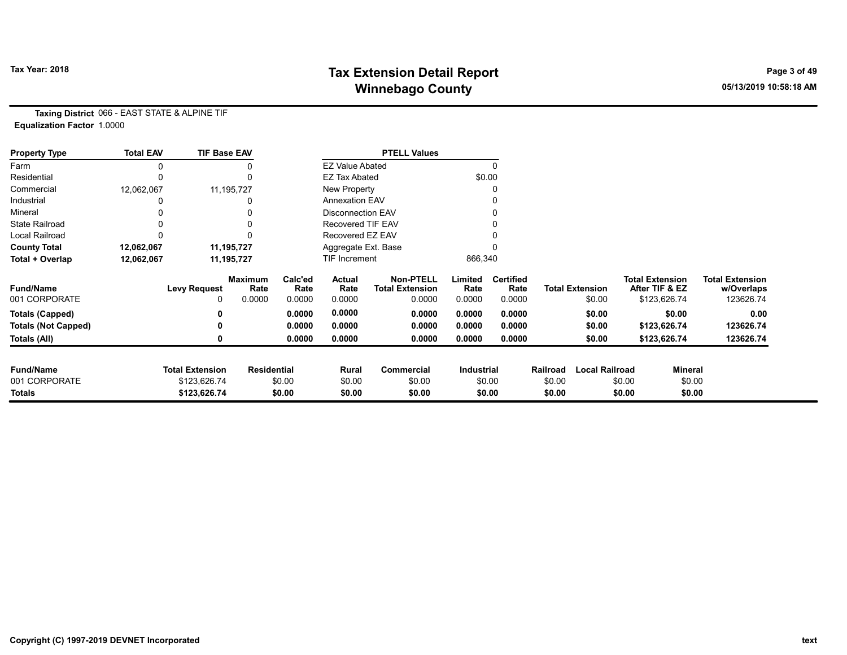# Tax Year: 2018 **Tax Extension Detail Report** Tax Year: 2018 **Page 3 of 49** Winnebago County **Winnebago County COUNTY** 2010 10:58:18 AM

Taxing District 066 - EAST STATE & ALPINE TIF Equalization Factor 1.0000

| <b>Property Type</b>       | <b>Total EAV</b> | <b>TIF Base EAV</b>    |                    |                 |                          | <b>PTELL Values</b>                        |                 |                          |          |                        |                                          |              |                                      |
|----------------------------|------------------|------------------------|--------------------|-----------------|--------------------------|--------------------------------------------|-----------------|--------------------------|----------|------------------------|------------------------------------------|--------------|--------------------------------------|
| Farm                       |                  |                        |                    |                 | <b>EZ Value Abated</b>   |                                            |                 |                          |          |                        |                                          |              |                                      |
| Residential                | 0                |                        |                    |                 | <b>EZ Tax Abated</b>     |                                            | \$0.00          |                          |          |                        |                                          |              |                                      |
| Commercial                 | 12,062,067       |                        | 11,195,727         |                 | New Property             |                                            |                 |                          |          |                        |                                          |              |                                      |
| Industrial                 |                  |                        |                    |                 | <b>Annexation EAV</b>    |                                            |                 |                          |          |                        |                                          |              |                                      |
| Mineral                    |                  |                        |                    |                 | <b>Disconnection EAV</b> |                                            |                 |                          |          |                        |                                          |              |                                      |
| <b>State Railroad</b>      |                  |                        |                    |                 | <b>Recovered TIF EAV</b> |                                            |                 |                          |          |                        |                                          |              |                                      |
| Local Railroad             |                  |                        |                    |                 | Recovered EZ EAV         |                                            |                 |                          |          |                        |                                          |              |                                      |
| <b>County Total</b>        | 12,062,067       |                        | 11,195,727         |                 | Aggregate Ext. Base      |                                            |                 |                          |          |                        |                                          |              |                                      |
| Total + Overlap            | 12,062,067       |                        | 11,195,727         |                 | TIF Increment            |                                            | 866,340         |                          |          |                        |                                          |              |                                      |
| <b>Fund/Name</b>           |                  | <b>Levy Request</b>    | Maximum<br>Rate    | Calc'ed<br>Rate | Actual<br>Rate           | <b>Non-PTELL</b><br><b>Total Extension</b> | Limited<br>Rate | <b>Certified</b><br>Rate |          | <b>Total Extension</b> | <b>Total Extension</b><br>After TIF & EZ |              | <b>Total Extension</b><br>w/Overlaps |
| 001 CORPORATE              |                  | 0                      | 0.0000             | 0.0000          | 0.0000                   | 0.0000                                     | 0.0000          | 0.0000                   |          | \$0.00                 |                                          | \$123,626.74 | 123626.74                            |
| <b>Totals (Capped)</b>     |                  | 0                      |                    | 0.0000          | 0.0000                   | 0.0000                                     | 0.0000          | 0.0000                   |          | \$0.00                 |                                          | \$0.00       | 0.00                                 |
| <b>Totals (Not Capped)</b> |                  | 0                      |                    | 0.0000          | 0.0000                   | 0.0000                                     | 0.0000          | 0.0000                   |          | \$0.00                 |                                          | \$123,626.74 | 123626.74                            |
| Totals (All)               |                  | 0                      |                    | 0.0000          | 0.0000                   | 0.0000                                     | 0.0000          | 0.0000                   |          | \$0.00                 |                                          | \$123,626.74 | 123626.74                            |
| <b>Fund/Name</b>           |                  | <b>Total Extension</b> | <b>Residential</b> |                 | Rural                    | <b>Commercial</b>                          | Industrial      |                          | Railroad | <b>Local Railroad</b>  |                                          | Mineral      |                                      |
| 001 CORPORATE              |                  | \$123,626.74           |                    | \$0.00          | \$0.00                   | \$0.00                                     |                 | \$0.00                   | \$0.00   |                        | \$0.00                                   | \$0.00       |                                      |
| Totals                     |                  | \$123,626.74           |                    | \$0.00          | \$0.00                   | \$0.00                                     |                 | \$0.00                   | \$0.00   |                        | \$0.00                                   | \$0.00       |                                      |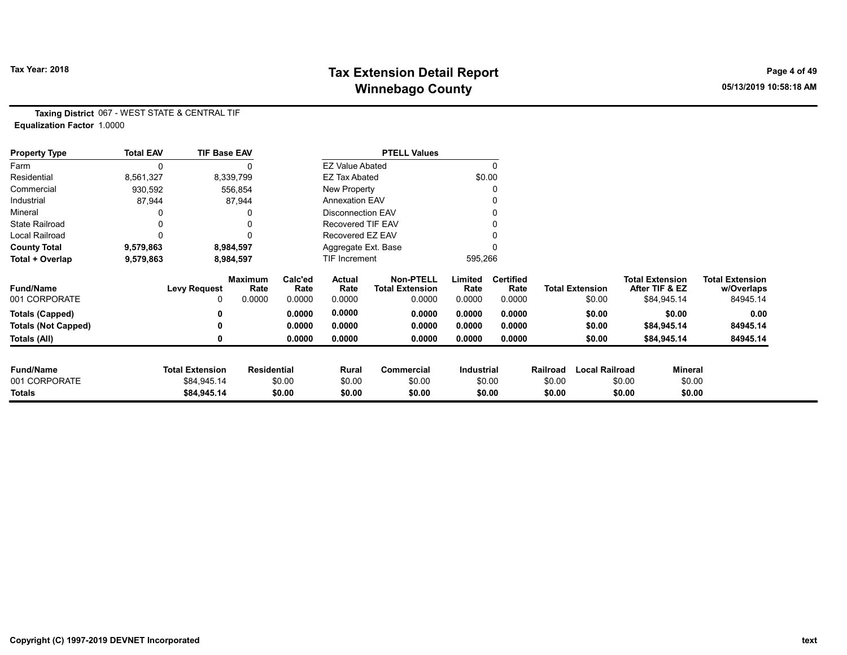# Tax Year: 2018 **Tax Extension Detail Report** Tax Year: 2018 **Page 4 of 49** Winnebago County **Winnebago County COUNTY** 2010 10:58:18 AM

Taxing District 067 - WEST STATE & CENTRAL TIF Equalization Factor 1.0000

| <b>Property Type</b>       | <b>Total EAV</b> | <b>TIF Base EAV</b>    |                        |                 |                          | <b>PTELL Values</b>                        |                 |                          |          |                        |                                          |         |                                      |
|----------------------------|------------------|------------------------|------------------------|-----------------|--------------------------|--------------------------------------------|-----------------|--------------------------|----------|------------------------|------------------------------------------|---------|--------------------------------------|
| Farm                       | 0                |                        |                        |                 | <b>EZ Value Abated</b>   |                                            |                 | $\Omega$                 |          |                        |                                          |         |                                      |
| Residential                | 8,561,327        |                        | 8,339,799              |                 | <b>EZ Tax Abated</b>     |                                            |                 | \$0.00                   |          |                        |                                          |         |                                      |
| Commercial                 | 930,592          |                        | 556,854                |                 | New Property             |                                            |                 | 0                        |          |                        |                                          |         |                                      |
| Industrial                 | 87,944           |                        | 87,944                 |                 | <b>Annexation EAV</b>    |                                            |                 | 0                        |          |                        |                                          |         |                                      |
| Mineral                    |                  |                        | 0                      |                 | <b>Disconnection EAV</b> |                                            |                 | 0                        |          |                        |                                          |         |                                      |
| <b>State Railroad</b>      |                  |                        | 0                      |                 | Recovered TIF EAV        |                                            |                 |                          |          |                        |                                          |         |                                      |
| Local Railroad             | 0                |                        | $\Omega$               |                 | Recovered EZ EAV         |                                            |                 |                          |          |                        |                                          |         |                                      |
| <b>County Total</b>        | 9,579,863        |                        | 8,984,597              |                 | Aggregate Ext. Base      |                                            |                 | 0                        |          |                        |                                          |         |                                      |
| Total + Overlap            | 9,579,863        |                        | 8,984,597              |                 | TIF Increment            |                                            | 595,266         |                          |          |                        |                                          |         |                                      |
| <b>Fund/Name</b>           |                  | <b>Levy Request</b>    | <b>Maximum</b><br>Rate | Calc'ed<br>Rate | Actual<br>Rate           | <b>Non-PTELL</b><br><b>Total Extension</b> | Limited<br>Rate | <b>Certified</b><br>Rate |          | <b>Total Extension</b> | <b>Total Extension</b><br>After TIF & EZ |         | <b>Total Extension</b><br>w/Overlaps |
| 001 CORPORATE              |                  | 0                      | 0.0000                 | 0.0000          | 0.0000                   | 0.0000                                     | 0.0000          | 0.0000                   |          | \$0.00                 | \$84,945.14                              |         | 84945.14                             |
| <b>Totals (Capped)</b>     |                  | 0                      |                        | 0.0000          | 0.0000                   | 0.0000                                     | 0.0000          | 0.0000                   |          | \$0.00                 |                                          | \$0.00  | 0.00                                 |
| <b>Totals (Not Capped)</b> |                  | 0                      |                        | 0.0000          | 0.0000                   | 0.0000                                     | 0.0000          | 0.0000                   |          | \$0.00                 | \$84,945.14                              |         | 84945.14                             |
| Totals (All)               |                  | 0                      |                        | 0.0000          | 0.0000                   | 0.0000                                     | 0.0000          | 0.0000                   |          | \$0.00                 | \$84,945.14                              |         | 84945.14                             |
| <b>Fund/Name</b>           |                  | <b>Total Extension</b> | <b>Residential</b>     |                 | Rural                    | <b>Commercial</b>                          | Industrial      |                          | Railroad | <b>Local Railroad</b>  |                                          | Mineral |                                      |
| 001 CORPORATE              |                  | \$84,945.14            |                        | \$0.00          | \$0.00                   | \$0.00                                     |                 | \$0.00                   | \$0.00   |                        | \$0.00                                   | \$0.00  |                                      |
| <b>Totals</b>              |                  | \$84,945.14            |                        | \$0.00          | \$0.00                   | \$0.00                                     |                 | \$0.00                   | \$0.00   |                        | \$0.00                                   | \$0.00  |                                      |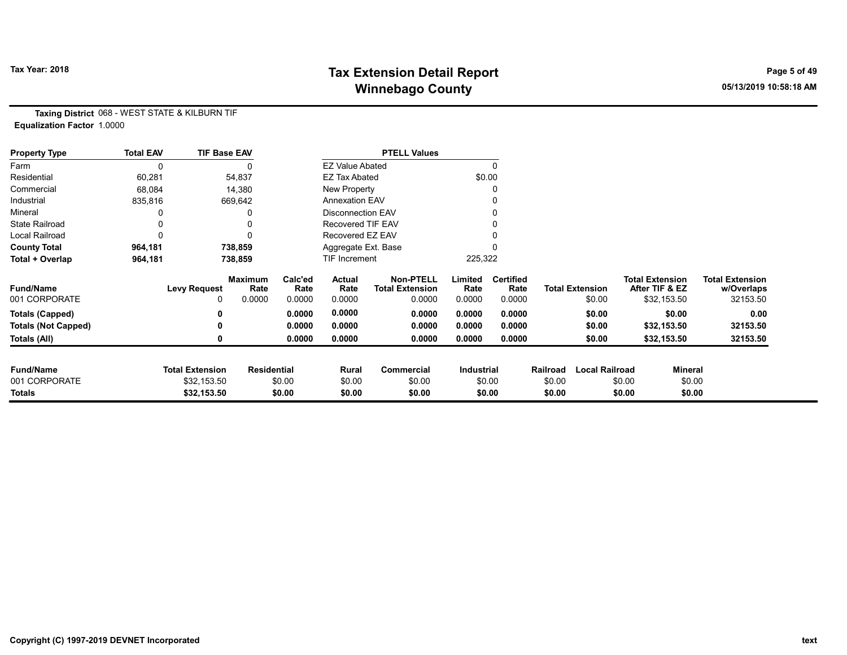# Tax Year: 2018 **Tax Extension Detail Report** Tax Year: 2018 **Page 5 of 49** Winnebago County **Winnebago County COUNTY** 2010 10:58:18 AM

Taxing District 068 - WEST STATE & KILBURN TIF Equalization Factor 1.0000

| <b>Property Type</b>       | <b>Total EAV</b> | <b>TIF Base EAV</b>    |                        |                 |                          | <b>PTELL Values</b>                        |                   |                          |          |                        |        |                                          |                                      |
|----------------------------|------------------|------------------------|------------------------|-----------------|--------------------------|--------------------------------------------|-------------------|--------------------------|----------|------------------------|--------|------------------------------------------|--------------------------------------|
| Farm                       |                  |                        |                        |                 | <b>EZ Value Abated</b>   |                                            |                   |                          |          |                        |        |                                          |                                      |
| Residential                | 60,281           |                        | 54,837                 |                 | <b>EZ Tax Abated</b>     |                                            | \$0.00            |                          |          |                        |        |                                          |                                      |
| Commercial                 | 68,084           |                        | 14,380                 |                 | New Property             |                                            |                   |                          |          |                        |        |                                          |                                      |
| Industrial                 | 835,816          |                        | 669,642                |                 | <b>Annexation EAV</b>    |                                            |                   |                          |          |                        |        |                                          |                                      |
| Mineral                    |                  |                        |                        |                 | <b>Disconnection EAV</b> |                                            |                   |                          |          |                        |        |                                          |                                      |
| <b>State Railroad</b>      |                  |                        |                        |                 | <b>Recovered TIF EAV</b> |                                            |                   |                          |          |                        |        |                                          |                                      |
| Local Railroad             |                  |                        |                        |                 | Recovered EZ EAV         |                                            |                   |                          |          |                        |        |                                          |                                      |
| <b>County Total</b>        | 964,181          |                        | 738,859                |                 | Aggregate Ext. Base      |                                            |                   |                          |          |                        |        |                                          |                                      |
| Total + Overlap            | 964,181          |                        | 738,859                |                 | <b>TIF Increment</b>     |                                            | 225,322           |                          |          |                        |        |                                          |                                      |
| <b>Fund/Name</b>           |                  | <b>Levy Request</b>    | <b>Maximum</b><br>Rate | Calc'ed<br>Rate | Actual<br>Rate           | <b>Non-PTELL</b><br><b>Total Extension</b> | Limited<br>Rate   | <b>Certified</b><br>Rate |          | <b>Total Extension</b> |        | <b>Total Extension</b><br>After TIF & EZ | <b>Total Extension</b><br>w/Overlaps |
| 001 CORPORATE              |                  | 0                      | 0.0000                 | 0.0000          | 0.0000                   | 0.0000                                     | 0.0000            | 0.0000                   |          | \$0.00                 |        | \$32,153.50                              | 32153.50                             |
| <b>Totals (Capped)</b>     |                  |                        |                        | 0.0000          | 0.0000                   | 0.0000                                     | 0.0000            | 0.0000                   |          | \$0.00                 |        | \$0.00                                   | 0.00                                 |
| <b>Totals (Not Capped)</b> |                  |                        |                        | 0.0000          | 0.0000                   | 0.0000                                     | 0.0000            | 0.0000                   |          | \$0.00                 |        | \$32,153.50                              | 32153.50                             |
| Totals (All)               |                  |                        |                        | 0.0000          | 0.0000                   | 0.0000                                     | 0.0000            | 0.0000                   |          | \$0.00                 |        | \$32,153.50                              | 32153.50                             |
| <b>Fund/Name</b>           |                  | <b>Total Extension</b> | <b>Residential</b>     |                 | Rural                    | Commercial                                 | <b>Industrial</b> |                          | Railroad | <b>Local Railroad</b>  |        | <b>Mineral</b>                           |                                      |
| 001 CORPORATE              |                  | \$32,153.50            |                        | \$0.00          | \$0.00                   | \$0.00                                     |                   | \$0.00                   | \$0.00   |                        | \$0.00 | \$0.00                                   |                                      |
| Totals                     |                  | \$32,153.50            |                        | \$0.00          | \$0.00                   | \$0.00                                     |                   | \$0.00                   | \$0.00   |                        | \$0.00 | \$0.00                                   |                                      |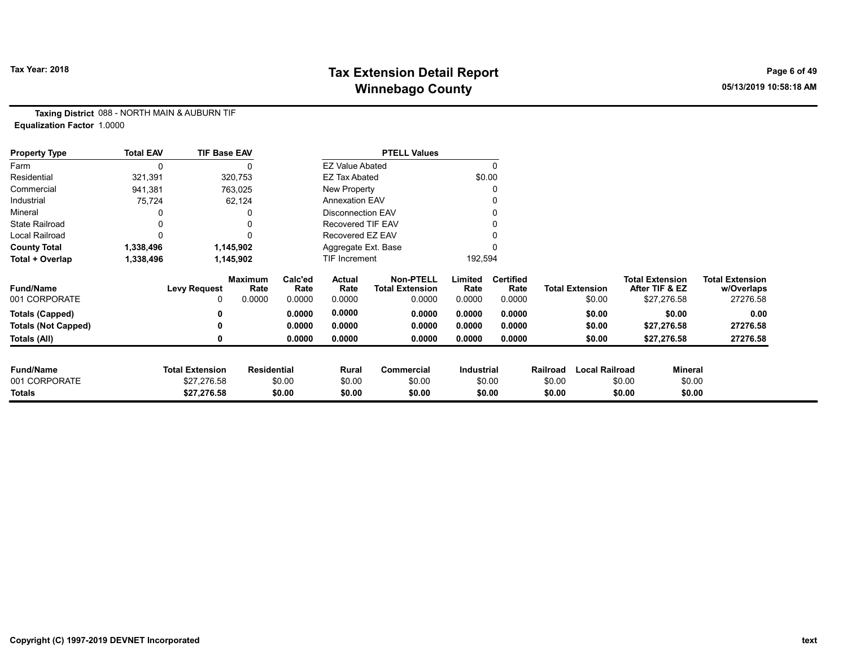# Tax Year: 2018 **Tax Extension Detail Report** Tax Year: 2018 **Page 6 of 49** Winnebago County **Winnebago County COUNTY** 2010 10:58:18 AM

Taxing District 088 - NORTH MAIN & AUBURN TIF Equalization Factor 1.0000

| <b>Property Type</b>       | <b>Total EAV</b> | <b>TIF Base EAV</b>    |                    |                 |                          | <b>PTELL Values</b>                        |                   |                          |          |                        |                                          |                |                                      |
|----------------------------|------------------|------------------------|--------------------|-----------------|--------------------------|--------------------------------------------|-------------------|--------------------------|----------|------------------------|------------------------------------------|----------------|--------------------------------------|
| Farm                       | 0                |                        |                    |                 | <b>EZ Value Abated</b>   |                                            |                   | 0                        |          |                        |                                          |                |                                      |
| Residential                | 321,391          |                        | 320,753            |                 | <b>EZ Tax Abated</b>     |                                            |                   | \$0.00                   |          |                        |                                          |                |                                      |
| Commercial                 | 941,381          |                        | 763,025            |                 | New Property             |                                            |                   | 0                        |          |                        |                                          |                |                                      |
| Industrial                 | 75,724           |                        | 62,124             |                 | <b>Annexation EAV</b>    |                                            |                   |                          |          |                        |                                          |                |                                      |
| Mineral                    |                  |                        |                    |                 | <b>Disconnection EAV</b> |                                            |                   | 0                        |          |                        |                                          |                |                                      |
| <b>State Railroad</b>      |                  |                        |                    |                 | Recovered TIF EAV        |                                            |                   |                          |          |                        |                                          |                |                                      |
| Local Railroad             |                  |                        | 0                  |                 | Recovered EZ EAV         |                                            |                   |                          |          |                        |                                          |                |                                      |
| <b>County Total</b>        | 1,338,496        |                        | 1,145,902          |                 | Aggregate Ext. Base      |                                            |                   |                          |          |                        |                                          |                |                                      |
| Total + Overlap            | 1,338,496        |                        | 1,145,902          |                 | TIF Increment            |                                            | 192,594           |                          |          |                        |                                          |                |                                      |
| <b>Fund/Name</b>           |                  | <b>Levy Request</b>    | Maximum<br>Rate    | Calc'ed<br>Rate | Actual<br>Rate           | <b>Non-PTELL</b><br><b>Total Extension</b> | Limited<br>Rate   | <b>Certified</b><br>Rate |          | <b>Total Extension</b> | <b>Total Extension</b><br>After TIF & EZ |                | <b>Total Extension</b><br>w/Overlaps |
| 001 CORPORATE              |                  | 0                      | 0.0000             | 0.0000          | 0.0000                   | 0.0000                                     | 0.0000            | 0.0000                   |          | \$0.00                 | \$27,276.58                              |                | 27276.58                             |
| Totals (Capped)            |                  |                        |                    | 0.0000          | 0.0000                   | 0.0000                                     | 0.0000            | 0.0000                   |          | \$0.00                 |                                          | \$0.00         | 0.00                                 |
| <b>Totals (Not Capped)</b> |                  |                        |                    | 0.0000          | 0.0000                   | 0.0000                                     | 0.0000            | 0.0000                   |          | \$0.00                 | \$27,276.58                              |                | 27276.58                             |
| Totals (All)               |                  |                        |                    | 0.0000          | 0.0000                   | 0.0000                                     | 0.0000            | 0.0000                   |          | \$0.00                 | \$27,276.58                              |                | 27276.58                             |
| <b>Fund/Name</b>           |                  | <b>Total Extension</b> | <b>Residential</b> |                 | Rural                    | <b>Commercial</b>                          | <b>Industrial</b> |                          | Railroad | <b>Local Railroad</b>  |                                          | <b>Mineral</b> |                                      |
| 001 CORPORATE              |                  | \$27,276.58            |                    | \$0.00          | \$0.00                   | \$0.00                                     |                   | \$0.00                   | \$0.00   |                        | \$0.00                                   | \$0.00         |                                      |
| Totals                     |                  | \$27,276.58            |                    | \$0.00          | \$0.00                   | \$0.00                                     |                   | \$0.00                   | \$0.00   |                        | \$0.00                                   | \$0.00         |                                      |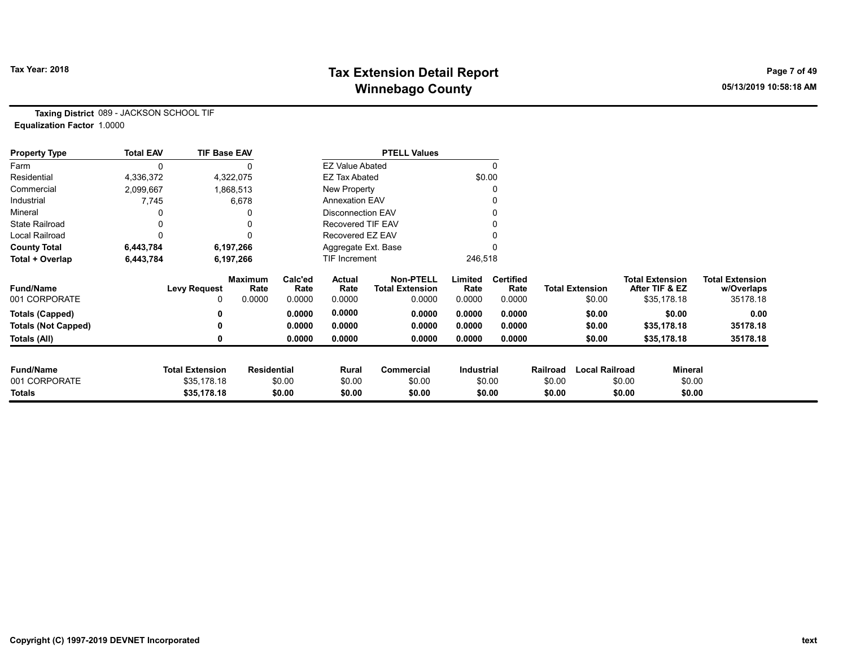# Tax Year: 2018 **Tax Extension Detail Report** Tax Year: 2018 **Page 7 of 49** Winnebago County **Winnebago County COUNTY** 2010 10:58:18 AM

Taxing District 089 - JACKSON SCHOOL TIF Equalization Factor 1.0000

| <b>Property Type</b>              | <b>Total EAV</b> | <b>TIF Base EAV</b>                   |                        |                 |                          | <b>PTELL Values</b>                        |                 |                          |          |                        |                                          |         |                                      |
|-----------------------------------|------------------|---------------------------------------|------------------------|-----------------|--------------------------|--------------------------------------------|-----------------|--------------------------|----------|------------------------|------------------------------------------|---------|--------------------------------------|
| Farm                              |                  |                                       |                        |                 | <b>EZ Value Abated</b>   |                                            |                 | $\Omega$                 |          |                        |                                          |         |                                      |
| Residential                       | 4,336,372        |                                       | 4,322,075              |                 | <b>EZ Tax Abated</b>     |                                            |                 | \$0.00                   |          |                        |                                          |         |                                      |
| Commercial                        | 2,099,667        |                                       | 1,868,513              |                 | New Property             |                                            |                 | 0                        |          |                        |                                          |         |                                      |
| Industrial                        | 7,745            |                                       | 6,678                  |                 | <b>Annexation EAV</b>    |                                            |                 |                          |          |                        |                                          |         |                                      |
| Mineral                           |                  |                                       |                        |                 | <b>Disconnection EAV</b> |                                            |                 |                          |          |                        |                                          |         |                                      |
| <b>State Railroad</b>             |                  |                                       |                        |                 | Recovered TIF EAV        |                                            |                 |                          |          |                        |                                          |         |                                      |
| <b>Local Railroad</b>             |                  |                                       |                        |                 | Recovered EZ EAV         |                                            |                 |                          |          |                        |                                          |         |                                      |
| <b>County Total</b>               | 6,443,784        |                                       | 6,197,266              |                 | Aggregate Ext. Base      |                                            |                 |                          |          |                        |                                          |         |                                      |
| Total + Overlap                   | 6,443,784        |                                       | 6,197,266              |                 | TIF Increment            |                                            | 246,518         |                          |          |                        |                                          |         |                                      |
| <b>Fund/Name</b>                  |                  | <b>Levy Request</b>                   | <b>Maximum</b><br>Rate | Calc'ed<br>Rate | Actual<br>Rate           | <b>Non-PTELL</b><br><b>Total Extension</b> | Limited<br>Rate | <b>Certified</b><br>Rate |          | <b>Total Extension</b> | <b>Total Extension</b><br>After TIF & EZ |         | <b>Total Extension</b><br>w/Overlaps |
| 001 CORPORATE                     |                  | ი                                     | 0.0000                 | 0.0000          | 0.0000                   | 0.0000                                     | 0.0000          | 0.0000                   |          | \$0.00                 | \$35,178.18                              |         | 35178.18                             |
| <b>Totals (Capped)</b>            |                  |                                       |                        | 0.0000          | 0.0000                   | 0.0000                                     | 0.0000          | 0.0000                   |          | \$0.00                 |                                          | \$0.00  | 0.00                                 |
| <b>Totals (Not Capped)</b>        |                  |                                       |                        | 0.0000          | 0.0000                   | 0.0000                                     | 0.0000          | 0.0000                   |          | \$0.00                 | \$35,178.18                              |         | 35178.18                             |
| Totals (All)                      |                  |                                       |                        | 0.0000          | 0.0000                   | 0.0000                                     | 0.0000          | 0.0000                   |          | \$0.00                 | \$35,178.18                              |         | 35178.18                             |
|                                   |                  |                                       |                        |                 |                          |                                            |                 |                          |          |                        |                                          |         |                                      |
| <b>Fund/Name</b><br>001 CORPORATE |                  | <b>Total Extension</b><br>\$35,178.18 | <b>Residential</b>     |                 | Rural                    | Commercial                                 | Industrial      |                          | Railroad | <b>Local Railroad</b>  |                                          | Mineral |                                      |
|                                   |                  |                                       |                        | \$0.00          | \$0.00                   | \$0.00                                     |                 | \$0.00                   | \$0.00   |                        | \$0.00                                   | \$0.00  |                                      |
| Totals                            |                  | \$35,178.18                           |                        | \$0.00          | \$0.00                   | \$0.00                                     |                 | \$0.00                   | \$0.00   |                        | \$0.00                                   | \$0.00  |                                      |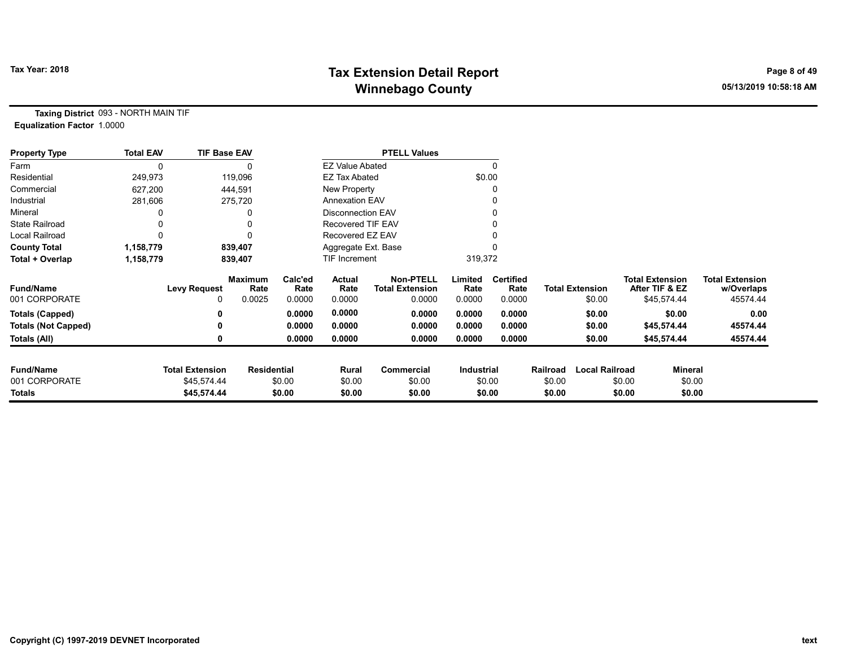# Tax Year: 2018 **Tax Extension Detail Report** Tax Year: 2018 **Page 8 of 49** Winnebago County **Winnebago County COUNTY** 2010 10:58:18 AM

Taxing District 093 - NORTH MAIN TIF Equalization Factor 1.0000

| <b>Property Type</b>       | <b>Total EAV</b> | <b>TIF Base EAV</b>    |                        |                 |                        | <b>PTELL Values</b>                        |                 |                          |                    |                       |        |                                          |                                      |
|----------------------------|------------------|------------------------|------------------------|-----------------|------------------------|--------------------------------------------|-----------------|--------------------------|--------------------|-----------------------|--------|------------------------------------------|--------------------------------------|
| Farm                       | $\Omega$         |                        |                        |                 | <b>EZ Value Abated</b> |                                            |                 |                          |                    |                       |        |                                          |                                      |
| Residential                | 249,973          |                        | 119,096                |                 | <b>EZ Tax Abated</b>   |                                            | \$0.00          |                          |                    |                       |        |                                          |                                      |
| Commercial                 | 627,200          |                        | 444,591                |                 | New Property           |                                            |                 |                          |                    |                       |        |                                          |                                      |
| Industrial                 | 281,606          |                        | 275,720                |                 | <b>Annexation EAV</b>  |                                            |                 |                          |                    |                       |        |                                          |                                      |
| Mineral                    |                  |                        |                        |                 | Disconnection EAV      |                                            |                 |                          |                    |                       |        |                                          |                                      |
| <b>State Railroad</b>      |                  |                        |                        |                 | Recovered TIF EAV      |                                            |                 |                          |                    |                       |        |                                          |                                      |
| <b>Local Railroad</b>      | 0                |                        |                        |                 | Recovered EZ EAV       |                                            |                 |                          |                    |                       |        |                                          |                                      |
| <b>County Total</b>        | 1,158,779        |                        | 839,407                |                 | Aggregate Ext. Base    |                                            |                 |                          |                    |                       |        |                                          |                                      |
| Total + Overlap            | 1,158,779        |                        | 839,407                |                 | TIF Increment          |                                            | 319,372         |                          |                    |                       |        |                                          |                                      |
| <b>Fund/Name</b>           |                  | <b>Levy Request</b>    | <b>Maximum</b><br>Rate | Calc'ed<br>Rate | Actual<br>Rate         | <b>Non-PTELL</b><br><b>Total Extension</b> | Limited<br>Rate | <b>Certified</b><br>Rate |                    | Total Extension       |        | <b>Total Extension</b><br>After TIF & EZ | <b>Total Extension</b><br>w/Overlaps |
| 001 CORPORATE              |                  | 0                      | 0.0025                 | 0.0000          | 0.0000                 | 0.0000                                     | 0.0000          | 0.0000                   |                    | \$0.00                |        | \$45,574.44                              | 45574.44                             |
| <b>Totals (Capped)</b>     |                  | 0                      |                        | 0.0000          | 0.0000                 | 0.0000                                     | 0.0000          | 0.0000                   |                    | \$0.00                |        | \$0.00                                   | 0.00                                 |
| <b>Totals (Not Capped)</b> |                  | 0                      |                        | 0.0000          | 0.0000                 | 0.0000                                     | 0.0000          | 0.0000                   |                    | \$0.00                |        | \$45,574.44                              | 45574.44                             |
| Totals (All)               |                  | 0                      |                        | 0.0000          | 0.0000                 | 0.0000                                     | 0.0000          | 0.0000                   |                    | \$0.00                |        | \$45,574.44                              | 45574.44                             |
| <b>Fund/Name</b>           |                  | <b>Total Extension</b> |                        |                 |                        | <b>Commercial</b>                          |                 |                          |                    | <b>Local Railroad</b> |        |                                          |                                      |
| 001 CORPORATE              |                  | \$45,574.44            | <b>Residential</b>     | \$0.00          | Rural<br>\$0.00        | \$0.00                                     | Industrial      | \$0.00                   | Railroad<br>\$0.00 |                       | \$0.00 | Mineral<br>\$0.00                        |                                      |
| Totals                     |                  | \$45,574.44            |                        | \$0.00          | \$0.00                 | \$0.00                                     |                 | \$0.00                   | \$0.00             |                       | \$0.00 | \$0.00                                   |                                      |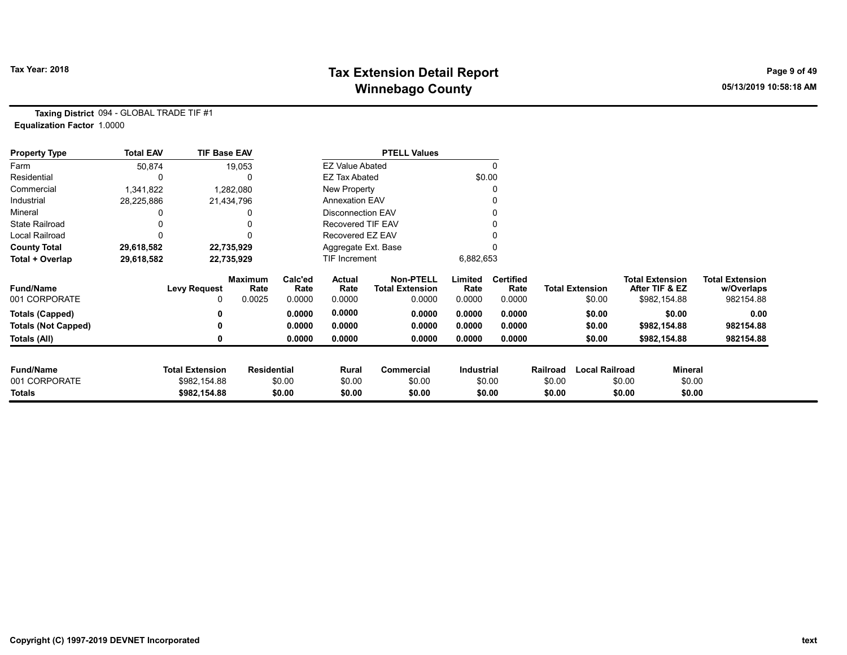# Tax Year: 2018 **Tax Extension Detail Report** Tax Year: 2018 **Page 9 of 49** Winnebago County **Winnebago County COUNTY** 2010 10:58:18 AM

Taxing District 094 - GLOBAL TRADE TIF #1 Equalization Factor 1.0000

| <b>Property Type</b>       | <b>Total EAV</b> | <b>TIF Base EAV</b>    |                        |                 |                        | <b>PTELL Values</b>                        |                 |                          |          |                        |                                          |                                      |
|----------------------------|------------------|------------------------|------------------------|-----------------|------------------------|--------------------------------------------|-----------------|--------------------------|----------|------------------------|------------------------------------------|--------------------------------------|
| Farm                       | 50,874           |                        | 19,053                 |                 | <b>EZ Value Abated</b> |                                            |                 | 0                        |          |                        |                                          |                                      |
| Residential                | 0                |                        |                        |                 | <b>EZ Tax Abated</b>   |                                            |                 | \$0.00                   |          |                        |                                          |                                      |
| Commercial                 | 1,341,822        |                        | 1,282,080              |                 | New Property           |                                            |                 |                          |          |                        |                                          |                                      |
| Industrial                 | 28,225,886       |                        | 21,434,796             |                 | <b>Annexation EAV</b>  |                                            |                 |                          |          |                        |                                          |                                      |
| Mineral                    |                  |                        |                        |                 | Disconnection EAV      |                                            |                 |                          |          |                        |                                          |                                      |
| <b>State Railroad</b>      |                  |                        |                        |                 | Recovered TIF EAV      |                                            |                 |                          |          |                        |                                          |                                      |
| Local Railroad             |                  |                        |                        |                 | Recovered EZ EAV       |                                            |                 |                          |          |                        |                                          |                                      |
| <b>County Total</b>        | 29,618,582       |                        | 22,735,929             |                 | Aggregate Ext. Base    |                                            |                 |                          |          |                        |                                          |                                      |
| Total + Overlap            | 29,618,582       |                        | 22,735,929             |                 | TIF Increment          |                                            | 6,882,653       |                          |          |                        |                                          |                                      |
| <b>Fund/Name</b>           |                  | <b>Levy Request</b>    | <b>Maximum</b><br>Rate | Calc'ed<br>Rate | Actual<br>Rate         | <b>Non-PTELL</b><br><b>Total Extension</b> | Limited<br>Rate | <b>Certified</b><br>Rate |          | <b>Total Extension</b> | <b>Total Extension</b><br>After TIF & EZ | <b>Total Extension</b><br>w/Overlaps |
| 001 CORPORATE              |                  | 0                      | 0.0025                 | 0.0000          | 0.0000                 | 0.0000                                     | 0.0000          | 0.0000                   |          | \$0.00                 | \$982,154.88                             | 982154.88                            |
| <b>Totals (Capped)</b>     |                  |                        |                        | 0.0000          | 0.0000                 | 0.0000                                     | 0.0000          | 0.0000                   |          | \$0.00                 | \$0.00                                   | 0.00                                 |
| <b>Totals (Not Capped)</b> |                  | ŋ                      |                        | 0.0000          | 0.0000                 | 0.0000                                     | 0.0000          | 0.0000                   |          | \$0.00                 | \$982,154.88                             | 982154.88                            |
| Totals (All)               |                  | 0                      |                        | 0.0000          | 0.0000                 | 0.0000                                     | 0.0000          | 0.0000                   |          | \$0.00                 | \$982,154.88                             | 982154.88                            |
|                            |                  |                        |                        |                 |                        |                                            |                 |                          |          |                        |                                          |                                      |
| <b>Fund/Name</b>           |                  | <b>Total Extension</b> | <b>Residential</b>     |                 | Rural                  | Commercial                                 | Industrial      |                          | Railroad | <b>Local Railroad</b>  |                                          | Mineral                              |
| 001 CORPORATE              |                  | \$982,154.88           |                        | \$0.00          | \$0.00                 | \$0.00                                     |                 | \$0.00                   | \$0.00   |                        | \$0.00                                   | \$0.00                               |
| <b>Totals</b>              |                  | \$982,154.88           |                        | \$0.00          | \$0.00                 | \$0.00                                     |                 | \$0.00                   | \$0.00   |                        | \$0.00                                   | \$0.00                               |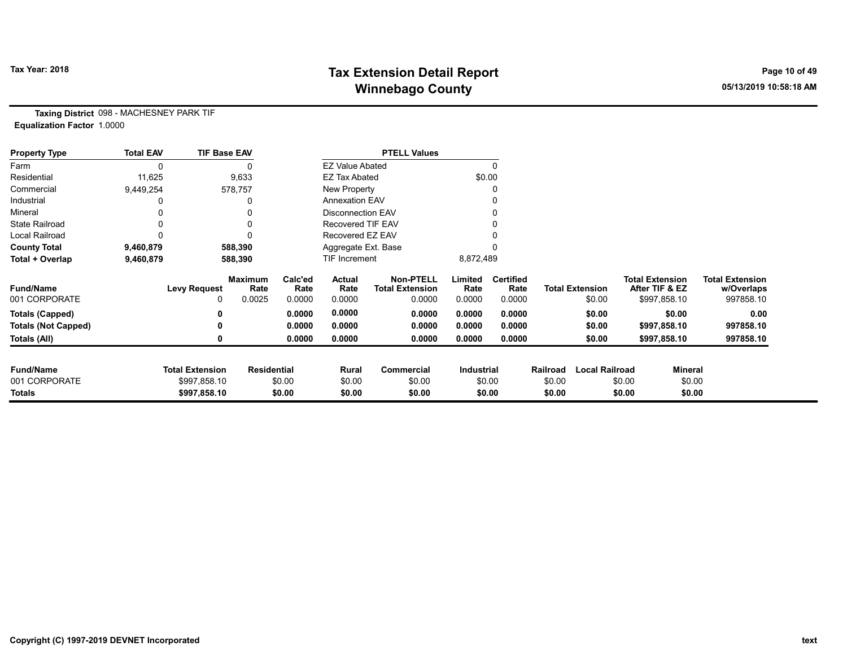# Tax Year: 2018 **Tax Extension Detail Report** Tax Year: 2018 **Page 10 of 49** Winnebago County **Winnebago County COUNTY** 2010 10:58:18 AM

Taxing District 098 - MACHESNEY PARK TIF Equalization Factor 1.0000

| <b>Property Type</b>       | <b>Total EAV</b> | <b>TIF Base EAV</b>    |                        |                 |                          | <b>PTELL Values</b>                        |                   |                          |          |                        |                                          |              |                                      |
|----------------------------|------------------|------------------------|------------------------|-----------------|--------------------------|--------------------------------------------|-------------------|--------------------------|----------|------------------------|------------------------------------------|--------------|--------------------------------------|
| Farm                       | 0                |                        |                        |                 | <b>EZ Value Abated</b>   |                                            |                   | $\mathbf{0}$             |          |                        |                                          |              |                                      |
| Residential                | 11,625           |                        | 9,633                  |                 | <b>EZ Tax Abated</b>     |                                            |                   | \$0.00                   |          |                        |                                          |              |                                      |
| Commercial                 | 9,449,254        |                        | 578,757                |                 | New Property             |                                            |                   |                          |          |                        |                                          |              |                                      |
| Industrial                 |                  |                        | 0                      |                 | <b>Annexation EAV</b>    |                                            |                   |                          |          |                        |                                          |              |                                      |
| Mineral                    |                  |                        | 0                      |                 | <b>Disconnection EAV</b> |                                            |                   | 0                        |          |                        |                                          |              |                                      |
| <b>State Railroad</b>      |                  |                        | 0                      |                 | <b>Recovered TIF EAV</b> |                                            |                   |                          |          |                        |                                          |              |                                      |
| <b>Local Railroad</b>      |                  |                        |                        |                 | Recovered EZ EAV         |                                            |                   |                          |          |                        |                                          |              |                                      |
| <b>County Total</b>        | 9,460,879        |                        | 588,390                |                 | Aggregate Ext. Base      |                                            |                   |                          |          |                        |                                          |              |                                      |
| Total + Overlap            | 9,460,879        |                        | 588,390                |                 | TIF Increment            |                                            | 8,872,489         |                          |          |                        |                                          |              |                                      |
| <b>Fund/Name</b>           |                  | <b>Levy Request</b>    | <b>Maximum</b><br>Rate | Calc'ed<br>Rate | Actual<br>Rate           | <b>Non-PTELL</b><br><b>Total Extension</b> | Limited<br>Rate   | <b>Certified</b><br>Rate |          | <b>Total Extension</b> | <b>Total Extension</b><br>After TIF & EZ |              | <b>Total Extension</b><br>w/Overlaps |
| 001 CORPORATE              |                  |                        | 0.0025                 | 0.0000          | 0.0000                   | 0.0000                                     | 0.0000            | 0.0000                   |          | \$0.00                 |                                          | \$997,858.10 | 997858.10                            |
| <b>Totals (Capped)</b>     |                  |                        |                        | 0.0000          | 0.0000                   | 0.0000                                     | 0.0000            | 0.0000                   |          | \$0.00                 |                                          | \$0.00       | 0.00                                 |
| <b>Totals (Not Capped)</b> |                  |                        |                        | 0.0000          | 0.0000                   | 0.0000                                     | 0.0000            | 0.0000                   |          | \$0.00                 |                                          | \$997,858.10 | 997858.10                            |
| Totals (All)               |                  |                        |                        | 0.0000          | 0.0000                   | 0.0000                                     | 0.0000            | 0.0000                   |          | \$0.00                 |                                          | \$997,858.10 | 997858.10                            |
|                            |                  |                        |                        |                 |                          |                                            |                   |                          |          |                        |                                          |              |                                      |
| <b>Fund/Name</b>           |                  | <b>Total Extension</b> | Residential            |                 | Rural                    | Commercial                                 | <b>Industrial</b> |                          | Railroad | <b>Local Railroad</b>  |                                          | Mineral      |                                      |
| 001 CORPORATE              |                  | \$997,858.10           |                        | \$0.00          | \$0.00                   | \$0.00                                     |                   | \$0.00                   | \$0.00   |                        | \$0.00                                   | \$0.00       |                                      |
| Totals                     |                  | \$997,858.10           |                        | \$0.00          | \$0.00                   | \$0.00                                     |                   | \$0.00                   | \$0.00   |                        | \$0.00                                   | \$0.00       |                                      |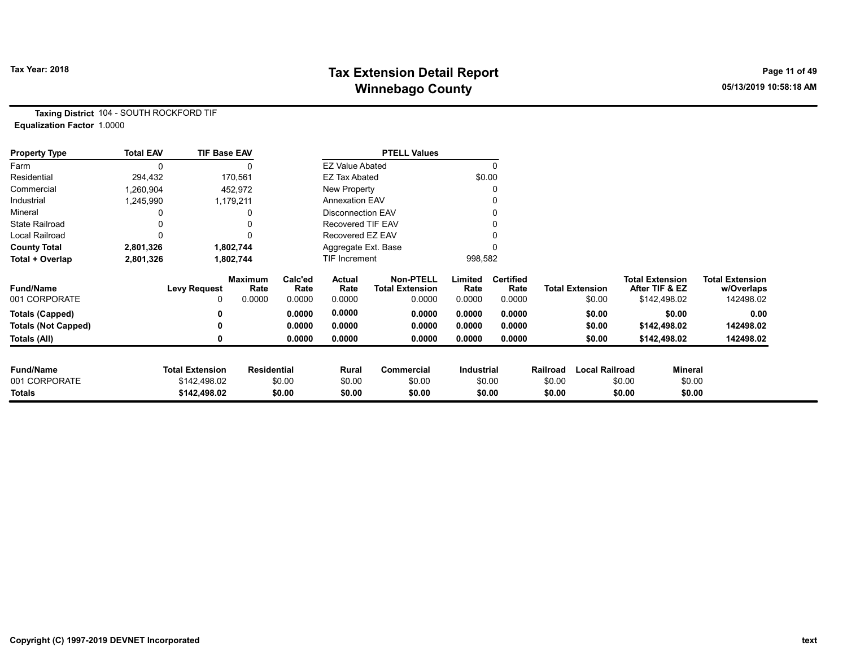# Tax Year: 2018 **Tax Extension Detail Report** Tax Year: 2018 **Page 11 of 49** Winnebago County **Winnebago County COUNTY** 2010 10:58:18 AM

Taxing District 104 - SOUTH ROCKFORD TIF Equalization Factor 1.0000

| <b>Property Type</b>       | <b>Total EAV</b> | <b>TIF Base EAV</b>    |                        |                 |                          | <b>PTELL Values</b>                        |                 |                          |          |                        |                                          |         |                                      |
|----------------------------|------------------|------------------------|------------------------|-----------------|--------------------------|--------------------------------------------|-----------------|--------------------------|----------|------------------------|------------------------------------------|---------|--------------------------------------|
| Farm                       | 0                |                        |                        |                 | <b>EZ Value Abated</b>   |                                            |                 | 0                        |          |                        |                                          |         |                                      |
| Residential                | 294,432          |                        | 170,561                |                 | EZ Tax Abated            |                                            |                 | \$0.00                   |          |                        |                                          |         |                                      |
| Commercial                 | 1,260,904        |                        | 452,972                |                 | New Property             |                                            |                 |                          |          |                        |                                          |         |                                      |
| Industrial                 | 1,245,990        |                        | 1,179,211              |                 | <b>Annexation EAV</b>    |                                            |                 |                          |          |                        |                                          |         |                                      |
| Mineral                    |                  |                        |                        |                 | <b>Disconnection EAV</b> |                                            |                 |                          |          |                        |                                          |         |                                      |
| <b>State Railroad</b>      |                  |                        |                        |                 | <b>Recovered TIF EAV</b> |                                            |                 |                          |          |                        |                                          |         |                                      |
| Local Railroad             | 0                |                        |                        |                 | Recovered EZ EAV         |                                            |                 |                          |          |                        |                                          |         |                                      |
| <b>County Total</b>        | 2,801,326        |                        | 1,802,744              |                 | Aggregate Ext. Base      |                                            |                 |                          |          |                        |                                          |         |                                      |
| Total + Overlap            | 2,801,326        |                        | 1,802,744              |                 | TIF Increment            |                                            | 998,582         |                          |          |                        |                                          |         |                                      |
| <b>Fund/Name</b>           |                  | <b>Levy Request</b>    | <b>Maximum</b><br>Rate | Calc'ed<br>Rate | Actual<br>Rate           | <b>Non-PTELL</b><br><b>Total Extension</b> | Limited<br>Rate | <b>Certified</b><br>Rate |          | <b>Total Extension</b> | <b>Total Extension</b><br>After TIF & EZ |         | <b>Total Extension</b><br>w/Overlaps |
| 001 CORPORATE              |                  | 0                      | 0.0000                 | 0.0000          | 0.0000                   | 0.0000                                     | 0.0000          | 0.0000                   |          | \$0.00                 | \$142,498.02                             |         | 142498.02                            |
| <b>Totals (Capped)</b>     |                  | 0                      |                        | 0.0000          | 0.0000                   | 0.0000                                     | 0.0000          | 0.0000                   |          | \$0.00                 |                                          | \$0.00  | 0.00                                 |
| <b>Totals (Not Capped)</b> |                  | 0                      |                        | 0.0000          | 0.0000                   | 0.0000                                     | 0.0000          | 0.0000                   |          | \$0.00                 | \$142,498.02                             |         | 142498.02                            |
| Totals (All)               |                  | 0                      |                        | 0.0000          | 0.0000                   | 0.0000                                     | 0.0000          | 0.0000                   |          | \$0.00                 | \$142,498.02                             |         | 142498.02                            |
| <b>Fund/Name</b>           |                  | <b>Total Extension</b> | <b>Residential</b>     |                 | Rural                    | Commercial                                 | Industrial      |                          | Railroad | <b>Local Railroad</b>  |                                          | Mineral |                                      |
| 001 CORPORATE              |                  | \$142,498.02           |                        | \$0.00          | \$0.00                   | \$0.00                                     |                 | \$0.00                   | \$0.00   |                        | \$0.00                                   | \$0.00  |                                      |
| Totals                     |                  | \$142,498.02           |                        | \$0.00          | \$0.00                   | \$0.00                                     |                 | \$0.00                   | \$0.00   |                        | \$0.00                                   | \$0.00  |                                      |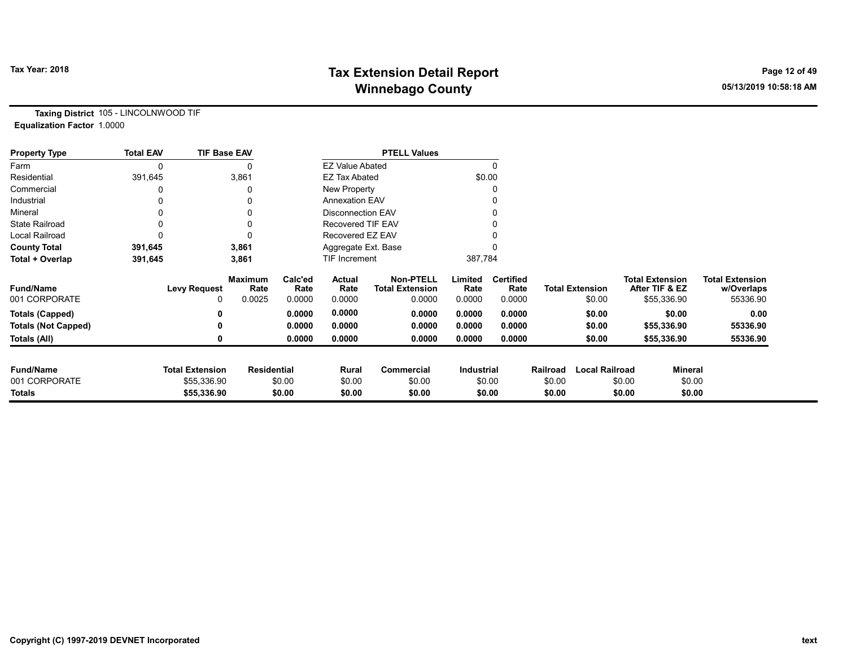# Tax Year: 2018 **Tax Extension Detail Report** Tax Year: 2018 **Page 12 of 49** Winnebago County **Winnebago County COUNTY** 2010 10:58:18 AM

Taxing District 105 - LINCOLNWOOD TIF Equalization Factor 1.0000

| <b>Property Type</b>       | <b>Total EAV</b> | <b>TIF Base EAV</b>    |                        |                 |                          | <b>PTELL Values</b>                        |                   |                          |          |                        |        |                                          |                                      |
|----------------------------|------------------|------------------------|------------------------|-----------------|--------------------------|--------------------------------------------|-------------------|--------------------------|----------|------------------------|--------|------------------------------------------|--------------------------------------|
| Farm                       | 0                |                        | 0                      |                 | <b>EZ Value Abated</b>   |                                            |                   | $\mathbf{0}$             |          |                        |        |                                          |                                      |
| Residential                | 391,645          |                        | 3,861                  |                 | <b>EZ Tax Abated</b>     |                                            |                   | \$0.00                   |          |                        |        |                                          |                                      |
| Commercial                 |                  |                        | 0                      |                 | New Property             |                                            |                   | 0                        |          |                        |        |                                          |                                      |
| Industrial                 |                  |                        | 0                      |                 | <b>Annexation EAV</b>    |                                            |                   |                          |          |                        |        |                                          |                                      |
| Mineral                    |                  |                        | 0                      |                 | <b>Disconnection EAV</b> |                                            |                   | 0                        |          |                        |        |                                          |                                      |
| <b>State Railroad</b>      |                  |                        | 0                      |                 | <b>Recovered TIF EAV</b> |                                            |                   |                          |          |                        |        |                                          |                                      |
| Local Railroad             |                  |                        | $\Omega$               |                 | Recovered EZ EAV         |                                            |                   |                          |          |                        |        |                                          |                                      |
| <b>County Total</b>        | 391,645          |                        | 3,861                  |                 | Aggregate Ext. Base      |                                            |                   |                          |          |                        |        |                                          |                                      |
| Total + Overlap            | 391,645          |                        | 3,861                  |                 | TIF Increment            |                                            | 387,784           |                          |          |                        |        |                                          |                                      |
| <b>Fund/Name</b>           |                  | <b>Levy Request</b>    | <b>Maximum</b><br>Rate | Calc'ed<br>Rate | Actual<br>Rate           | <b>Non-PTELL</b><br><b>Total Extension</b> | Limited<br>Rate   | <b>Certified</b><br>Rate |          | <b>Total Extension</b> |        | <b>Total Extension</b><br>After TIF & EZ | <b>Total Extension</b><br>w/Overlaps |
| 001 CORPORATE              |                  |                        | 0.0025                 | 0.0000          | 0.0000                   | 0.0000                                     | 0.0000            | 0.0000                   |          | \$0.00                 |        | \$55,336.90                              | 55336.90                             |
| <b>Totals (Capped)</b>     |                  |                        |                        | 0.0000          | 0.0000                   | 0.0000                                     | 0.0000            | 0.0000                   |          | \$0.00                 |        | \$0.00                                   | 0.00                                 |
| <b>Totals (Not Capped)</b> |                  |                        |                        | 0.0000          | 0.0000                   | 0.0000                                     | 0.0000            | 0.0000                   |          | \$0.00                 |        | \$55,336.90                              | 55336.90                             |
| Totals (All)               |                  |                        |                        | 0.0000          | 0.0000                   | 0.0000                                     | 0.0000            | 0.0000                   |          | \$0.00                 |        | \$55,336.90                              | 55336.90                             |
| <b>Fund/Name</b>           |                  | <b>Total Extension</b> | <b>Residential</b>     |                 | Rural                    | Commercial                                 | <b>Industrial</b> |                          | Railroad | <b>Local Railroad</b>  |        | Mineral                                  |                                      |
| 001 CORPORATE              |                  | \$55,336.90            |                        | \$0.00          | \$0.00                   | \$0.00                                     |                   | \$0.00                   | \$0.00   |                        | \$0.00 | \$0.00                                   |                                      |
| Totals                     |                  | \$55,336.90            |                        | \$0.00          | \$0.00                   | \$0.00                                     |                   | \$0.00                   | \$0.00   |                        | \$0.00 | \$0.00                                   |                                      |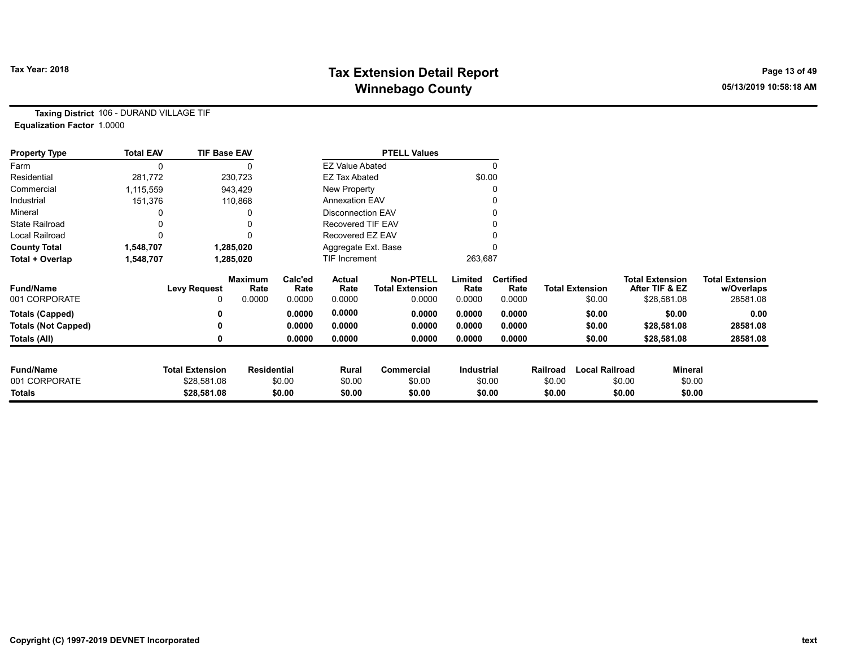# Tax Year: 2018 **Tax Extension Detail Report** Tax Year: 2018 **Page 13 of 49** Winnebago County **Winnebago County COUNTY** 2010 10:58:18 AM

Taxing District 106 - DURAND VILLAGE TIF Equalization Factor 1.0000

| <b>Property Type</b>       | <b>Total EAV</b> | <b>TIF Base EAV</b>    |                        |                 |                          | <b>PTELL Values</b>                        |                   |                          |                  |                        |        |                                          |                                      |
|----------------------------|------------------|------------------------|------------------------|-----------------|--------------------------|--------------------------------------------|-------------------|--------------------------|------------------|------------------------|--------|------------------------------------------|--------------------------------------|
| Farm                       |                  |                        |                        |                 | <b>EZ Value Abated</b>   |                                            |                   | 0                        |                  |                        |        |                                          |                                      |
| Residential                | 281,772          |                        | 230,723                |                 | <b>EZ Tax Abated</b>     |                                            |                   | \$0.00                   |                  |                        |        |                                          |                                      |
| Commercial                 | 1,115,559        |                        | 943,429                |                 | New Property             |                                            |                   |                          |                  |                        |        |                                          |                                      |
| Industrial                 | 151,376          |                        | 110,868                |                 | <b>Annexation EAV</b>    |                                            |                   |                          |                  |                        |        |                                          |                                      |
| Mineral                    |                  |                        |                        |                 | <b>Disconnection EAV</b> |                                            |                   |                          |                  |                        |        |                                          |                                      |
| <b>State Railroad</b>      |                  |                        |                        |                 | <b>Recovered TIF EAV</b> |                                            |                   |                          |                  |                        |        |                                          |                                      |
| Local Railroad             |                  |                        |                        |                 | Recovered EZ EAV         |                                            |                   |                          |                  |                        |        |                                          |                                      |
| <b>County Total</b>        | 1,548,707        |                        | 1,285,020              |                 | Aggregate Ext. Base      |                                            |                   |                          |                  |                        |        |                                          |                                      |
| Total + Overlap            | 1,548,707        |                        | 1,285,020              |                 | <b>TIF Increment</b>     |                                            | 263,687           |                          |                  |                        |        |                                          |                                      |
| <b>Fund/Name</b>           |                  | <b>Levy Request</b>    | <b>Maximum</b><br>Rate | Calc'ed<br>Rate | Actual<br>Rate           | <b>Non-PTELL</b><br><b>Total Extension</b> | Limited<br>Rate   | <b>Certified</b><br>Rate |                  | <b>Total Extension</b> |        | <b>Total Extension</b><br>After TIF & EZ | <b>Total Extension</b><br>w/Overlaps |
| 001 CORPORATE              |                  | 0                      | 0.0000                 | 0.0000          | 0.0000                   | 0.0000                                     | 0.0000            | 0.0000                   |                  | \$0.00                 |        | \$28,581.08                              | 28581.08                             |
| <b>Totals (Capped)</b>     |                  | 0                      |                        | 0.0000          | 0.0000                   | 0.0000                                     | 0.0000            | 0.0000                   |                  | \$0.00                 |        | \$0.00                                   | 0.00                                 |
| <b>Totals (Not Capped)</b> |                  | ŋ                      |                        | 0.0000          | 0.0000                   | 0.0000                                     | 0.0000            | 0.0000                   |                  | \$0.00                 |        | \$28,581.08                              | 28581.08                             |
| Totals (All)               |                  | 0                      |                        | 0.0000          | 0.0000                   | 0.0000                                     | 0.0000            | 0.0000                   |                  | \$0.00                 |        | \$28,581.08                              | 28581.08                             |
| <b>Fund/Name</b>           |                  | <b>Total Extension</b> | <b>Residential</b>     |                 |                          |                                            | <b>Industrial</b> |                          | Railroad         | <b>Local Railroad</b>  |        | Mineral                                  |                                      |
| 001 CORPORATE              |                  | \$28,581.08            |                        | \$0.00          | Rural                    | Commercial<br>\$0.00                       |                   |                          |                  |                        | \$0.00 |                                          |                                      |
| Totals                     |                  | \$28,581.08            |                        | \$0.00          | \$0.00<br>\$0.00         | \$0.00                                     |                   | \$0.00<br>\$0.00         | \$0.00<br>\$0.00 |                        | \$0.00 | \$0.00<br>\$0.00                         |                                      |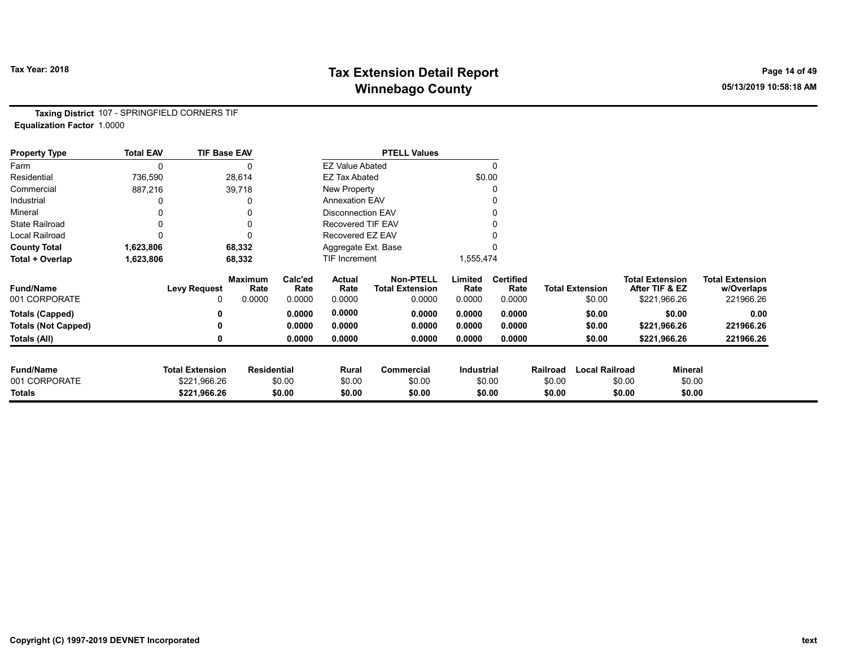# Tax Year: 2018 **Tax Extension Detail Report** Tax Year: 2018 **Page 14 of 49** Winnebago County **Winnebago County COUNTY** 2010 10:58:18 AM

Taxing District 107 - SPRINGFIELD CORNERS TIF Equalization Factor 1.0000

| <b>Property Type</b>       | <b>Total EAV</b> | <b>TIF Base EAV</b>    |                        |                 |                          | <b>PTELL Values</b>                        |                 |                          |          |                        |                        |                |                                      |
|----------------------------|------------------|------------------------|------------------------|-----------------|--------------------------|--------------------------------------------|-----------------|--------------------------|----------|------------------------|------------------------|----------------|--------------------------------------|
| Farm                       |                  |                        |                        |                 | <b>EZ Value Abated</b>   |                                            |                 | $\Omega$                 |          |                        |                        |                |                                      |
| Residential                | 736,590          |                        | 28,614                 |                 | <b>EZ Tax Abated</b>     |                                            | \$0.00          |                          |          |                        |                        |                |                                      |
| Commercial                 | 887,216          |                        | 39,718                 |                 | New Property             |                                            |                 | 0                        |          |                        |                        |                |                                      |
| Industrial                 |                  |                        |                        |                 | <b>Annexation EAV</b>    |                                            |                 |                          |          |                        |                        |                |                                      |
| Mineral                    |                  |                        |                        |                 | <b>Disconnection EAV</b> |                                            |                 | 0                        |          |                        |                        |                |                                      |
| <b>State Railroad</b>      |                  |                        |                        |                 | <b>Recovered TIF EAV</b> |                                            |                 |                          |          |                        |                        |                |                                      |
| Local Railroad             |                  |                        |                        |                 | Recovered EZ EAV         |                                            |                 |                          |          |                        |                        |                |                                      |
| <b>County Total</b>        | 1,623,806        |                        | 68,332                 |                 | Aggregate Ext. Base      |                                            |                 |                          |          |                        |                        |                |                                      |
| Total + Overlap            | 1,623,806        |                        | 68,332                 |                 | TIF Increment            |                                            | 1,555,474       |                          |          |                        |                        |                |                                      |
| <b>Fund/Name</b>           |                  | <b>Levy Request</b>    | <b>Maximum</b><br>Rate | Calc'ed<br>Rate | Actual<br>Rate           | <b>Non-PTELL</b><br><b>Total Extension</b> | Limited<br>Rate | <b>Certified</b><br>Rate |          | <b>Total Extension</b> | <b>Total Extension</b> | After TIF & EZ | <b>Total Extension</b><br>w/Overlaps |
| 001 CORPORATE              |                  | 0                      | 0.0000                 | 0.0000          | 0.0000                   | 0.0000                                     | 0.0000          | 0.0000                   |          | \$0.00                 |                        | \$221,966.26   | 221966.26                            |
| <b>Totals (Capped)</b>     |                  |                        |                        | 0.0000          | 0.0000                   | 0.0000                                     | 0.0000          | 0.0000                   |          | \$0.00                 |                        | \$0.00         | 0.00                                 |
| <b>Totals (Not Capped)</b> |                  |                        |                        | 0.0000          | 0.0000                   | 0.0000                                     | 0.0000          | 0.0000                   |          | \$0.00                 |                        | \$221,966.26   | 221966.26                            |
| Totals (All)               |                  |                        |                        | 0.0000          | 0.0000                   | 0.0000                                     | 0.0000          | 0.0000                   |          | \$0.00                 |                        | \$221,966.26   | 221966.26                            |
| <b>Fund/Name</b>           |                  | <b>Total Extension</b> | <b>Residential</b>     |                 | Rural                    | Commercial                                 | Industrial      |                          | Railroad | <b>Local Railroad</b>  |                        | <b>Mineral</b> |                                      |
| 001 CORPORATE              |                  | \$221,966.26           |                        | \$0.00          | \$0.00                   | \$0.00                                     |                 | \$0.00                   | \$0.00   |                        | \$0.00                 | \$0.00         |                                      |
| Totals                     |                  | \$221,966.26           |                        | \$0.00          | \$0.00                   | \$0.00                                     |                 | \$0.00                   | \$0.00   |                        | \$0.00                 | \$0.00         |                                      |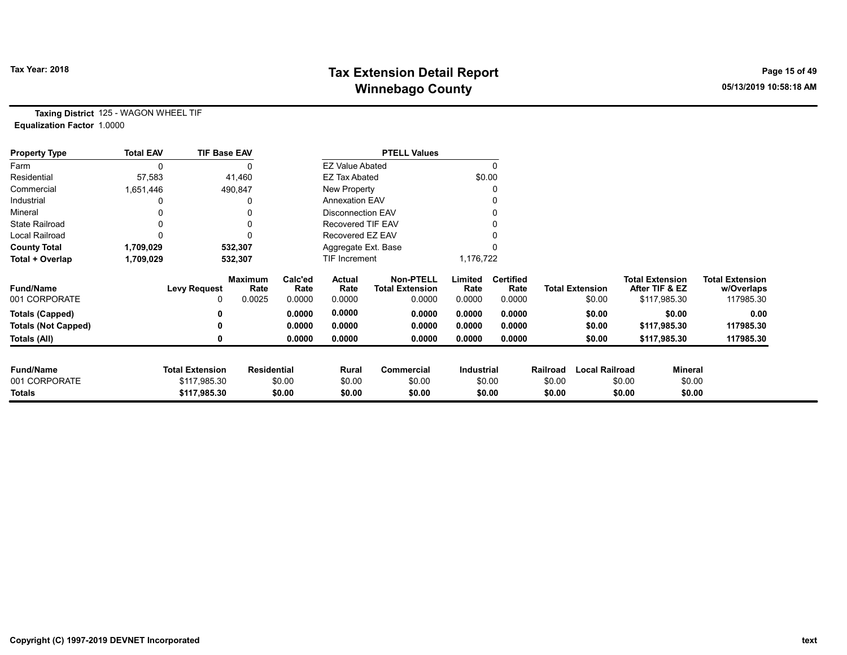# Tax Year: 2018 **Tax Extension Detail Report** Tax Year: 2018 **Page 15 of 49** Winnebago County **Winnebago County COUNTY** 2010 10:58:18 AM

Taxing District 125 - WAGON WHEEL TIF Equalization Factor 1.0000

| <b>Property Type</b>       | <b>Total EAV</b> | <b>TIF Base EAV</b>    |                        |                 |                          | <b>PTELL Values</b>                        |                 |                          |          |                        |                                          |                |                                      |
|----------------------------|------------------|------------------------|------------------------|-----------------|--------------------------|--------------------------------------------|-----------------|--------------------------|----------|------------------------|------------------------------------------|----------------|--------------------------------------|
| Farm                       | 0                |                        |                        |                 | <b>EZ Value Abated</b>   |                                            |                 | 0                        |          |                        |                                          |                |                                      |
| Residential                | 57,583           |                        | 41,460                 |                 | <b>EZ Tax Abated</b>     |                                            |                 | \$0.00                   |          |                        |                                          |                |                                      |
| Commercial                 | 1,651,446        |                        | 490,847                |                 | New Property             |                                            |                 | 0                        |          |                        |                                          |                |                                      |
| Industrial                 |                  |                        | 0                      |                 | <b>Annexation EAV</b>    |                                            |                 |                          |          |                        |                                          |                |                                      |
| Mineral                    |                  |                        | 0                      |                 | <b>Disconnection EAV</b> |                                            |                 | 0                        |          |                        |                                          |                |                                      |
| <b>State Railroad</b>      |                  |                        | 0                      |                 | <b>Recovered TIF EAV</b> |                                            |                 |                          |          |                        |                                          |                |                                      |
| <b>Local Railroad</b>      |                  |                        | O                      |                 | Recovered EZ EAV         |                                            |                 |                          |          |                        |                                          |                |                                      |
| <b>County Total</b>        | 1,709,029        |                        | 532,307                |                 | Aggregate Ext. Base      |                                            |                 |                          |          |                        |                                          |                |                                      |
| Total + Overlap            | 1,709,029        |                        | 532,307                |                 | TIF Increment            |                                            | 1,176,722       |                          |          |                        |                                          |                |                                      |
| <b>Fund/Name</b>           |                  | <b>Levy Request</b>    | <b>Maximum</b><br>Rate | Calc'ed<br>Rate | Actual<br>Rate           | <b>Non-PTELL</b><br><b>Total Extension</b> | Limited<br>Rate | <b>Certified</b><br>Rate |          | <b>Total Extension</b> | <b>Total Extension</b><br>After TIF & EZ |                | <b>Total Extension</b><br>w/Overlaps |
| 001 CORPORATE              |                  |                        | 0.0025                 | 0.0000          | 0.0000                   | 0.0000                                     | 0.0000          | 0.0000                   |          | \$0.00                 | \$117,985.30                             |                | 117985.30                            |
| <b>Totals (Capped)</b>     |                  |                        |                        | 0.0000          | 0.0000                   | 0.0000                                     | 0.0000          | 0.0000                   |          | \$0.00                 |                                          | \$0.00         | 0.00                                 |
| <b>Totals (Not Capped)</b> |                  |                        |                        | 0.0000          | 0.0000                   | 0.0000                                     | 0.0000          | 0.0000                   |          | \$0.00                 | \$117,985.30                             |                | 117985.30                            |
| Totals (All)               |                  |                        |                        | 0.0000          | 0.0000                   | 0.0000                                     | 0.0000          | 0.0000                   |          | \$0.00                 | \$117,985.30                             |                | 117985.30                            |
|                            |                  |                        |                        |                 |                          |                                            |                 |                          |          |                        |                                          |                |                                      |
| <b>Fund/Name</b>           |                  | <b>Total Extension</b> | <b>Residential</b>     |                 | Rural                    | Commercial                                 | Industrial      |                          | Railroad | <b>Local Railroad</b>  |                                          | <b>Mineral</b> |                                      |
| 001 CORPORATE              |                  | \$117,985.30           |                        | \$0.00          | \$0.00                   | \$0.00                                     |                 | \$0.00                   | \$0.00   |                        | \$0.00                                   | \$0.00         |                                      |
| Totals                     |                  | \$117,985.30           |                        | \$0.00          | \$0.00                   | \$0.00                                     |                 | \$0.00                   | \$0.00   |                        | \$0.00                                   | \$0.00         |                                      |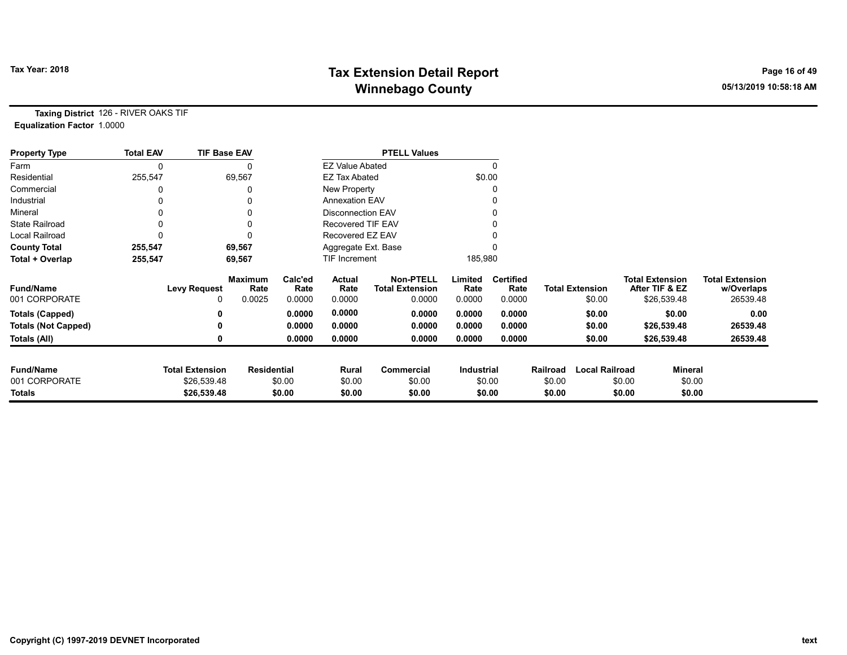# Tax Year: 2018 **Tax Extension Detail Report** Tax Year: 2018 **Page 16 of 49** Winnebago County and the County of the County of the County of the County of the County of the County of the County of the County of the County of the County of the County of the County of the County of the County of the C

Taxing District 126 - RIVER OAKS TIF Equalization Factor 1.0000

| <b>Property Type</b>       | <b>Total EAV</b> | <b>TIF Base EAV</b>    |                        |                 |                          | <b>PTELL Values</b>                        |                   |                          |          |                        |        |                                          |                                      |
|----------------------------|------------------|------------------------|------------------------|-----------------|--------------------------|--------------------------------------------|-------------------|--------------------------|----------|------------------------|--------|------------------------------------------|--------------------------------------|
| Farm                       | 0                |                        |                        |                 | <b>EZ Value Abated</b>   |                                            |                   |                          |          |                        |        |                                          |                                      |
| Residential                | 255,547          |                        | 69,567                 |                 | EZ Tax Abated            |                                            | \$0.00            |                          |          |                        |        |                                          |                                      |
| Commercial                 |                  |                        |                        |                 | New Property             |                                            |                   |                          |          |                        |        |                                          |                                      |
| Industrial                 | 0                |                        |                        |                 | <b>Annexation EAV</b>    |                                            |                   |                          |          |                        |        |                                          |                                      |
| Mineral                    |                  |                        |                        |                 | Disconnection EAV        |                                            |                   |                          |          |                        |        |                                          |                                      |
| <b>State Railroad</b>      | 0                |                        |                        |                 | <b>Recovered TIF EAV</b> |                                            |                   |                          |          |                        |        |                                          |                                      |
| Local Railroad             |                  |                        |                        |                 | Recovered EZ EAV         |                                            |                   |                          |          |                        |        |                                          |                                      |
| <b>County Total</b>        | 255,547          |                        | 69,567                 |                 | Aggregate Ext. Base      |                                            |                   |                          |          |                        |        |                                          |                                      |
| Total + Overlap            | 255,547          |                        | 69,567                 |                 | TIF Increment            |                                            | 185,980           |                          |          |                        |        |                                          |                                      |
| <b>Fund/Name</b>           |                  | <b>Levy Request</b>    | <b>Maximum</b><br>Rate | Calc'ed<br>Rate | Actual<br>Rate           | <b>Non-PTELL</b><br><b>Total Extension</b> | Limited<br>Rate   | <b>Certified</b><br>Rate |          | <b>Total Extension</b> |        | <b>Total Extension</b><br>After TIF & EZ | <b>Total Extension</b><br>w/Overlaps |
| 001 CORPORATE              |                  | 0                      | 0.0025                 | 0.0000          | 0.0000                   | 0.0000                                     | 0.0000            | 0.0000                   |          | \$0.00                 |        | \$26,539.48                              | 26539.48                             |
| <b>Totals (Capped)</b>     |                  | 0                      |                        | 0.0000          | 0.0000                   | 0.0000                                     | 0.0000            | 0.0000                   |          | \$0.00                 |        | \$0.00                                   | 0.00                                 |
| <b>Totals (Not Capped)</b> |                  | 0                      |                        | 0.0000          | 0.0000                   | 0.0000                                     | 0.0000            | 0.0000                   |          | \$0.00                 |        | \$26,539.48                              | 26539.48                             |
| Totals (All)               |                  | 0                      |                        | 0.0000          | 0.0000                   | 0.0000                                     | 0.0000            | 0.0000                   |          | \$0.00                 |        | \$26,539.48                              | 26539.48                             |
|                            |                  |                        |                        |                 |                          |                                            |                   |                          |          |                        |        |                                          |                                      |
| <b>Fund/Name</b>           |                  | <b>Total Extension</b> | <b>Residential</b>     |                 | Rural                    | Commercial                                 | <b>Industrial</b> |                          | Railroad | <b>Local Railroad</b>  |        | <b>Mineral</b>                           |                                      |
| 001 CORPORATE              |                  | \$26,539.48            |                        | \$0.00          | \$0.00                   | \$0.00                                     |                   | \$0.00                   | \$0.00   |                        | \$0.00 | \$0.00                                   |                                      |
| Totals                     |                  | \$26,539.48            |                        | \$0.00          | \$0.00                   | \$0.00                                     |                   | \$0.00                   | \$0.00   |                        | \$0.00 | \$0.00                                   |                                      |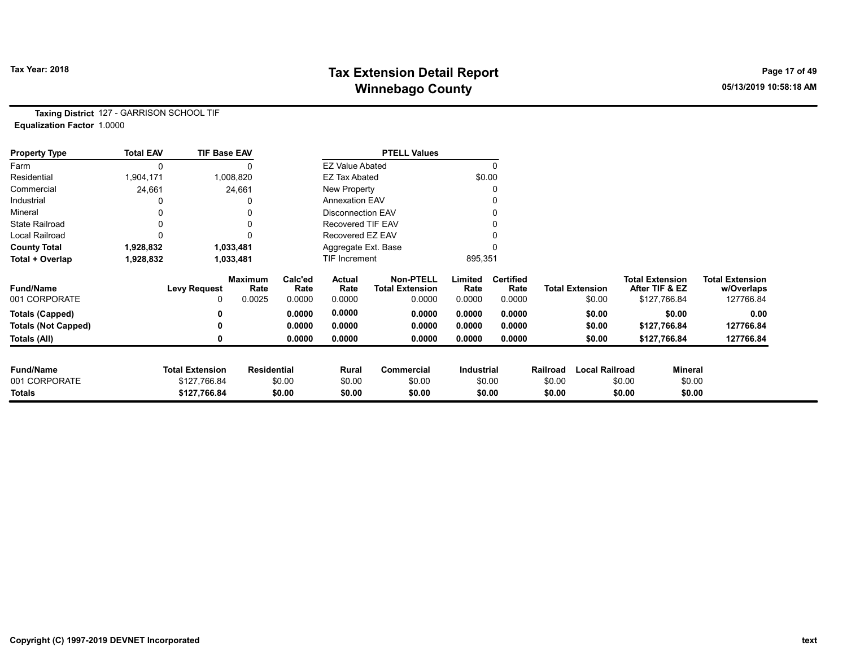# Tax Year: 2018 **Tax Extension Detail Report** Tax Year: 2018 **Page 17 of 49** Winnebago County and the County of the County of the County of the County of the County of the County of the County of the County of the County of the County of the County of the County of the County of the County of the C

Taxing District 127 - GARRISON SCHOOL TIF Equalization Factor 1.0000

| <b>Property Type</b>       | <b>Total EAV</b> | <b>TIF Base EAV</b>    |                        |                 |                          | <b>PTELL Values</b>                        |                 |                          |          |                        |                                          |                |                                      |
|----------------------------|------------------|------------------------|------------------------|-----------------|--------------------------|--------------------------------------------|-----------------|--------------------------|----------|------------------------|------------------------------------------|----------------|--------------------------------------|
| Farm                       | 0                |                        |                        |                 | <b>EZ Value Abated</b>   |                                            |                 | $\Omega$                 |          |                        |                                          |                |                                      |
| Residential                | 1,904,171        |                        | 1,008,820              |                 | <b>EZ Tax Abated</b>     |                                            |                 | \$0.00                   |          |                        |                                          |                |                                      |
| Commercial                 | 24,661           |                        | 24,661                 |                 | New Property             |                                            |                 |                          |          |                        |                                          |                |                                      |
| Industrial                 |                  |                        |                        |                 | <b>Annexation EAV</b>    |                                            |                 |                          |          |                        |                                          |                |                                      |
| Mineral                    |                  |                        |                        |                 | <b>Disconnection EAV</b> |                                            |                 |                          |          |                        |                                          |                |                                      |
| <b>State Railroad</b>      |                  |                        | 0                      |                 | Recovered TIF EAV        |                                            |                 |                          |          |                        |                                          |                |                                      |
| <b>Local Railroad</b>      |                  |                        | 0                      |                 | Recovered EZ EAV         |                                            |                 |                          |          |                        |                                          |                |                                      |
| <b>County Total</b>        | 1,928,832        |                        | 1,033,481              |                 | Aggregate Ext. Base      |                                            |                 |                          |          |                        |                                          |                |                                      |
| Total + Overlap            | 1,928,832        |                        | 1,033,481              |                 | <b>TIF Increment</b>     |                                            | 895,351         |                          |          |                        |                                          |                |                                      |
| <b>Fund/Name</b>           |                  | <b>Levy Request</b>    | <b>Maximum</b><br>Rate | Calc'ed<br>Rate | Actual<br>Rate           | <b>Non-PTELL</b><br><b>Total Extension</b> | Limited<br>Rate | <b>Certified</b><br>Rate |          | <b>Total Extension</b> | <b>Total Extension</b><br>After TIF & EZ |                | <b>Total Extension</b><br>w/Overlaps |
| 001 CORPORATE              |                  |                        | 0.0025                 | 0.0000          | 0.0000                   | 0.0000                                     | 0.0000          | 0.0000                   |          | \$0.00                 | \$127,766.84                             |                | 127766.84                            |
| <b>Totals (Capped)</b>     |                  |                        |                        | 0.0000          | 0.0000                   | 0.0000                                     | 0.0000          | 0.0000                   |          | \$0.00                 |                                          | \$0.00         | 0.00                                 |
| <b>Totals (Not Capped)</b> |                  |                        |                        | 0.0000          | 0.0000                   | 0.0000                                     | 0.0000          | 0.0000                   |          | \$0.00                 | \$127,766.84                             |                | 127766.84                            |
| Totals (All)               |                  |                        |                        | 0.0000          | 0.0000                   | 0.0000                                     | 0.0000          | 0.0000                   |          | \$0.00                 | \$127,766.84                             |                | 127766.84                            |
| <b>Fund/Name</b>           |                  | <b>Total Extension</b> | <b>Residential</b>     |                 | Rural                    | <b>Commercial</b>                          | Industrial      |                          | Railroad | <b>Local Railroad</b>  |                                          | <b>Mineral</b> |                                      |
| 001 CORPORATE              |                  | \$127,766.84           |                        | \$0.00          | \$0.00                   | \$0.00                                     |                 | \$0.00                   | \$0.00   |                        | \$0.00                                   | \$0.00         |                                      |
| Totals                     |                  | \$127,766.84           |                        | \$0.00          | \$0.00                   | \$0.00                                     |                 | \$0.00                   | \$0.00   |                        | \$0.00                                   | \$0.00         |                                      |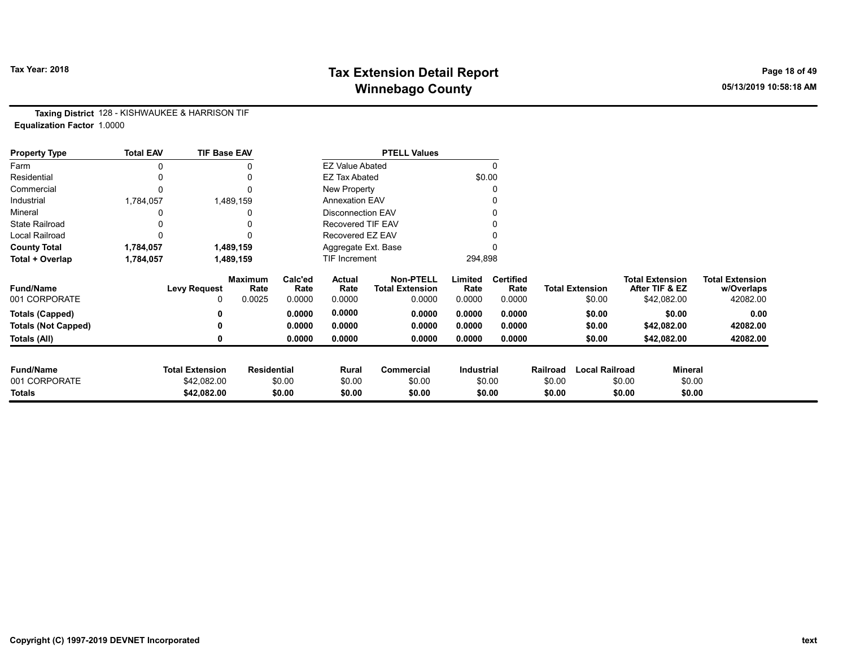# Tax Year: 2018 **Tax Extension Detail Report** Tax Year: 2018 **Page 18 of 49** Winnebago County and the County of the County of the County of the County of the County of the County of the County of the County of the County of the County of the County of the County of the County of the County of the C

Taxing District 128 - KISHWAUKEE & HARRISON TIF Equalization Factor 1.0000

| <b>Property Type</b>       | <b>Total EAV</b> | <b>TIF Base EAV</b>    |                        |                 |                          | <b>PTELL Values</b>                        |                 |                          |          |                        |                        |                |                                      |
|----------------------------|------------------|------------------------|------------------------|-----------------|--------------------------|--------------------------------------------|-----------------|--------------------------|----------|------------------------|------------------------|----------------|--------------------------------------|
| Farm                       |                  |                        |                        |                 | <b>EZ Value Abated</b>   |                                            |                 | 0                        |          |                        |                        |                |                                      |
| Residential                |                  |                        |                        |                 | <b>EZ Tax Abated</b>     |                                            | \$0.00          |                          |          |                        |                        |                |                                      |
| Commercial                 |                  |                        |                        |                 | New Property             |                                            |                 | 0                        |          |                        |                        |                |                                      |
| Industrial                 | 1,784,057        |                        | 1,489,159              |                 | <b>Annexation EAV</b>    |                                            |                 |                          |          |                        |                        |                |                                      |
| Mineral                    |                  |                        |                        |                 | <b>Disconnection EAV</b> |                                            |                 | 0                        |          |                        |                        |                |                                      |
| <b>State Railroad</b>      |                  |                        |                        |                 | <b>Recovered TIF EAV</b> |                                            |                 |                          |          |                        |                        |                |                                      |
| <b>Local Railroad</b>      |                  |                        |                        |                 | Recovered EZ EAV         |                                            |                 |                          |          |                        |                        |                |                                      |
| <b>County Total</b>        | 1,784,057        |                        | 1,489,159              |                 | Aggregate Ext. Base      |                                            |                 |                          |          |                        |                        |                |                                      |
| Total + Overlap            | 1,784,057        |                        | 1,489,159              |                 | TIF Increment            |                                            | 294,898         |                          |          |                        |                        |                |                                      |
| <b>Fund/Name</b>           |                  | <b>Levy Request</b>    | <b>Maximum</b><br>Rate | Calc'ed<br>Rate | Actual<br>Rate           | <b>Non-PTELL</b><br><b>Total Extension</b> | Limited<br>Rate | <b>Certified</b><br>Rate |          | <b>Total Extension</b> | <b>Total Extension</b> | After TIF & EZ | <b>Total Extension</b><br>w/Overlaps |
| 001 CORPORATE              |                  | 0                      | 0.0025                 | 0.0000          | 0.0000                   | 0.0000                                     | 0.0000          | 0.0000                   |          | \$0.00                 |                        | \$42,082.00    | 42082.00                             |
| <b>Totals (Capped)</b>     |                  |                        |                        | 0.0000          | 0.0000                   | 0.0000                                     | 0.0000          | 0.0000                   |          | \$0.00                 |                        | \$0.00         | 0.00                                 |
| <b>Totals (Not Capped)</b> |                  |                        |                        | 0.0000          | 0.0000                   | 0.0000                                     | 0.0000          | 0.0000                   |          | \$0.00                 |                        | \$42,082.00    | 42082.00                             |
| Totals (All)               |                  |                        |                        | 0.0000          | 0.0000                   | 0.0000                                     | 0.0000          | 0.0000                   |          | \$0.00                 |                        | \$42,082.00    | 42082.00                             |
| <b>Fund/Name</b>           |                  | <b>Total Extension</b> | <b>Residential</b>     |                 | Rural                    | Commercial                                 | Industrial      |                          | Railroad | <b>Local Railroad</b>  |                        | <b>Mineral</b> |                                      |
| 001 CORPORATE              |                  | \$42,082.00            |                        | \$0.00          | \$0.00                   | \$0.00                                     |                 | \$0.00                   | \$0.00   |                        | \$0.00                 | \$0.00         |                                      |
| Totals                     |                  | \$42,082.00            |                        | \$0.00          | \$0.00                   | \$0.00                                     |                 | \$0.00                   | \$0.00   |                        | \$0.00                 | \$0.00         |                                      |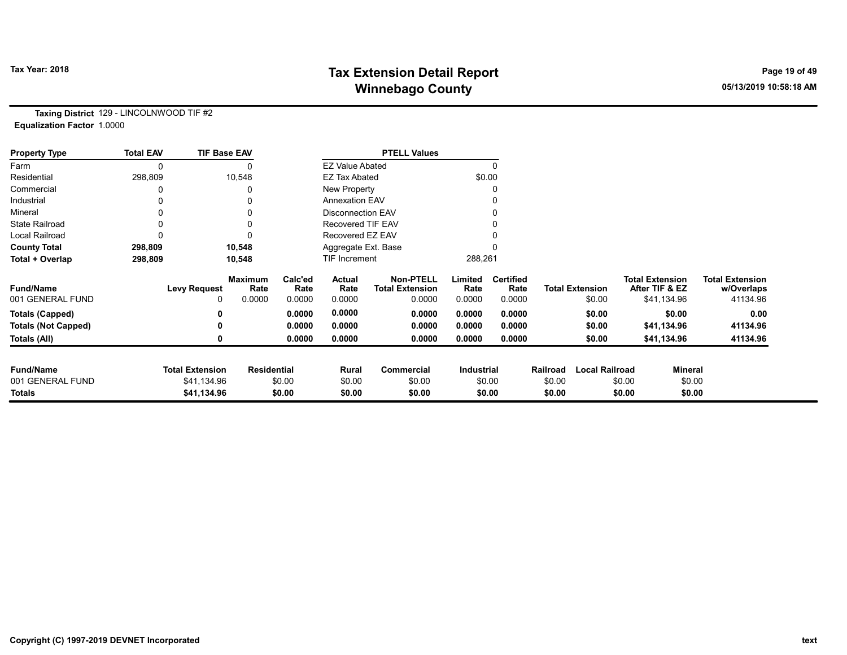# Tax Year: 2018 **Tax Extension Detail Report** Tax Year: 2018 **Page 19 of 49** Winnebago County and the County of the County of the County of the County of the County of the County of the County of the County of the County of the County of the County of the County of the County of the County of the C

Taxing District 129 - LINCOLNWOOD TIF #2 Equalization Factor 1.0000

| <b>Property Type</b>       | <b>Total EAV</b> | <b>TIF Base EAV</b>    |                        |                 |                          | <b>PTELL Values</b>                        |                 |                          |          |                        |        |                                          |                                      |
|----------------------------|------------------|------------------------|------------------------|-----------------|--------------------------|--------------------------------------------|-----------------|--------------------------|----------|------------------------|--------|------------------------------------------|--------------------------------------|
| Farm                       |                  |                        |                        |                 | <b>EZ Value Abated</b>   |                                            |                 | $\Omega$                 |          |                        |        |                                          |                                      |
| Residential                | 298,809          |                        | 10,548                 |                 | <b>EZ Tax Abated</b>     |                                            | \$0.00          |                          |          |                        |        |                                          |                                      |
| Commercial                 |                  |                        |                        |                 | New Property             |                                            |                 | 0                        |          |                        |        |                                          |                                      |
| Industrial                 |                  |                        |                        |                 | <b>Annexation EAV</b>    |                                            |                 |                          |          |                        |        |                                          |                                      |
| Mineral                    |                  |                        |                        |                 | <b>Disconnection EAV</b> |                                            |                 | 0                        |          |                        |        |                                          |                                      |
| <b>State Railroad</b>      |                  |                        |                        |                 | <b>Recovered TIF EAV</b> |                                            |                 |                          |          |                        |        |                                          |                                      |
| <b>Local Railroad</b>      |                  |                        |                        |                 | Recovered EZ EAV         |                                            |                 |                          |          |                        |        |                                          |                                      |
| <b>County Total</b>        | 298,809          |                        | 10,548                 |                 | Aggregate Ext. Base      |                                            |                 |                          |          |                        |        |                                          |                                      |
| Total + Overlap            | 298,809          |                        | 10,548                 |                 | <b>TIF Increment</b>     |                                            | 288,261         |                          |          |                        |        |                                          |                                      |
| <b>Fund/Name</b>           |                  | <b>Levy Request</b>    | <b>Maximum</b><br>Rate | Calc'ed<br>Rate | Actual<br>Rate           | <b>Non-PTELL</b><br><b>Total Extension</b> | Limited<br>Rate | <b>Certified</b><br>Rate |          | <b>Total Extension</b> |        | <b>Total Extension</b><br>After TIF & EZ | <b>Total Extension</b><br>w/Overlaps |
| 001 GENERAL FUND           |                  | 0                      | 0.0000                 | 0.0000          | 0.0000                   | 0.0000                                     | 0.0000          | 0.0000                   |          | \$0.00                 |        | \$41,134.96                              | 41134.96                             |
| <b>Totals (Capped)</b>     |                  |                        |                        | 0.0000          | 0.0000                   | 0.0000                                     | 0.0000          | 0.0000                   |          | \$0.00                 |        | \$0.00                                   | 0.00                                 |
| <b>Totals (Not Capped)</b> |                  |                        |                        | 0.0000          | 0.0000                   | 0.0000                                     | 0.0000          | 0.0000                   |          | \$0.00                 |        | \$41,134.96                              | 41134.96                             |
| Totals (All)               |                  |                        |                        | 0.0000          | 0.0000                   | 0.0000                                     | 0.0000          | 0.0000                   |          | \$0.00                 |        | \$41,134.96                              | 41134.96                             |
| <b>Fund/Name</b>           |                  | <b>Total Extension</b> | <b>Residential</b>     |                 | Rural                    | Commercial                                 | Industrial      |                          | Railroad | <b>Local Railroad</b>  |        | <b>Mineral</b>                           |                                      |
| 001 GENERAL FUND           |                  | \$41,134.96            |                        | \$0.00          | \$0.00                   | \$0.00                                     |                 | \$0.00                   | \$0.00   |                        | \$0.00 | \$0.00                                   |                                      |
| <b>Totals</b>              |                  | \$41,134.96            |                        | \$0.00          | \$0.00                   | \$0.00                                     |                 | \$0.00                   | \$0.00   |                        | \$0.00 | \$0.00                                   |                                      |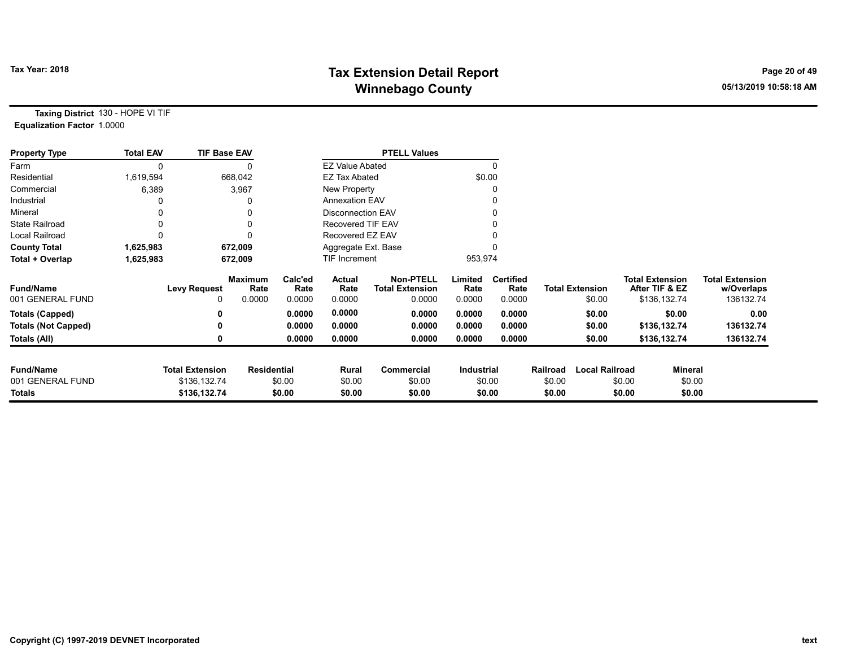# Tax Year: 2018 **Tax Extension Detail Report** Tax Year: 2018 **Page 20 of 49** Winnebago County and the County of the County of the County of the County of the County of the County of the County of the County of the County of the County of the County of the County of the County of the County of the C

Taxing District 130 - HOPE VI TIF Equalization Factor 1.0000

| <b>Property Type</b>       | <b>Total EAV</b> | <b>TIF Base EAV</b>    |                        |                 |                          | <b>PTELL Values</b>                        |                   |                          |          |                        |                                          |         |                                      |
|----------------------------|------------------|------------------------|------------------------|-----------------|--------------------------|--------------------------------------------|-------------------|--------------------------|----------|------------------------|------------------------------------------|---------|--------------------------------------|
| Farm                       | 0                |                        |                        |                 | <b>EZ Value Abated</b>   |                                            |                   |                          |          |                        |                                          |         |                                      |
| Residential                | 1,619,594        |                        | 668,042                |                 | <b>EZ Tax Abated</b>     |                                            | \$0.00            |                          |          |                        |                                          |         |                                      |
| Commercial                 | 6,389            |                        | 3,967                  |                 | New Property             |                                            |                   |                          |          |                        |                                          |         |                                      |
| Industrial                 |                  |                        |                        |                 | <b>Annexation EAV</b>    |                                            |                   |                          |          |                        |                                          |         |                                      |
| Mineral                    |                  |                        |                        |                 | <b>Disconnection EAV</b> |                                            |                   |                          |          |                        |                                          |         |                                      |
| <b>State Railroad</b>      |                  |                        | 0                      |                 | Recovered TIF EAV        |                                            |                   |                          |          |                        |                                          |         |                                      |
| <b>Local Railroad</b>      |                  |                        |                        |                 | Recovered EZ EAV         |                                            |                   |                          |          |                        |                                          |         |                                      |
| <b>County Total</b>        | 1,625,983        |                        | 672,009                |                 | Aggregate Ext. Base      |                                            |                   |                          |          |                        |                                          |         |                                      |
| Total + Overlap            | 1,625,983        |                        | 672,009                |                 | TIF Increment            |                                            | 953,974           |                          |          |                        |                                          |         |                                      |
| <b>Fund/Name</b>           |                  | <b>Levy Request</b>    | <b>Maximum</b><br>Rate | Calc'ed<br>Rate | Actual<br>Rate           | <b>Non-PTELL</b><br><b>Total Extension</b> | Limited<br>Rate   | <b>Certified</b><br>Rate |          | <b>Total Extension</b> | <b>Total Extension</b><br>After TIF & EZ |         | <b>Total Extension</b><br>w/Overlaps |
| 001 GENERAL FUND           |                  |                        | 0.0000                 | 0.0000          | 0.0000                   | 0.0000                                     | 0.0000            | 0.0000                   |          | \$0.00                 | \$136,132.74                             |         | 136132.74                            |
| <b>Totals (Capped)</b>     |                  |                        |                        | 0.0000          | 0.0000                   | 0.0000                                     | 0.0000            | 0.0000                   |          | \$0.00                 |                                          | \$0.00  | 0.00                                 |
| <b>Totals (Not Capped)</b> |                  |                        |                        | 0.0000          | 0.0000                   | 0.0000                                     | 0.0000            | 0.0000                   |          | \$0.00                 | \$136,132.74                             |         | 136132.74                            |
| Totals (All)               |                  | 0                      |                        | 0.0000          | 0.0000                   | 0.0000                                     | 0.0000            | 0.0000                   |          | \$0.00                 | \$136,132.74                             |         | 136132.74                            |
|                            |                  |                        |                        |                 |                          |                                            |                   |                          |          |                        |                                          |         |                                      |
| <b>Fund/Name</b>           |                  | <b>Total Extension</b> | <b>Residential</b>     |                 | Rural                    | Commercial                                 | <b>Industrial</b> |                          | Railroad | <b>Local Railroad</b>  |                                          | Mineral |                                      |
| 001 GENERAL FUND           |                  | \$136,132.74           |                        | \$0.00          | \$0.00                   | \$0.00                                     |                   | \$0.00                   | \$0.00   |                        | \$0.00                                   | \$0.00  |                                      |
| <b>Totals</b>              |                  | \$136,132.74           |                        | \$0.00          | \$0.00                   | \$0.00                                     |                   | \$0.00                   | \$0.00   |                        | \$0.00                                   | \$0.00  |                                      |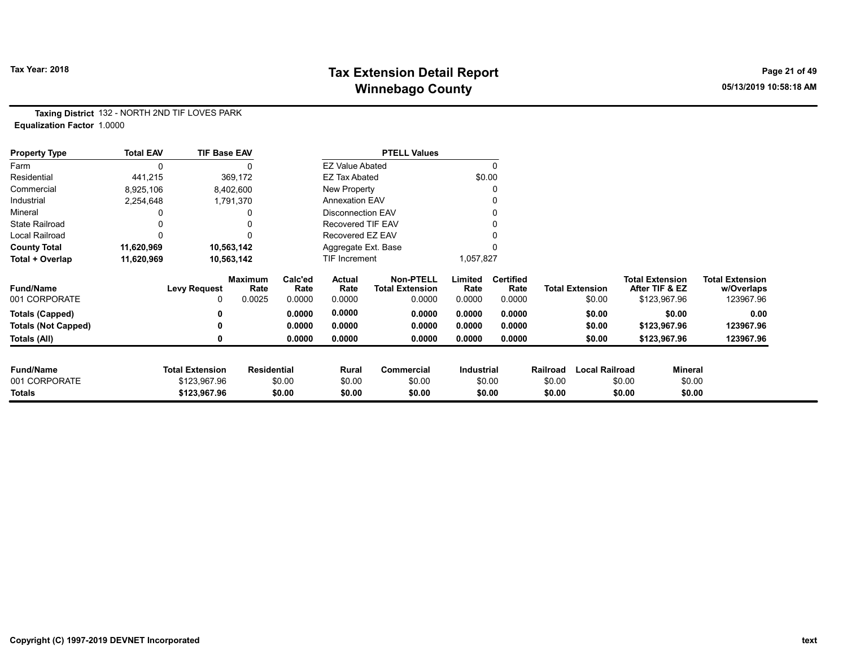# Tax Year: 2018 **Tax Extension Detail Report** Tax Year: 2018 **Page 21 of 49** Winnebago County and the County of the County of the County of the County of the County of the County of the County of the County of the County of the County of the County of the County of the County of the County of the C

Taxing District 132 - NORTH 2ND TIF LOVES PARK Equalization Factor 1.0000

| <b>Property Type</b>       | <b>Total EAV</b> | <b>TIF Base EAV</b>    |                        |                 |                          | <b>PTELL Values</b>                        |                 |                          |          |                        |                        |                |                                      |
|----------------------------|------------------|------------------------|------------------------|-----------------|--------------------------|--------------------------------------------|-----------------|--------------------------|----------|------------------------|------------------------|----------------|--------------------------------------|
| Farm                       | $\mathbf{0}$     |                        |                        |                 | <b>EZ Value Abated</b>   |                                            |                 | 0                        |          |                        |                        |                |                                      |
| Residential                | 441,215          |                        | 369,172                |                 | <b>EZ Tax Abated</b>     |                                            |                 | \$0.00                   |          |                        |                        |                |                                      |
| Commercial                 | 8,925,106        |                        | 8,402,600              |                 | New Property             |                                            |                 | 0                        |          |                        |                        |                |                                      |
| Industrial                 | 2,254,648        |                        | 1,791,370              |                 | <b>Annexation EAV</b>    |                                            |                 |                          |          |                        |                        |                |                                      |
| Mineral                    |                  |                        |                        |                 | <b>Disconnection EAV</b> |                                            |                 | 0                        |          |                        |                        |                |                                      |
| <b>State Railroad</b>      |                  |                        |                        |                 | <b>Recovered TIF EAV</b> |                                            |                 |                          |          |                        |                        |                |                                      |
| <b>Local Railroad</b>      |                  |                        |                        |                 | Recovered EZ EAV         |                                            |                 |                          |          |                        |                        |                |                                      |
| <b>County Total</b>        | 11,620,969       |                        | 10,563,142             |                 | Aggregate Ext. Base      |                                            |                 |                          |          |                        |                        |                |                                      |
| Total + Overlap            | 11,620,969       |                        | 10,563,142             |                 | TIF Increment            |                                            | 1,057,827       |                          |          |                        |                        |                |                                      |
| <b>Fund/Name</b>           |                  | <b>Levy Request</b>    | <b>Maximum</b><br>Rate | Calc'ed<br>Rate | Actual<br>Rate           | <b>Non-PTELL</b><br><b>Total Extension</b> | Limited<br>Rate | <b>Certified</b><br>Rate |          | <b>Total Extension</b> | <b>Total Extension</b> | After TIF & EZ | <b>Total Extension</b><br>w/Overlaps |
| 001 CORPORATE              |                  |                        | 0.0025                 | 0.0000          | 0.0000                   | 0.0000                                     | 0.0000          | 0.0000                   |          | \$0.00                 |                        | \$123,967.96   | 123967.96                            |
| <b>Totals (Capped)</b>     |                  |                        |                        | 0.0000          | 0.0000                   | 0.0000                                     | 0.0000          | 0.0000                   |          | \$0.00                 |                        | \$0.00         | 0.00                                 |
| <b>Totals (Not Capped)</b> |                  |                        |                        | 0.0000          | 0.0000                   | 0.0000                                     | 0.0000          | 0.0000                   |          | \$0.00                 |                        | \$123,967.96   | 123967.96                            |
| Totals (All)               |                  |                        |                        | 0.0000          | 0.0000                   | 0.0000                                     | 0.0000          | 0.0000                   |          | \$0.00                 |                        | \$123,967.96   | 123967.96                            |
| <b>Fund/Name</b>           |                  | <b>Total Extension</b> | <b>Residential</b>     |                 | Rural                    | Commercial                                 | Industrial      |                          | Railroad | <b>Local Railroad</b>  |                        | <b>Mineral</b> |                                      |
| 001 CORPORATE              |                  | \$123,967.96           |                        | \$0.00          | \$0.00                   | \$0.00                                     |                 | \$0.00                   | \$0.00   |                        | \$0.00                 | \$0.00         |                                      |
| Totals                     |                  | \$123,967.96           |                        | \$0.00          | \$0.00                   | \$0.00                                     |                 | \$0.00                   | \$0.00   |                        | \$0.00                 | \$0.00         |                                      |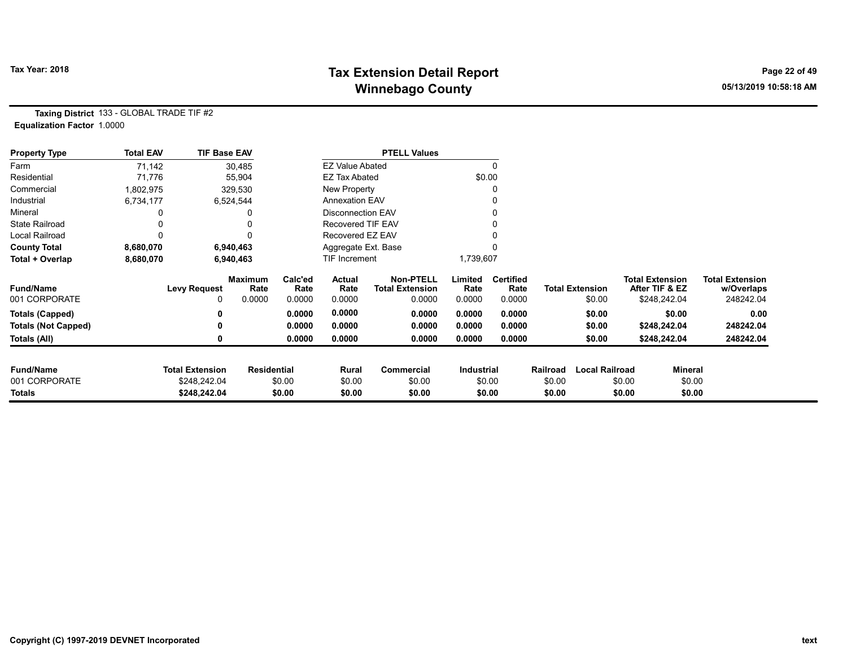# Tax Year: 2018 **Tax Extension Detail Report** Tax Year: 2018 **Page 22 of 49** Winnebago County and the County of the County of the County of the County of the County of the County of the County of the County of the County of the County of the County of the County of the County of the County of the C

Taxing District 133 - GLOBAL TRADE TIF #2 Equalization Factor 1.0000

| <b>Property Type</b>              | <b>Total EAV</b> | <b>TIF Base EAV</b>                    |                        |                 |                          | <b>PTELL Values</b>                        |                   |                          |                  |                        |                                          |                |                                      |
|-----------------------------------|------------------|----------------------------------------|------------------------|-----------------|--------------------------|--------------------------------------------|-------------------|--------------------------|------------------|------------------------|------------------------------------------|----------------|--------------------------------------|
| Farm                              | 71,142           |                                        | 30,485                 |                 | <b>EZ Value Abated</b>   |                                            |                   |                          |                  |                        |                                          |                |                                      |
| Residential                       | 71,776           |                                        | 55,904                 |                 | <b>EZ Tax Abated</b>     |                                            | \$0.00            |                          |                  |                        |                                          |                |                                      |
| Commercial                        | 1,802,975        |                                        | 329,530                |                 | New Property             |                                            |                   |                          |                  |                        |                                          |                |                                      |
| Industrial                        | 6,734,177        |                                        | 6,524,544              |                 | <b>Annexation EAV</b>    |                                            |                   |                          |                  |                        |                                          |                |                                      |
| Mineral                           |                  |                                        |                        |                 | <b>Disconnection EAV</b> |                                            |                   |                          |                  |                        |                                          |                |                                      |
| <b>State Railroad</b>             |                  |                                        |                        |                 | <b>Recovered TIF EAV</b> |                                            |                   |                          |                  |                        |                                          |                |                                      |
| Local Railroad                    |                  |                                        |                        |                 | Recovered EZ EAV         |                                            |                   |                          |                  |                        |                                          |                |                                      |
| <b>County Total</b>               | 8,680,070        |                                        | 6,940,463              |                 | Aggregate Ext. Base      |                                            |                   |                          |                  |                        |                                          |                |                                      |
| Total + Overlap                   | 8,680,070        |                                        | 6,940,463              |                 | TIF Increment            |                                            | 1,739,607         |                          |                  |                        |                                          |                |                                      |
| <b>Fund/Name</b>                  |                  | <b>Levy Request</b>                    | <b>Maximum</b><br>Rate | Calc'ed<br>Rate | Actual<br>Rate           | <b>Non-PTELL</b><br><b>Total Extension</b> | Limited<br>Rate   | <b>Certified</b><br>Rate |                  | <b>Total Extension</b> | <b>Total Extension</b><br>After TIF & EZ |                | <b>Total Extension</b><br>w/Overlaps |
| 001 CORPORATE                     |                  | 0                                      | 0.0000                 | 0.0000          | 0.0000                   | 0.0000                                     | 0.0000            | 0.0000                   |                  | \$0.00                 | \$248,242.04                             |                | 248242.04                            |
| <b>Totals (Capped)</b>            |                  | 0                                      |                        | 0.0000          | 0.0000                   | 0.0000                                     | 0.0000            | 0.0000                   |                  | \$0.00                 |                                          | \$0.00         | 0.00                                 |
| <b>Totals (Not Capped)</b>        |                  | 0                                      |                        | 0.0000          | 0.0000                   | 0.0000                                     | 0.0000            | 0.0000                   |                  | \$0.00                 | \$248,242.04                             |                | 248242.04                            |
| Totals (All)                      |                  | 0                                      |                        | 0.0000          | 0.0000                   | 0.0000                                     | 0.0000            | 0.0000                   |                  | \$0.00                 | \$248,242.04                             |                | 248242.04                            |
|                                   |                  |                                        |                        |                 |                          |                                            |                   |                          |                  |                        |                                          |                |                                      |
| <b>Fund/Name</b><br>001 CORPORATE |                  | <b>Total Extension</b><br>\$248,242.04 | <b>Residential</b>     |                 | Rural                    | Commercial                                 | <b>Industrial</b> |                          | Railroad         | <b>Local Railroad</b>  |                                          | <b>Mineral</b> |                                      |
| <b>Totals</b>                     |                  | \$248,242.04                           |                        | \$0.00          | \$0.00                   | \$0.00<br>\$0.00                           |                   | \$0.00<br>\$0.00         | \$0.00<br>\$0.00 |                        | \$0.00<br>\$0.00                         | \$0.00         |                                      |
|                                   |                  |                                        |                        | \$0.00          | \$0.00                   |                                            |                   |                          |                  |                        |                                          | \$0.00         |                                      |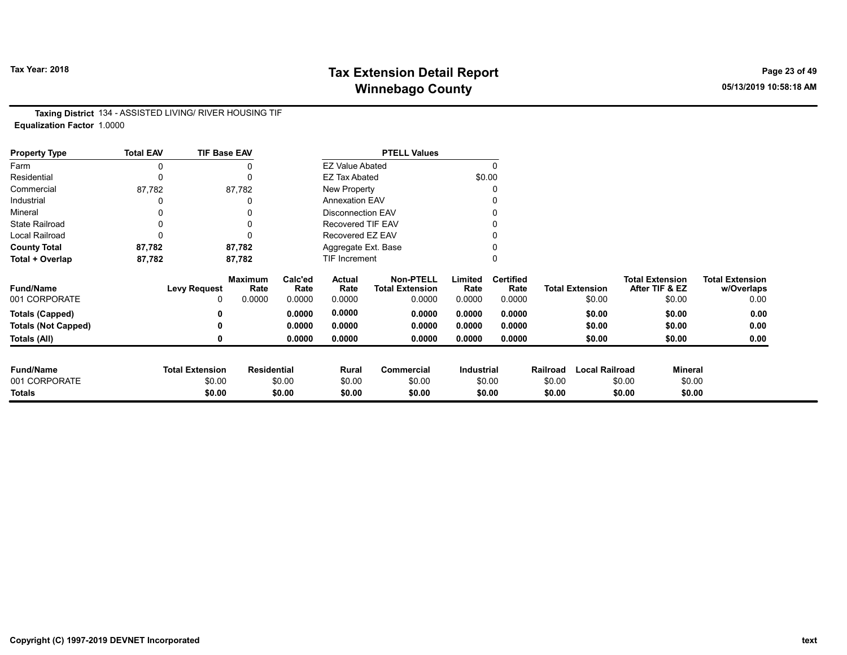# Tax Year: 2018 **Tax Extension Detail Report** Tax Year: 2018 **Page 23 of 49** Winnebago County and the County of the County of the County of the County of the County of the County of the County of the County of the County of the County of the County of the County of the County of the County of the C

Taxing District 134 - ASSISTED LIVING/ RIVER HOUSING TIF Equalization Factor 1.0000

| <b>Property Type</b>       | <b>Total EAV</b> | <b>TIF Base EAV</b>    |                        |                 |                          | <b>PTELL Values</b>                        |                   |                          |          |                        |                                          |                |                                      |
|----------------------------|------------------|------------------------|------------------------|-----------------|--------------------------|--------------------------------------------|-------------------|--------------------------|----------|------------------------|------------------------------------------|----------------|--------------------------------------|
| Farm                       |                  |                        |                        |                 | <b>EZ Value Abated</b>   |                                            |                   | $\Omega$                 |          |                        |                                          |                |                                      |
| Residential                | 0                |                        | $\mathbf{0}$           |                 | <b>EZ Tax Abated</b>     |                                            | \$0.00            |                          |          |                        |                                          |                |                                      |
| Commercial                 | 87,782           |                        | 87,782                 |                 | New Property             |                                            |                   |                          |          |                        |                                          |                |                                      |
| Industrial                 |                  |                        |                        |                 | <b>Annexation EAV</b>    |                                            |                   |                          |          |                        |                                          |                |                                      |
| Mineral                    |                  |                        |                        |                 | <b>Disconnection EAV</b> |                                            |                   |                          |          |                        |                                          |                |                                      |
| <b>State Railroad</b>      | $\mathbf{0}$     |                        |                        |                 | <b>Recovered TIF EAV</b> |                                            |                   |                          |          |                        |                                          |                |                                      |
| Local Railroad             |                  |                        |                        |                 | Recovered EZ EAV         |                                            |                   |                          |          |                        |                                          |                |                                      |
| <b>County Total</b>        | 87,782           |                        | 87,782                 |                 | Aggregate Ext. Base      |                                            |                   |                          |          |                        |                                          |                |                                      |
| Total + Overlap            | 87,782           |                        | 87,782                 |                 | <b>TIF Increment</b>     |                                            |                   |                          |          |                        |                                          |                |                                      |
| <b>Fund/Name</b>           |                  | <b>Levy Request</b>    | <b>Maximum</b><br>Rate | Calc'ed<br>Rate | Actual<br>Rate           | <b>Non-PTELL</b><br><b>Total Extension</b> | Limited<br>Rate   | <b>Certified</b><br>Rate |          | <b>Total Extension</b> | <b>Total Extension</b><br>After TIF & EZ |                | <b>Total Extension</b><br>w/Overlaps |
| 001 CORPORATE              |                  | 0                      | 0.0000                 | 0.0000          | 0.0000                   | 0.0000                                     | 0.0000            | 0.0000                   |          | \$0.00                 |                                          | \$0.00         | 0.00                                 |
| <b>Totals (Capped)</b>     |                  |                        |                        | 0.0000          | 0.0000                   | 0.0000                                     | 0.0000            | 0.0000                   |          | \$0.00                 |                                          | \$0.00         | 0.00                                 |
| <b>Totals (Not Capped)</b> |                  |                        |                        | 0.0000          | 0.0000                   | 0.0000                                     | 0.0000            | 0.0000                   |          | \$0.00                 |                                          | \$0.00         | 0.00                                 |
| Totals (All)               |                  |                        |                        | 0.0000          | 0.0000                   | 0.0000                                     | 0.0000            | 0.0000                   |          | \$0.00                 |                                          | \$0.00         | 0.00                                 |
|                            |                  |                        |                        |                 |                          |                                            |                   |                          |          |                        |                                          |                |                                      |
| <b>Fund/Name</b>           |                  | <b>Total Extension</b> | <b>Residential</b>     |                 | Rural                    | Commercial                                 | <b>Industrial</b> |                          | Railroad | <b>Local Railroad</b>  |                                          | <b>Mineral</b> |                                      |
| 001 CORPORATE              |                  | \$0.00                 |                        | \$0.00          | \$0.00                   | \$0.00                                     |                   | \$0.00                   | \$0.00   |                        | \$0.00                                   | \$0.00         |                                      |
| <b>Totals</b>              |                  | \$0.00                 |                        | \$0.00          | \$0.00                   | \$0.00                                     |                   | \$0.00                   | \$0.00   |                        | \$0.00                                   | \$0.00         |                                      |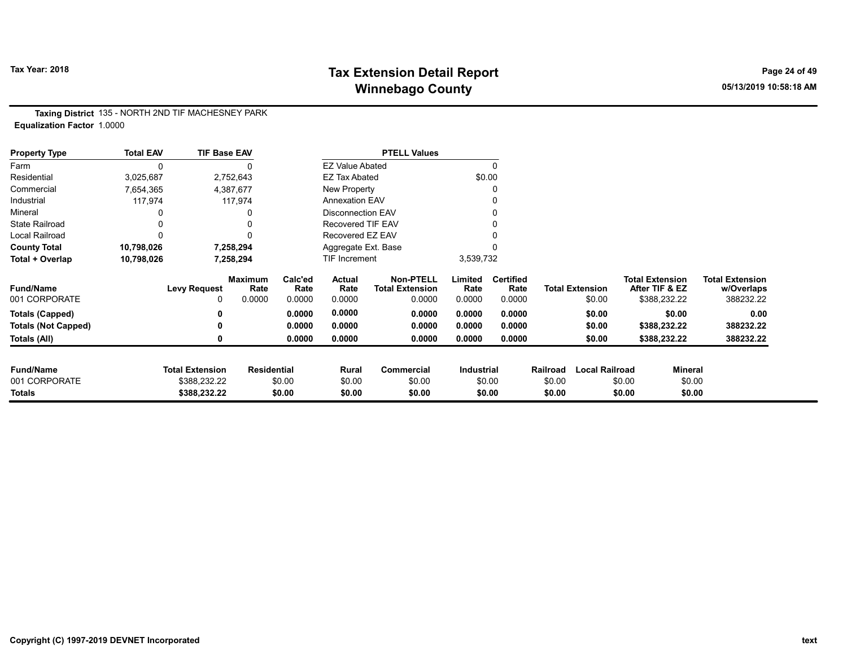# Tax Year: 2018 **Tax Extension Detail Report** Tax Year: 2018 **Page 24 of 49** Winnebago County and the County of the County of the County of the County of the County of the County of the County of the County of the County of the County of the County of the County of the County of the County of the C

Taxing District 135 - NORTH 2ND TIF MACHESNEY PARK Equalization Factor 1.0000

| <b>Property Type</b>       | <b>Total EAV</b> | <b>TIF Base EAV</b>    |                    |                 |                          | <b>PTELL Values</b>                        |                 |                          |          |                        |                                          |         |                                      |
|----------------------------|------------------|------------------------|--------------------|-----------------|--------------------------|--------------------------------------------|-----------------|--------------------------|----------|------------------------|------------------------------------------|---------|--------------------------------------|
| Farm                       | 0                |                        |                    |                 | <b>EZ Value Abated</b>   |                                            |                 | $\mathbf{0}$             |          |                        |                                          |         |                                      |
| Residential                | 3,025,687        |                        | 2,752,643          |                 | <b>EZ Tax Abated</b>     |                                            |                 | \$0.00                   |          |                        |                                          |         |                                      |
| Commercial                 | 7,654,365        |                        | 4,387,677          |                 | New Property             |                                            |                 | 0                        |          |                        |                                          |         |                                      |
| Industrial                 | 117,974          |                        | 117,974            |                 | <b>Annexation EAV</b>    |                                            |                 |                          |          |                        |                                          |         |                                      |
| Mineral                    |                  |                        |                    |                 | <b>Disconnection EAV</b> |                                            |                 | 0                        |          |                        |                                          |         |                                      |
| <b>State Railroad</b>      |                  |                        |                    |                 | <b>Recovered TIF EAV</b> |                                            |                 |                          |          |                        |                                          |         |                                      |
| Local Railroad             | 0                |                        |                    |                 | Recovered EZ EAV         |                                            |                 |                          |          |                        |                                          |         |                                      |
| <b>County Total</b>        | 10,798,026       |                        | 7,258,294          |                 | Aggregate Ext. Base      |                                            |                 |                          |          |                        |                                          |         |                                      |
| Total + Overlap            | 10,798,026       |                        | 7,258,294          |                 | TIF Increment            |                                            | 3,539,732       |                          |          |                        |                                          |         |                                      |
| <b>Fund/Name</b>           |                  | <b>Levy Request</b>    | Maximum<br>Rate    | Calc'ed<br>Rate | Actual<br>Rate           | <b>Non-PTELL</b><br><b>Total Extension</b> | Limited<br>Rate | <b>Certified</b><br>Rate |          | <b>Total Extension</b> | <b>Total Extension</b><br>After TIF & EZ |         | <b>Total Extension</b><br>w/Overlaps |
| 001 CORPORATE              |                  | 0                      | 0.0000             | 0.0000          | 0.0000                   | 0.0000                                     | 0.0000          | 0.0000                   |          | \$0.00                 | \$388,232.22                             |         | 388232.22                            |
| <b>Totals (Capped)</b>     |                  | 0                      |                    | 0.0000          | 0.0000                   | 0.0000                                     | 0.0000          | 0.0000                   |          | \$0.00                 |                                          | \$0.00  | 0.00                                 |
| <b>Totals (Not Capped)</b> |                  | 0                      |                    | 0.0000          | 0.0000                   | 0.0000                                     | 0.0000          | 0.0000                   |          | \$0.00                 | \$388,232.22                             |         | 388232.22                            |
| Totals (All)               |                  | 0                      |                    | 0.0000          | 0.0000                   | 0.0000                                     | 0.0000          | 0.0000                   |          | \$0.00                 | \$388,232.22                             |         | 388232.22                            |
| <b>Fund/Name</b>           |                  | <b>Total Extension</b> | <b>Residential</b> |                 | Rural                    | Commercial                                 | Industrial      |                          | Railroad | <b>Local Railroad</b>  |                                          | Mineral |                                      |
| 001 CORPORATE              |                  | \$388,232.22           |                    | \$0.00          | \$0.00                   | \$0.00                                     |                 | \$0.00                   | \$0.00   |                        | \$0.00                                   | \$0.00  |                                      |
| <b>Totals</b>              |                  | \$388,232.22           |                    | \$0.00          | \$0.00                   | \$0.00                                     |                 | \$0.00                   | \$0.00   |                        | \$0.00                                   | \$0.00  |                                      |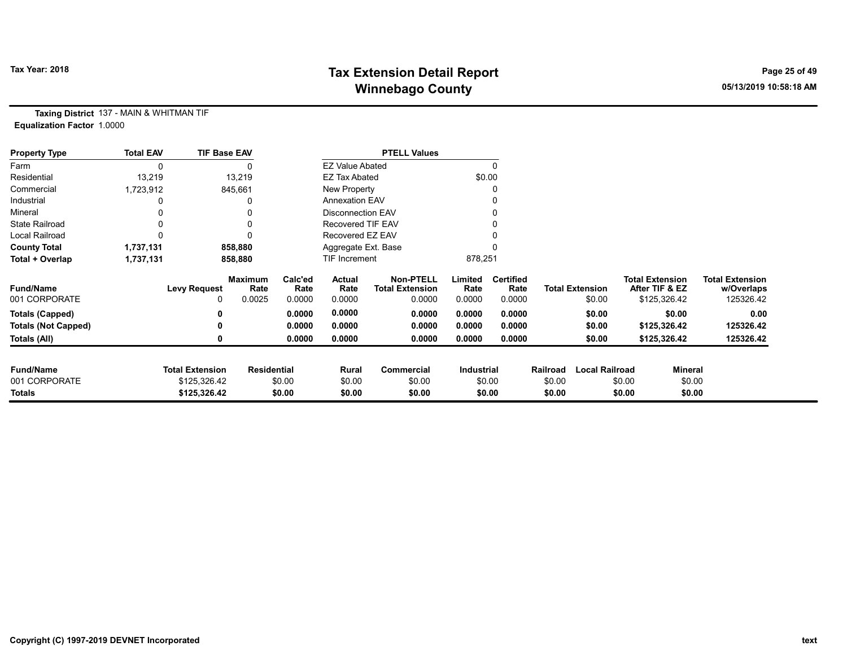# Tax Year: 2018 **Tax Extension Detail Report** Tax Year: 2018 **Page 25 of 49** Winnebago County and the County of the County of the County of the County of the County of the County of the County of the County of the County of the County of the County of the County of the County of the County of the C

Taxing District 137 - MAIN & WHITMAN TIF Equalization Factor 1.0000

| <b>Property Type</b>       | <b>Total EAV</b> | <b>TIF Base EAV</b>    |                        |                 |                          | <b>PTELL Values</b>                        |                 |                          |          |                        |                                          |                |                                      |
|----------------------------|------------------|------------------------|------------------------|-----------------|--------------------------|--------------------------------------------|-----------------|--------------------------|----------|------------------------|------------------------------------------|----------------|--------------------------------------|
| Farm                       |                  |                        |                        |                 | <b>EZ Value Abated</b>   |                                            |                 | $\Omega$                 |          |                        |                                          |                |                                      |
| Residential                | 13,219           |                        | 13,219                 |                 | <b>EZ Tax Abated</b>     |                                            |                 | \$0.00                   |          |                        |                                          |                |                                      |
| Commercial                 | 1,723,912        |                        | 845,661                |                 | New Property             |                                            |                 | 0                        |          |                        |                                          |                |                                      |
| Industrial                 |                  |                        |                        |                 | <b>Annexation EAV</b>    |                                            |                 | 0                        |          |                        |                                          |                |                                      |
| Mineral                    |                  |                        |                        |                 | <b>Disconnection EAV</b> |                                            |                 | 0                        |          |                        |                                          |                |                                      |
| <b>State Railroad</b>      |                  |                        |                        |                 | <b>Recovered TIF EAV</b> |                                            |                 |                          |          |                        |                                          |                |                                      |
| <b>Local Railroad</b>      |                  |                        |                        |                 | Recovered EZ EAV         |                                            |                 |                          |          |                        |                                          |                |                                      |
| <b>County Total</b>        | 1,737,131        |                        | 858,880                |                 | Aggregate Ext. Base      |                                            |                 |                          |          |                        |                                          |                |                                      |
| Total + Overlap            | 1,737,131        |                        | 858,880                |                 | TIF Increment            |                                            | 878,251         |                          |          |                        |                                          |                |                                      |
| <b>Fund/Name</b>           |                  | <b>Levy Request</b>    | <b>Maximum</b><br>Rate | Calc'ed<br>Rate | Actual<br>Rate           | <b>Non-PTELL</b><br><b>Total Extension</b> | Limited<br>Rate | <b>Certified</b><br>Rate |          | <b>Total Extension</b> | <b>Total Extension</b><br>After TIF & EZ |                | <b>Total Extension</b><br>w/Overlaps |
| 001 CORPORATE              |                  | 0                      | 0.0025                 | 0.0000          | 0.0000                   | 0.0000                                     | 0.0000          | 0.0000                   |          | \$0.00                 | \$125,326.42                             |                | 125326.42                            |
| <b>Totals (Capped)</b>     |                  |                        |                        | 0.0000          | 0.0000                   | 0.0000                                     | 0.0000          | 0.0000                   |          | \$0.00                 |                                          | \$0.00         | 0.00                                 |
| <b>Totals (Not Capped)</b> |                  |                        |                        | 0.0000          | 0.0000                   | 0.0000                                     | 0.0000          | 0.0000                   |          | \$0.00                 | \$125,326.42                             |                | 125326.42                            |
| Totals (All)               |                  |                        |                        | 0.0000          | 0.0000                   | 0.0000                                     | 0.0000          | 0.0000                   |          | \$0.00                 | \$125,326.42                             |                | 125326.42                            |
| <b>Fund/Name</b>           |                  | <b>Total Extension</b> | <b>Residential</b>     |                 | Rural                    | Commercial                                 | Industrial      |                          | Railroad | <b>Local Railroad</b>  |                                          | <b>Mineral</b> |                                      |
| 001 CORPORATE              |                  | \$125,326.42           |                        | \$0.00          | \$0.00                   | \$0.00                                     |                 | \$0.00                   | \$0.00   |                        | \$0.00                                   | \$0.00         |                                      |
| Totals                     |                  | \$125,326.42           |                        | \$0.00          | \$0.00                   | \$0.00                                     |                 | \$0.00                   | \$0.00   |                        | \$0.00                                   | \$0.00         |                                      |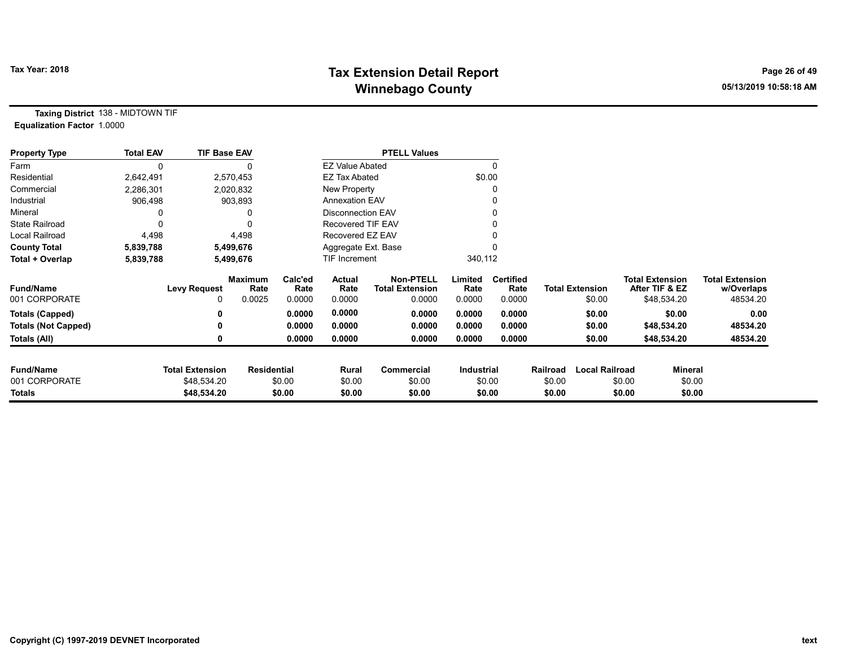# Tax Year: 2018 **Tax Extension Detail Report** Tax Year: 2018 **Page 26 of 49** Winnebago County and the County of the County of the County of the County of the County of the County of the County of the County of the County of the County of the County of the County of the County of the County of the C

Taxing District 138 - MIDTOWN TIF Equalization Factor 1.0000

| <b>Property Type</b>       | <b>Total EAV</b> | <b>TIF Base EAV</b>    |                        |                 |                          | <b>PTELL Values</b>                        |                 |                          |          |                        |        |                                          |                                      |
|----------------------------|------------------|------------------------|------------------------|-----------------|--------------------------|--------------------------------------------|-----------------|--------------------------|----------|------------------------|--------|------------------------------------------|--------------------------------------|
| Farm                       | 0                |                        |                        |                 | <b>EZ Value Abated</b>   |                                            |                 |                          |          |                        |        |                                          |                                      |
| Residential                | 2,642,491        |                        | 2,570,453              |                 | <b>EZ Tax Abated</b>     |                                            | \$0.00          |                          |          |                        |        |                                          |                                      |
| Commercial                 | 2,286,301        |                        | 2,020,832              |                 | New Property             |                                            |                 |                          |          |                        |        |                                          |                                      |
| Industrial                 | 906,498          |                        | 903,893                |                 | <b>Annexation EAV</b>    |                                            |                 |                          |          |                        |        |                                          |                                      |
| Mineral                    |                  |                        |                        |                 | <b>Disconnection EAV</b> |                                            |                 |                          |          |                        |        |                                          |                                      |
| <b>State Railroad</b>      |                  |                        | O                      |                 | Recovered TIF EAV        |                                            |                 |                          |          |                        |        |                                          |                                      |
| Local Railroad             | 4,498            |                        | 4,498                  |                 | Recovered EZ EAV         |                                            |                 |                          |          |                        |        |                                          |                                      |
| <b>County Total</b>        | 5,839,788        |                        | 5,499,676              |                 | Aggregate Ext. Base      |                                            |                 |                          |          |                        |        |                                          |                                      |
| Total + Overlap            | 5,839,788        |                        | 5,499,676              |                 | <b>TIF Increment</b>     |                                            | 340,112         |                          |          |                        |        |                                          |                                      |
| <b>Fund/Name</b>           |                  | <b>Levy Request</b>    | <b>Maximum</b><br>Rate | Calc'ed<br>Rate | Actual<br>Rate           | <b>Non-PTELL</b><br><b>Total Extension</b> | Limited<br>Rate | <b>Certified</b><br>Rate |          | <b>Total Extension</b> |        | <b>Total Extension</b><br>After TIF & EZ | <b>Total Extension</b><br>w/Overlaps |
| 001 CORPORATE              |                  | 0                      | 0.0025                 | 0.0000          | 0.0000                   | 0.0000                                     | 0.0000          | 0.0000                   |          | \$0.00                 |        | \$48,534.20                              | 48534.20                             |
| <b>Totals (Capped)</b>     |                  | 0                      |                        | 0.0000          | 0.0000                   | 0.0000                                     | 0.0000          | 0.0000                   |          | \$0.00                 |        | \$0.00                                   | 0.00                                 |
| <b>Totals (Not Capped)</b> |                  | 0                      |                        | 0.0000          | 0.0000                   | 0.0000                                     | 0.0000          | 0.0000                   |          | \$0.00                 |        | \$48,534.20                              | 48534.20                             |
| Totals (All)               |                  |                        |                        | 0.0000          | 0.0000                   | 0.0000                                     | 0.0000          | 0.0000                   |          | \$0.00                 |        | \$48,534.20                              | 48534.20                             |
| <b>Fund/Name</b>           |                  | <b>Total Extension</b> | <b>Residential</b>     |                 | Rural                    | <b>Commercial</b>                          | Industrial      |                          | Railroad | <b>Local Railroad</b>  |        | Mineral                                  |                                      |
| 001 CORPORATE              |                  | \$48,534.20            |                        | \$0.00          | \$0.00                   | \$0.00                                     |                 | \$0.00                   | \$0.00   |                        | \$0.00 | \$0.00                                   |                                      |
| Totals                     |                  | \$48,534.20            |                        | \$0.00          | \$0.00                   | \$0.00                                     |                 | \$0.00                   | \$0.00   |                        | \$0.00 | \$0.00                                   |                                      |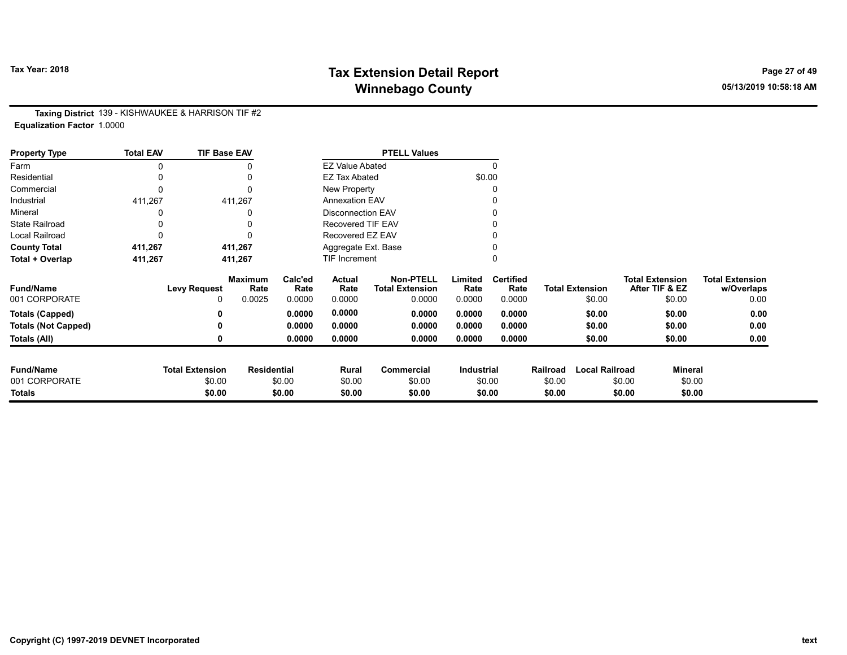# Tax Year: 2018 **Tax Extension Detail Report** Tax Year: 2018 **Page 27 of 49** Winnebago County and the County of the County of the County of the County of the County of the County of the County of the County of the County of the County of the County of the County of the County of the County of the C

Taxing District 139 - KISHWAUKEE & HARRISON TIF #2 Equalization Factor 1.0000

| <b>Property Type</b>       | <b>Total EAV</b> | <b>TIF Base EAV</b>    |                        |                 |                          | <b>PTELL Values</b>                        |                 |                          |          |                        |                                          |                                      |
|----------------------------|------------------|------------------------|------------------------|-----------------|--------------------------|--------------------------------------------|-----------------|--------------------------|----------|------------------------|------------------------------------------|--------------------------------------|
| Farm                       |                  |                        |                        |                 | <b>EZ Value Abated</b>   |                                            |                 | $\Omega$                 |          |                        |                                          |                                      |
| Residential                |                  |                        |                        |                 | <b>EZ Tax Abated</b>     |                                            | \$0.00          |                          |          |                        |                                          |                                      |
| Commercial                 |                  |                        |                        |                 | New Property             |                                            |                 | C                        |          |                        |                                          |                                      |
| Industrial                 | 411,267          |                        | 411,267                |                 | <b>Annexation EAV</b>    |                                            |                 |                          |          |                        |                                          |                                      |
| Mineral                    |                  |                        |                        |                 | <b>Disconnection EAV</b> |                                            |                 |                          |          |                        |                                          |                                      |
| <b>State Railroad</b>      |                  |                        |                        |                 | Recovered TIF EAV        |                                            |                 |                          |          |                        |                                          |                                      |
| Local Railroad             |                  |                        |                        |                 | Recovered EZ EAV         |                                            |                 |                          |          |                        |                                          |                                      |
| <b>County Total</b>        | 411,267          |                        | 411,267                |                 | Aggregate Ext. Base      |                                            |                 |                          |          |                        |                                          |                                      |
| Total + Overlap            | 411,267          |                        | 411,267                |                 | TIF Increment            |                                            |                 |                          |          |                        |                                          |                                      |
| <b>Fund/Name</b>           |                  | <b>Levy Request</b>    | <b>Maximum</b><br>Rate | Calc'ed<br>Rate | Actual<br>Rate           | <b>Non-PTELL</b><br><b>Total Extension</b> | Limited<br>Rate | <b>Certified</b><br>Rate |          | <b>Total Extension</b> | <b>Total Extension</b><br>After TIF & EZ | <b>Total Extension</b><br>w/Overlaps |
| 001 CORPORATE              |                  | 0                      | 0.0025                 | 0.0000          | 0.0000                   | 0.0000                                     | 0.0000          | 0.0000                   |          | \$0.00                 | \$0.00                                   | 0.00                                 |
| <b>Totals (Capped)</b>     |                  |                        |                        | 0.0000          | 0.0000                   | 0.0000                                     | 0.0000          | 0.0000                   |          | \$0.00                 | \$0.00                                   | 0.00                                 |
| <b>Totals (Not Capped)</b> |                  |                        |                        | 0.0000          | 0.0000                   | 0.0000                                     | 0.0000          | 0.0000                   |          | \$0.00                 | \$0.00                                   | 0.00                                 |
| Totals (All)               |                  |                        |                        | 0.0000          | 0.0000                   | 0.0000                                     | 0.0000          | 0.0000                   |          | \$0.00                 | \$0.00                                   | 0.00                                 |
| <b>Fund/Name</b>           |                  | <b>Total Extension</b> | <b>Residential</b>     |                 | Rural                    | Commercial                                 | Industrial      |                          | Railroad | <b>Local Railroad</b>  | Mineral                                  |                                      |
| 001 CORPORATE              |                  | \$0.00                 |                        | \$0.00          | \$0.00                   | \$0.00                                     |                 | \$0.00                   | \$0.00   |                        | \$0.00                                   | \$0.00                               |
| <b>Totals</b>              |                  | \$0.00                 |                        | \$0.00          | \$0.00                   | \$0.00                                     |                 | \$0.00                   | \$0.00   |                        | \$0.00                                   | \$0.00                               |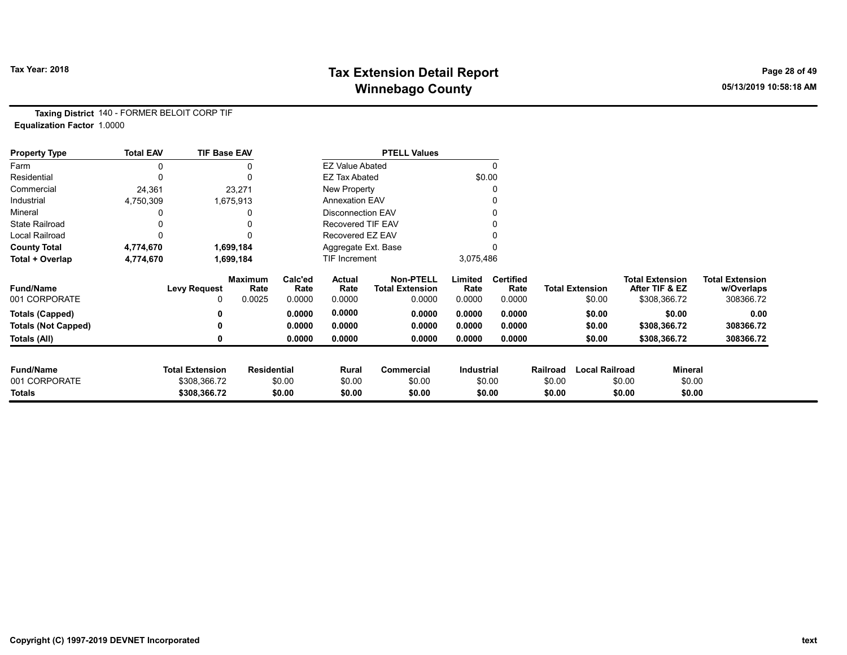# Tax Year: 2018 **Tax Extension Detail Report** Tax Year: 2018 **Page 28 of 49** Winnebago County and the County of the County of the County of the County of the County of the County of the County of the County of the County of the County of the County of the County of the County of the County of the C

Taxing District 140 - FORMER BELOIT CORP TIF Equalization Factor 1.0000

| <b>Property Type</b>       | <b>Total EAV</b> | <b>TIF Base EAV</b>    |                        |                 |                          | <b>PTELL Values</b>                        |                   |                          |          |                        |                                          |                                      |
|----------------------------|------------------|------------------------|------------------------|-----------------|--------------------------|--------------------------------------------|-------------------|--------------------------|----------|------------------------|------------------------------------------|--------------------------------------|
| Farm                       | 0                |                        |                        |                 | <b>EZ Value Abated</b>   |                                            |                   |                          |          |                        |                                          |                                      |
| Residential                | 0                |                        | $\Omega$               |                 | <b>EZ Tax Abated</b>     |                                            | \$0.00            |                          |          |                        |                                          |                                      |
| Commercial                 | 24,361           |                        | 23,271                 |                 | New Property             |                                            |                   |                          |          |                        |                                          |                                      |
| Industrial                 | 4,750,309        |                        | 1,675,913              |                 | <b>Annexation EAV</b>    |                                            |                   |                          |          |                        |                                          |                                      |
| Mineral                    |                  |                        |                        |                 | <b>Disconnection EAV</b> |                                            |                   |                          |          |                        |                                          |                                      |
| <b>State Railroad</b>      |                  |                        |                        |                 | Recovered TIF EAV        |                                            |                   |                          |          |                        |                                          |                                      |
| <b>Local Railroad</b>      |                  |                        |                        |                 | Recovered EZ EAV         |                                            |                   |                          |          |                        |                                          |                                      |
| <b>County Total</b>        | 4,774,670        |                        | 1,699,184              |                 | Aggregate Ext. Base      |                                            |                   |                          |          |                        |                                          |                                      |
| Total + Overlap            | 4,774,670        |                        | 1,699,184              |                 | TIF Increment            |                                            | 3,075,486         |                          |          |                        |                                          |                                      |
| <b>Fund/Name</b>           |                  | <b>Levy Request</b>    | <b>Maximum</b><br>Rate | Calc'ed<br>Rate | Actual<br>Rate           | <b>Non-PTELL</b><br><b>Total Extension</b> | Limited<br>Rate   | <b>Certified</b><br>Rate |          | <b>Total Extension</b> | <b>Total Extension</b><br>After TIF & EZ | <b>Total Extension</b><br>w/Overlaps |
| 001 CORPORATE              |                  | 0                      | 0.0025                 | 0.0000          | 0.0000                   | 0.0000                                     | 0.0000            | 0.0000                   |          | \$0.00                 | \$308,366.72                             | 308366.72                            |
| <b>Totals (Capped)</b>     |                  |                        |                        | 0.0000          | 0.0000                   | 0.0000                                     | 0.0000            | 0.0000                   |          | \$0.00                 | \$0.00                                   | 0.00                                 |
| <b>Totals (Not Capped)</b> |                  | 0                      |                        | 0.0000          | 0.0000                   | 0.0000                                     | 0.0000            | 0.0000                   |          | \$0.00                 | \$308,366.72                             | 308366.72                            |
| Totals (All)               |                  | 0                      |                        | 0.0000          | 0.0000                   | 0.0000                                     | 0.0000            | 0.0000                   |          | \$0.00                 | \$308,366.72                             | 308366.72                            |
| <b>Fund/Name</b>           |                  | <b>Total Extension</b> | <b>Residential</b>     |                 | Rural                    | Commercial                                 | <b>Industrial</b> |                          | Railroad | <b>Local Railroad</b>  |                                          | Mineral                              |
| 001 CORPORATE              |                  | \$308,366.72           |                        | \$0.00          | \$0.00                   | \$0.00                                     |                   | \$0.00                   | \$0.00   |                        | \$0.00                                   | \$0.00                               |
| Totals                     |                  | \$308,366.72           |                        | \$0.00          | \$0.00                   | \$0.00                                     |                   | \$0.00                   | \$0.00   |                        | \$0.00                                   | \$0.00                               |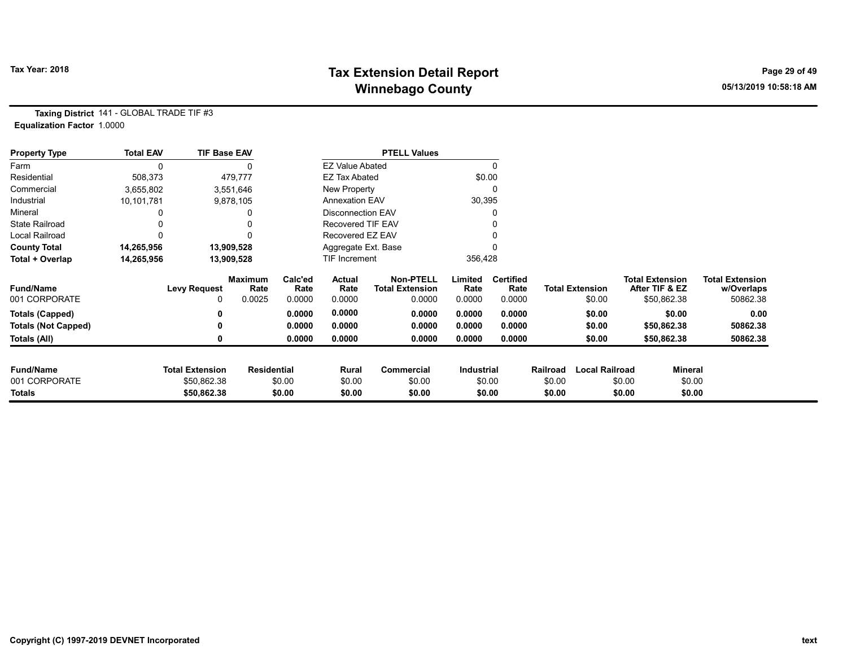# Tax Year: 2018 **Tax Extension Detail Report** Tax Year: 2018 **Page 29 of 49** Winnebago County and the County of the County of the County of the County of the County of the County of the County of the County of the County of the County of the County of the County of the County of the County of the C

Taxing District 141 - GLOBAL TRADE TIF #3 Equalization Factor 1.0000

| <b>Property Type</b>       | <b>Total EAV</b> | <b>TIF Base EAV</b>    |                        |                 |                        | <b>PTELL Values</b>                        |                 |                          |          |                        |                        |                |                                      |
|----------------------------|------------------|------------------------|------------------------|-----------------|------------------------|--------------------------------------------|-----------------|--------------------------|----------|------------------------|------------------------|----------------|--------------------------------------|
| Farm                       |                  |                        |                        |                 | <b>EZ Value Abated</b> |                                            |                 | 0                        |          |                        |                        |                |                                      |
| Residential                | 508,373          |                        | 479,777                |                 | <b>EZ Tax Abated</b>   |                                            | \$0.00          |                          |          |                        |                        |                |                                      |
| Commercial                 | 3,655,802        |                        | 3,551,646              |                 | New Property           |                                            |                 | 0                        |          |                        |                        |                |                                      |
| Industrial                 | 10,101,781       |                        | 9,878,105              |                 | <b>Annexation EAV</b>  |                                            | 30,395          |                          |          |                        |                        |                |                                      |
| Mineral                    |                  |                        |                        |                 | Disconnection EAV      |                                            |                 | 0                        |          |                        |                        |                |                                      |
| <b>State Railroad</b>      |                  |                        |                        |                 | Recovered TIF EAV      |                                            |                 |                          |          |                        |                        |                |                                      |
| <b>Local Railroad</b>      |                  |                        |                        |                 | Recovered EZ EAV       |                                            |                 |                          |          |                        |                        |                |                                      |
| <b>County Total</b>        | 14,265,956       |                        | 13,909,528             |                 | Aggregate Ext. Base    |                                            |                 |                          |          |                        |                        |                |                                      |
| Total + Overlap            | 14,265,956       |                        | 13,909,528             |                 | <b>TIF Increment</b>   |                                            | 356,428         |                          |          |                        |                        |                |                                      |
| <b>Fund/Name</b>           |                  | <b>Levy Request</b>    | <b>Maximum</b><br>Rate | Calc'ed<br>Rate | Actual<br>Rate         | <b>Non-PTELL</b><br><b>Total Extension</b> | Limited<br>Rate | <b>Certified</b><br>Rate |          | <b>Total Extension</b> | <b>Total Extension</b> | After TIF & EZ | <b>Total Extension</b><br>w/Overlaps |
| 001 CORPORATE              |                  | 0                      | 0.0025                 | 0.0000          | 0.0000                 | 0.0000                                     | 0.0000          | 0.0000                   |          | \$0.00                 |                        | \$50,862.38    | 50862.38                             |
| <b>Totals (Capped)</b>     |                  |                        |                        | 0.0000          | 0.0000                 | 0.0000                                     | 0.0000          | 0.0000                   |          | \$0.00                 |                        | \$0.00         | 0.00                                 |
| <b>Totals (Not Capped)</b> |                  |                        |                        | 0.0000          | 0.0000                 | 0.0000                                     | 0.0000          | 0.0000                   |          | \$0.00                 |                        | \$50,862.38    | 50862.38                             |
| Totals (All)               |                  |                        |                        | 0.0000          | 0.0000                 | 0.0000                                     | 0.0000          | 0.0000                   |          | \$0.00                 |                        | \$50,862.38    | 50862.38                             |
| <b>Fund/Name</b>           |                  | <b>Total Extension</b> | <b>Residential</b>     |                 | Rural                  | Commercial                                 | Industrial      |                          | Railroad | <b>Local Railroad</b>  |                        | <b>Mineral</b> |                                      |
| 001 CORPORATE              |                  | \$50,862.38            |                        | \$0.00          | \$0.00                 | \$0.00                                     |                 | \$0.00                   | \$0.00   |                        | \$0.00                 | \$0.00         |                                      |
| Totals                     |                  | \$50,862.38            |                        | \$0.00          | \$0.00                 | \$0.00                                     |                 | \$0.00                   | \$0.00   |                        | \$0.00                 | \$0.00         |                                      |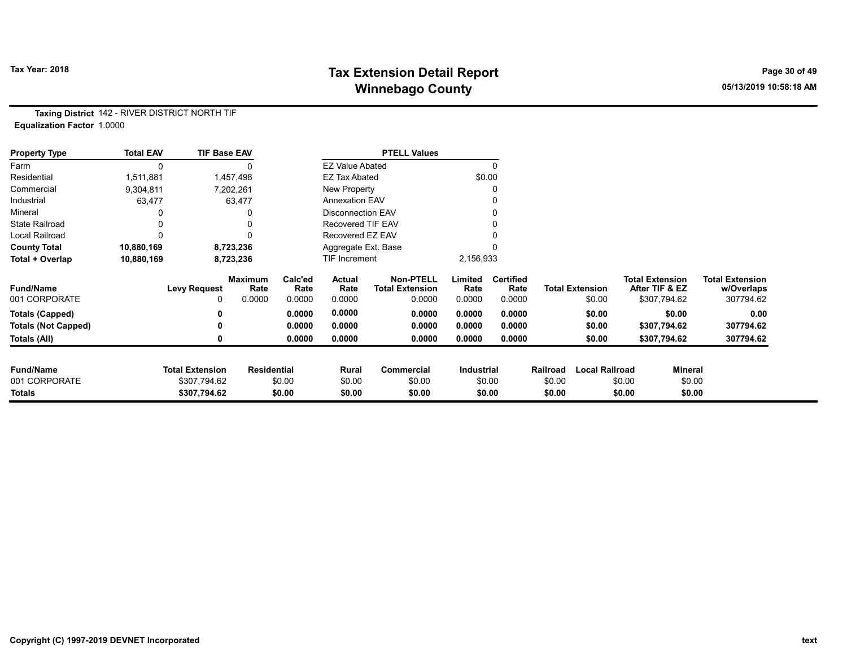# Tax Year: 2018 **Tax Extension Detail Report** Tax Year: 2018 **Page 30 of 49** Winnebago County and the County of the County of the County of the County of the County of the County of the County of the County of the County of the County of the County of the County of the County of the County of the C

Taxing District 142 - RIVER DISTRICT NORTH TIF Equalization Factor 1.0000

| <b>Property Type</b>       | <b>Total EAV</b> | <b>TIF Base EAV</b>    |                        |                 |                          | <b>PTELL Values</b>                        |                 |                          |          |                        |                                          |                                      |
|----------------------------|------------------|------------------------|------------------------|-----------------|--------------------------|--------------------------------------------|-----------------|--------------------------|----------|------------------------|------------------------------------------|--------------------------------------|
| Farm                       | 0                |                        |                        |                 | <b>EZ Value Abated</b>   |                                            |                 | $\mathbf{0}$             |          |                        |                                          |                                      |
| Residential                | 1,511,881        |                        | 1,457,498              |                 | <b>EZ Tax Abated</b>     |                                            |                 | \$0.00                   |          |                        |                                          |                                      |
| Commercial                 | 9,304,811        |                        | 7,202,261              |                 | New Property             |                                            |                 | 0                        |          |                        |                                          |                                      |
| Industrial                 | 63,477           |                        | 63,477                 |                 | <b>Annexation EAV</b>    |                                            |                 | 0                        |          |                        |                                          |                                      |
| Mineral                    |                  |                        | 0                      |                 | <b>Disconnection EAV</b> |                                            |                 | 0                        |          |                        |                                          |                                      |
| <b>State Railroad</b>      |                  |                        | 0                      |                 | <b>Recovered TIF EAV</b> |                                            |                 |                          |          |                        |                                          |                                      |
| Local Railroad             |                  |                        | 0                      |                 | Recovered EZ EAV         |                                            |                 |                          |          |                        |                                          |                                      |
| <b>County Total</b>        | 10,880,169       |                        | 8,723,236              |                 | Aggregate Ext. Base      |                                            |                 |                          |          |                        |                                          |                                      |
| Total + Overlap            | 10,880,169       |                        | 8,723,236              |                 | <b>TIF Increment</b>     |                                            | 2,156,933       |                          |          |                        |                                          |                                      |
| <b>Fund/Name</b>           |                  | <b>Levy Request</b>    | <b>Maximum</b><br>Rate | Calc'ed<br>Rate | Actual<br>Rate           | <b>Non-PTELL</b><br><b>Total Extension</b> | Limited<br>Rate | <b>Certified</b><br>Rate |          | <b>Total Extension</b> | <b>Total Extension</b><br>After TIF & EZ | <b>Total Extension</b><br>w/Overlaps |
| 001 CORPORATE              |                  | 0                      | 0.0000                 | 0.0000          | 0.0000                   | 0.0000                                     | 0.0000          | 0.0000                   |          | \$0.00                 | \$307,794.62                             | 307794.62                            |
| <b>Totals (Capped)</b>     |                  |                        |                        | 0.0000          | 0.0000                   | 0.0000                                     | 0.0000          | 0.0000                   |          | \$0.00                 | \$0.00                                   | 0.00                                 |
| <b>Totals (Not Capped)</b> |                  |                        |                        | 0.0000          | 0.0000                   | 0.0000                                     | 0.0000          | 0.0000                   |          | \$0.00                 | \$307,794.62                             | 307794.62                            |
| Totals (All)               |                  |                        |                        | 0.0000          | 0.0000                   | 0.0000                                     | 0.0000          | 0.0000                   |          | \$0.00                 | \$307,794.62                             | 307794.62                            |
| <b>Fund/Name</b>           |                  | <b>Total Extension</b> | <b>Residential</b>     |                 | Rural                    | <b>Commercial</b>                          | Industrial      |                          | Railroad | <b>Local Railroad</b>  |                                          | <b>Mineral</b>                       |
| 001 CORPORATE              |                  | \$307,794.62           |                        | \$0.00          | \$0.00                   | \$0.00                                     |                 | \$0.00                   | \$0.00   |                        | \$0.00                                   | \$0.00                               |
| Totals                     |                  | \$307,794.62           |                        | \$0.00          | \$0.00                   | \$0.00                                     |                 | \$0.00                   | \$0.00   |                        | \$0.00                                   | \$0.00                               |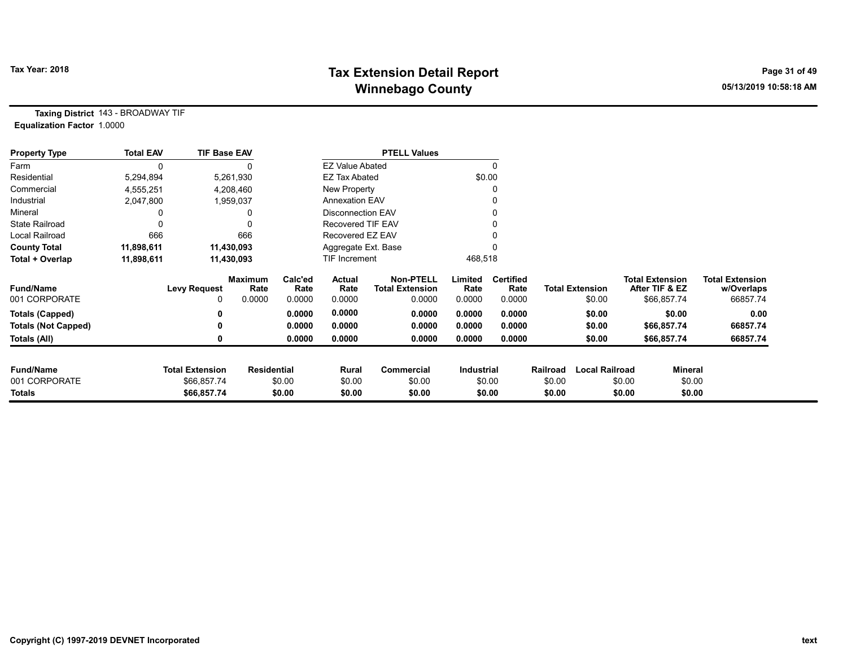# Tax Year: 2018 **Tax Extension Detail Report** Tax Year: 2018 **Page 31 of 49** Winnebago County and the County of the County of the County of the County of the County of the County of the County of the County of the County of the County of the County of the County of the County of the County of the C

Taxing District 143 - BROADWAY TIF Equalization Factor 1.0000

| <b>Property Type</b>       | <b>Total EAV</b> | <b>TIF Base EAV</b>    |                        |                 |                          | <b>PTELL Values</b>                        |                 |                          |          |                       |        |                                          |                                      |
|----------------------------|------------------|------------------------|------------------------|-----------------|--------------------------|--------------------------------------------|-----------------|--------------------------|----------|-----------------------|--------|------------------------------------------|--------------------------------------|
| Farm                       | 0                |                        |                        |                 | <b>EZ Value Abated</b>   |                                            |                 | 0                        |          |                       |        |                                          |                                      |
| Residential                | 5,294,894        |                        | 5,261,930              |                 | <b>EZ Tax Abated</b>     |                                            | \$0.00          |                          |          |                       |        |                                          |                                      |
| Commercial                 | 4,555,251        |                        | 4,208,460              |                 | New Property             |                                            |                 | 0                        |          |                       |        |                                          |                                      |
| Industrial                 | 2,047,800        |                        | 1,959,037              |                 | <b>Annexation EAV</b>    |                                            |                 |                          |          |                       |        |                                          |                                      |
| Mineral                    |                  |                        |                        |                 | <b>Disconnection EAV</b> |                                            |                 | 0                        |          |                       |        |                                          |                                      |
| <b>State Railroad</b>      |                  |                        |                        |                 | Recovered TIF EAV        |                                            |                 |                          |          |                       |        |                                          |                                      |
| <b>Local Railroad</b>      | 666              |                        | 666                    |                 | Recovered EZ EAV         |                                            |                 |                          |          |                       |        |                                          |                                      |
| <b>County Total</b>        | 11,898,611       |                        | 11,430,093             |                 | Aggregate Ext. Base      |                                            |                 |                          |          |                       |        |                                          |                                      |
| Total + Overlap            | 11,898,611       |                        | 11,430,093             |                 | TIF Increment            |                                            | 468,518         |                          |          |                       |        |                                          |                                      |
| <b>Fund/Name</b>           |                  | <b>Levy Request</b>    | <b>Maximum</b><br>Rate | Calc'ed<br>Rate | Actual<br>Rate           | <b>Non-PTELL</b><br><b>Total Extension</b> | Limited<br>Rate | <b>Certified</b><br>Rate |          | Total Extension       |        | <b>Total Extension</b><br>After TIF & EZ | <b>Total Extension</b><br>w/Overlaps |
| 001 CORPORATE              |                  | 0                      | 0.0000                 | 0.0000          | 0.0000                   | 0.0000                                     | 0.0000          | 0.0000                   |          | \$0.00                |        | \$66,857.74                              | 66857.74                             |
| <b>Totals (Capped)</b>     |                  |                        |                        | 0.0000          | 0.0000                   | 0.0000                                     | 0.0000          | 0.0000                   |          | \$0.00                |        | \$0.00                                   | 0.00                                 |
| <b>Totals (Not Capped)</b> |                  |                        |                        | 0.0000          | 0.0000                   | 0.0000                                     | 0.0000          | 0.0000                   |          | \$0.00                |        | \$66,857.74                              | 66857.74                             |
| Totals (All)               |                  |                        |                        | 0.0000          | 0.0000                   | 0.0000                                     | 0.0000          | 0.0000                   |          | \$0.00                |        | \$66,857.74                              | 66857.74                             |
| <b>Fund/Name</b>           |                  | <b>Total Extension</b> | <b>Residential</b>     |                 | Rural                    | Commercial                                 | Industrial      |                          | Railroad | <b>Local Railroad</b> |        | <b>Mineral</b>                           |                                      |
| 001 CORPORATE              |                  | \$66,857.74            |                        | \$0.00          | \$0.00                   | \$0.00                                     | \$0.00          |                          | \$0.00   |                       | \$0.00 | \$0.00                                   |                                      |
| Totals                     |                  | \$66,857.74            |                        | \$0.00          | \$0.00                   | \$0.00                                     |                 | \$0.00                   | \$0.00   |                       | \$0.00 | \$0.00                                   |                                      |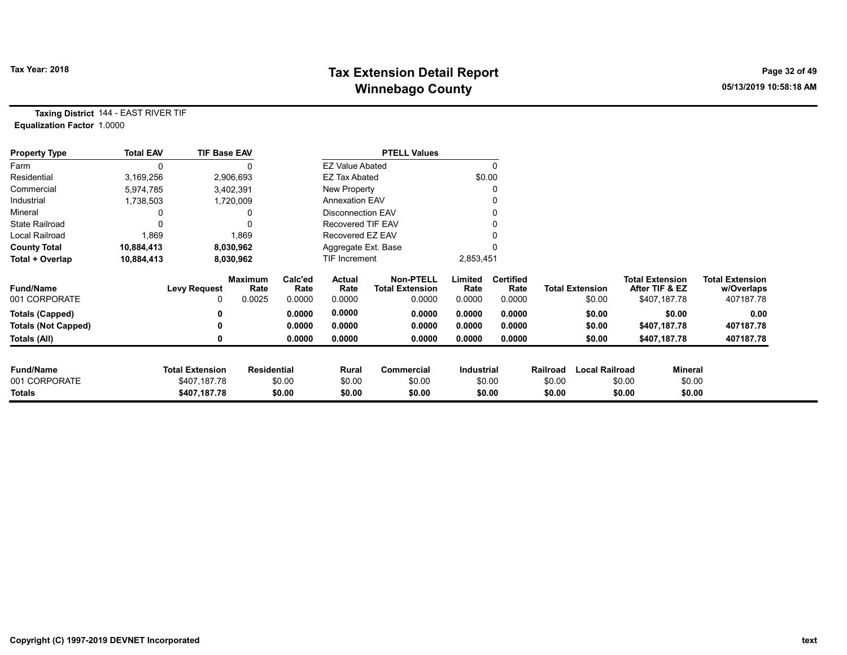# Tax Year: 2018 **Tax Extension Detail Report** Tax Year: 2018 **Page 32 of 49** Winnebago County and the County of the County of the County of the County of the County of the County of the County of the County of the County of the County of the County of the County of the County of the County of the C

Taxing District 144 - EAST RIVER TIF Equalization Factor 1.0000

| <b>Property Type</b>       | <b>Total EAV</b> | <b>TIF Base EAV</b>    |                        |                 |                          | <b>PTELL Values</b>                        |                   |                          |          |                        |                                          |                |                                      |
|----------------------------|------------------|------------------------|------------------------|-----------------|--------------------------|--------------------------------------------|-------------------|--------------------------|----------|------------------------|------------------------------------------|----------------|--------------------------------------|
| Farm                       | 0                |                        |                        |                 | <b>EZ Value Abated</b>   |                                            |                   | $\Omega$                 |          |                        |                                          |                |                                      |
| Residential                | 3,169,256        |                        | 2,906,693              |                 | <b>EZ Tax Abated</b>     |                                            |                   | \$0.00                   |          |                        |                                          |                |                                      |
| Commercial                 | 5,974,785        |                        | 3,402,391              |                 | New Property             |                                            |                   |                          |          |                        |                                          |                |                                      |
| Industrial                 | 1,738,503        |                        | 1,720,009              |                 | <b>Annexation EAV</b>    |                                            |                   |                          |          |                        |                                          |                |                                      |
| Mineral                    |                  |                        | 0                      |                 | <b>Disconnection EAV</b> |                                            |                   |                          |          |                        |                                          |                |                                      |
| <b>State Railroad</b>      |                  |                        | 0                      |                 | Recovered TIF EAV        |                                            |                   |                          |          |                        |                                          |                |                                      |
| Local Railroad             | 1,869            |                        | 1,869                  |                 | Recovered EZ EAV         |                                            |                   |                          |          |                        |                                          |                |                                      |
| <b>County Total</b>        | 10,884,413       |                        | 8,030,962              |                 | Aggregate Ext. Base      |                                            |                   |                          |          |                        |                                          |                |                                      |
| Total + Overlap            | 10,884,413       |                        | 8,030,962              |                 | <b>TIF Increment</b>     |                                            | 2,853,451         |                          |          |                        |                                          |                |                                      |
| <b>Fund/Name</b>           |                  | <b>Levy Request</b>    | <b>Maximum</b><br>Rate | Calc'ed<br>Rate | Actual<br>Rate           | <b>Non-PTELL</b><br><b>Total Extension</b> | Limited<br>Rate   | <b>Certified</b><br>Rate |          | <b>Total Extension</b> | <b>Total Extension</b><br>After TIF & EZ |                | <b>Total Extension</b><br>w/Overlaps |
| 001 CORPORATE              |                  | 0                      | 0.0025                 | 0.0000          | 0.0000                   | 0.0000                                     | 0.0000            | 0.0000                   |          | \$0.00                 | \$407,187.78                             |                | 407187.78                            |
| Totals (Capped)            |                  |                        |                        | 0.0000          | 0.0000                   | 0.0000                                     | 0.0000            | 0.0000                   |          | \$0.00                 |                                          | \$0.00         | 0.00                                 |
| <b>Totals (Not Capped)</b> |                  |                        |                        | 0.0000          | 0.0000                   | 0.0000                                     | 0.0000            | 0.0000                   |          | \$0.00                 | \$407,187.78                             |                | 407187.78                            |
| Totals (All)               |                  |                        |                        | 0.0000          | 0.0000                   | 0.0000                                     | 0.0000            | 0.0000                   |          | \$0.00                 | \$407,187.78                             |                | 407187.78                            |
| <b>Fund/Name</b>           |                  | <b>Total Extension</b> | <b>Residential</b>     |                 | Rural                    | Commercial                                 | <b>Industrial</b> |                          | Railroad | <b>Local Railroad</b>  |                                          | <b>Mineral</b> |                                      |
| 001 CORPORATE              |                  | \$407,187.78           |                        | \$0.00          | \$0.00                   | \$0.00                                     |                   | \$0.00                   | \$0.00   |                        | \$0.00                                   | \$0.00         |                                      |
| <b>Totals</b>              |                  | \$407,187.78           |                        | \$0.00          | \$0.00                   | \$0.00                                     |                   | \$0.00                   | \$0.00   |                        | \$0.00                                   | \$0.00         |                                      |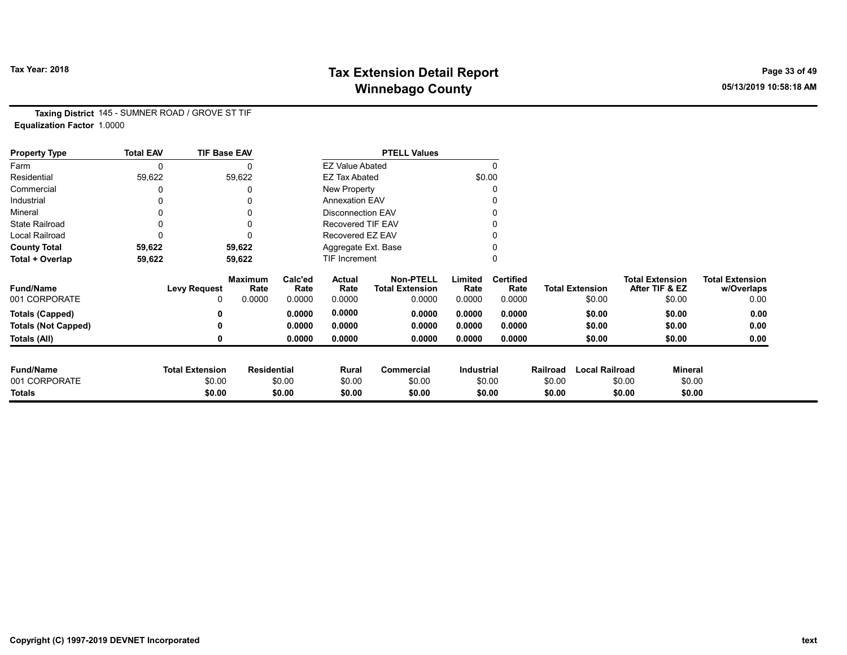# Tax Year: 2018 **Tax Extension Detail Report** Tax Year: 2018 **Page 33 of 49** Winnebago County and the County of the County of the County of the County of the County of the County of the County of the County of the County of the County of the County of the County of the County of the County of the C

Taxing District 145 - SUMNER ROAD / GROVE ST TIF Equalization Factor 1.0000

| <b>Property Type</b>       | <b>Total EAV</b> | <b>TIF Base EAV</b>    |                        |                 |                          | <b>PTELL Values</b>                        |                   |                          |          |                        |                                          |                |                                      |
|----------------------------|------------------|------------------------|------------------------|-----------------|--------------------------|--------------------------------------------|-------------------|--------------------------|----------|------------------------|------------------------------------------|----------------|--------------------------------------|
| Farm                       | 0                |                        |                        |                 | <b>EZ Value Abated</b>   |                                            |                   | $\Omega$                 |          |                        |                                          |                |                                      |
| Residential                | 59,622           |                        | 59,622                 |                 | <b>EZ Tax Abated</b>     |                                            | \$0.00            |                          |          |                        |                                          |                |                                      |
| Commercial                 |                  |                        |                        |                 | New Property             |                                            |                   |                          |          |                        |                                          |                |                                      |
| Industrial                 |                  |                        |                        |                 | <b>Annexation EAV</b>    |                                            |                   |                          |          |                        |                                          |                |                                      |
| Mineral                    |                  |                        |                        |                 | <b>Disconnection EAV</b> |                                            |                   |                          |          |                        |                                          |                |                                      |
| <b>State Railroad</b>      | 0                |                        |                        |                 | <b>Recovered TIF EAV</b> |                                            |                   |                          |          |                        |                                          |                |                                      |
| Local Railroad             |                  |                        |                        |                 | Recovered EZ EAV         |                                            |                   |                          |          |                        |                                          |                |                                      |
| <b>County Total</b>        | 59,622           |                        | 59,622                 |                 | Aggregate Ext. Base      |                                            |                   |                          |          |                        |                                          |                |                                      |
| Total + Overlap            | 59,622           |                        | 59,622                 |                 | <b>TIF Increment</b>     |                                            |                   |                          |          |                        |                                          |                |                                      |
| <b>Fund/Name</b>           |                  | <b>Levy Request</b>    | <b>Maximum</b><br>Rate | Calc'ed<br>Rate | Actual<br>Rate           | <b>Non-PTELL</b><br><b>Total Extension</b> | Limited<br>Rate   | <b>Certified</b><br>Rate |          | <b>Total Extension</b> | <b>Total Extension</b><br>After TIF & EZ |                | <b>Total Extension</b><br>w/Overlaps |
| 001 CORPORATE              |                  | 0                      | 0.0000                 | 0.0000          | 0.0000                   | 0.0000                                     | 0.0000            | 0.0000                   |          | \$0.00                 |                                          | \$0.00         | 0.00                                 |
| <b>Totals (Capped)</b>     |                  |                        |                        | 0.0000          | 0.0000                   | 0.0000                                     | 0.0000            | 0.0000                   |          | \$0.00                 |                                          | \$0.00         | 0.00                                 |
| <b>Totals (Not Capped)</b> |                  |                        |                        | 0.0000          | 0.0000                   | 0.0000                                     | 0.0000            | 0.0000                   |          | \$0.00                 |                                          | \$0.00         | 0.00                                 |
| Totals (All)               |                  |                        |                        | 0.0000          | 0.0000                   | 0.0000                                     | 0.0000            | 0.0000                   |          | \$0.00                 |                                          | \$0.00         | 0.00                                 |
|                            |                  |                        |                        |                 |                          |                                            |                   |                          |          |                        |                                          |                |                                      |
| <b>Fund/Name</b>           |                  | <b>Total Extension</b> | <b>Residential</b>     |                 | Rural                    | Commercial                                 | <b>Industrial</b> |                          | Railroad | <b>Local Railroad</b>  |                                          | <b>Mineral</b> |                                      |
| 001 CORPORATE              |                  | \$0.00                 |                        | \$0.00          | \$0.00                   | \$0.00                                     |                   | \$0.00                   | \$0.00   |                        | \$0.00                                   | \$0.00         |                                      |
| <b>Totals</b>              |                  | \$0.00                 |                        | \$0.00          | \$0.00                   | \$0.00                                     |                   | \$0.00                   | \$0.00   |                        | \$0.00                                   | \$0.00         |                                      |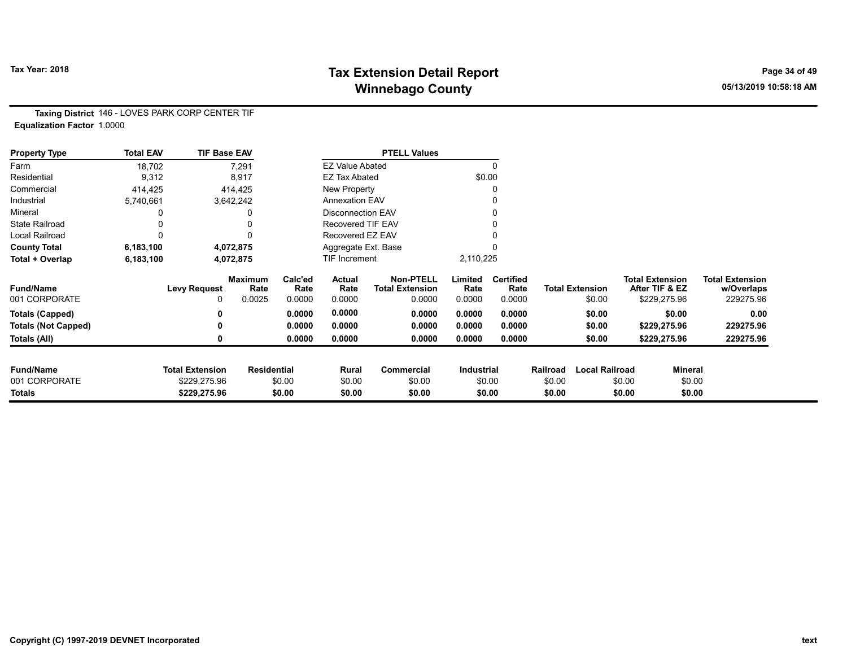# Tax Year: 2018 **Tax Extension Detail Report** Tax Year: 2018 **Page 34 of 49** Winnebago County and the County of the County of the County of the County of the County of the County of the County of the County of the County of the County of the County of the County of the County of the County of the C

Taxing District 146 - LOVES PARK CORP CENTER TIF Equalization Factor 1.0000

| <b>Property Type</b>       | <b>Total EAV</b> | <b>TIF Base EAV</b>    |                        |                 |                          | <b>PTELL Values</b>                        |                   |                          |          |                        |        |                                          |                                      |
|----------------------------|------------------|------------------------|------------------------|-----------------|--------------------------|--------------------------------------------|-------------------|--------------------------|----------|------------------------|--------|------------------------------------------|--------------------------------------|
| Farm                       | 18,702           |                        | 7,291                  |                 | <b>EZ Value Abated</b>   |                                            |                   | $\Omega$                 |          |                        |        |                                          |                                      |
| Residential                | 9,312            |                        | 8,917                  |                 | <b>EZ Tax Abated</b>     |                                            |                   | \$0.00                   |          |                        |        |                                          |                                      |
| Commercial                 | 414,425          |                        | 414,425                |                 | New Property             |                                            |                   | 0                        |          |                        |        |                                          |                                      |
| Industrial                 | 5,740,661        |                        | 3,642,242              |                 | <b>Annexation EAV</b>    |                                            |                   | 0                        |          |                        |        |                                          |                                      |
| Mineral                    |                  |                        |                        |                 | <b>Disconnection EAV</b> |                                            |                   | 0                        |          |                        |        |                                          |                                      |
| <b>State Railroad</b>      |                  |                        |                        |                 | Recovered TIF EAV        |                                            |                   |                          |          |                        |        |                                          |                                      |
| Local Railroad             | 0                |                        | $\Omega$               |                 | Recovered EZ EAV         |                                            |                   |                          |          |                        |        |                                          |                                      |
| <b>County Total</b>        | 6,183,100        |                        | 4,072,875              |                 | Aggregate Ext. Base      |                                            |                   |                          |          |                        |        |                                          |                                      |
| Total + Overlap            | 6,183,100        |                        | 4,072,875              |                 | TIF Increment            |                                            | 2,110,225         |                          |          |                        |        |                                          |                                      |
| <b>Fund/Name</b>           |                  | <b>Levy Request</b>    | <b>Maximum</b><br>Rate | Calc'ed<br>Rate | Actual<br>Rate           | <b>Non-PTELL</b><br><b>Total Extension</b> | Limited<br>Rate   | <b>Certified</b><br>Rate |          | <b>Total Extension</b> |        | <b>Total Extension</b><br>After TIF & EZ | <b>Total Extension</b><br>w/Overlaps |
| 001 CORPORATE              |                  | 0                      | 0.0025                 | 0.0000          | 0.0000                   | 0.0000                                     | 0.0000            | 0.0000                   |          | \$0.00                 |        | \$229,275.96                             | 229275.96                            |
| <b>Totals (Capped)</b>     |                  | 0                      |                        | 0.0000          | 0.0000                   | 0.0000                                     | 0.0000            | 0.0000                   |          | \$0.00                 |        | \$0.00                                   | 0.00                                 |
| <b>Totals (Not Capped)</b> |                  | 0                      |                        | 0.0000          | 0.0000                   | 0.0000                                     | 0.0000            | 0.0000                   |          | \$0.00                 |        | \$229,275.96                             | 229275.96                            |
| Totals (All)               |                  | 0                      |                        | 0.0000          | 0.0000                   | 0.0000                                     | 0.0000            | 0.0000                   |          | \$0.00                 |        | \$229,275.96                             | 229275.96                            |
| <b>Fund/Name</b>           |                  | <b>Total Extension</b> |                        |                 |                          |                                            |                   |                          |          | <b>Local Railroad</b>  |        |                                          |                                      |
| 001 CORPORATE              |                  |                        | <b>Residential</b>     |                 | Rural                    | Commercial                                 | <b>Industrial</b> |                          | Railroad |                        |        | Mineral                                  |                                      |
|                            |                  | \$229,275.96           |                        | \$0.00          | \$0.00                   | \$0.00                                     |                   | \$0.00                   | \$0.00   |                        | \$0.00 | \$0.00                                   |                                      |
| <b>Totals</b>              |                  | \$229,275.96           |                        | \$0.00          | \$0.00                   | \$0.00                                     |                   | \$0.00                   | \$0.00   |                        | \$0.00 | \$0.00                                   |                                      |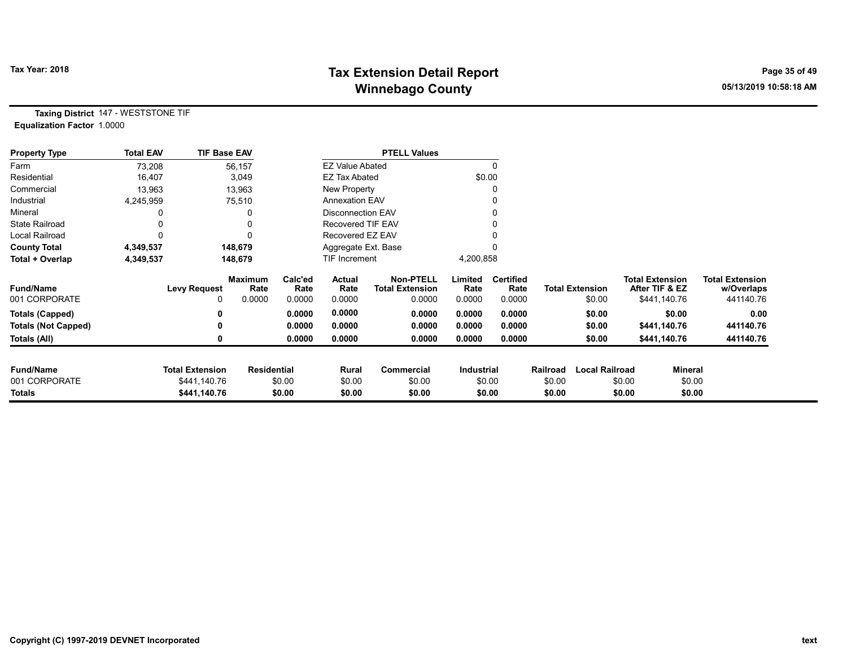# Tax Year: 2018 **Tax Extension Detail Report** Tax Year: 2018 **Page 35 of 49** Winnebago County and the County of the County of the County of the County of the County of the County of the County of the County of the County of the County of the County of the County of the County of the County of the C

Taxing District 147 - WESTSTONE TIF Equalization Factor 1.0000

| <b>Property Type</b>       | <b>Total EAV</b> | <b>TIF Base EAV</b>    |                        |                 |                          | <b>PTELL Values</b>                        |                   |                          |                    |                       |                                          |                |                                      |
|----------------------------|------------------|------------------------|------------------------|-----------------|--------------------------|--------------------------------------------|-------------------|--------------------------|--------------------|-----------------------|------------------------------------------|----------------|--------------------------------------|
| Farm                       | 73,208           |                        | 56,157                 |                 | <b>EZ Value Abated</b>   |                                            |                   |                          |                    |                       |                                          |                |                                      |
| Residential                | 16,407           |                        | 3,049                  |                 | EZ Tax Abated            |                                            | \$0.00            |                          |                    |                       |                                          |                |                                      |
| Commercial                 | 13,963           |                        | 13,963                 |                 | New Property             |                                            |                   |                          |                    |                       |                                          |                |                                      |
| Industrial                 | 4,245,959        |                        | 75,510                 |                 | <b>Annexation EAV</b>    |                                            |                   |                          |                    |                       |                                          |                |                                      |
| Mineral                    |                  |                        | 0                      |                 | <b>Disconnection EAV</b> |                                            |                   |                          |                    |                       |                                          |                |                                      |
| <b>State Railroad</b>      |                  |                        | 0                      |                 | Recovered TIF EAV        |                                            |                   |                          |                    |                       |                                          |                |                                      |
| Local Railroad             |                  |                        | 0                      |                 | Recovered EZ EAV         |                                            |                   |                          |                    |                       |                                          |                |                                      |
| <b>County Total</b>        | 4,349,537        |                        | 148,679                |                 | Aggregate Ext. Base      |                                            |                   |                          |                    |                       |                                          |                |                                      |
| Total + Overlap            | 4,349,537        |                        | 148,679                |                 | TIF Increment            |                                            | 4,200,858         |                          |                    |                       |                                          |                |                                      |
| <b>Fund/Name</b>           |                  | <b>Levy Request</b>    | <b>Maximum</b><br>Rate | Calc'ed<br>Rate | Actual<br>Rate           | <b>Non-PTELL</b><br><b>Total Extension</b> | Limited<br>Rate   | <b>Certified</b><br>Rate |                    | Total Extension       | <b>Total Extension</b><br>After TIF & EZ |                | <b>Total Extension</b><br>w/Overlaps |
| 001 CORPORATE              |                  | 0                      | 0.0000                 | 0.0000          | 0.0000                   | 0.0000                                     | 0.0000            | 0.0000                   |                    | \$0.00                | \$441,140.76                             |                | 441140.76                            |
| <b>Totals (Capped)</b>     |                  |                        |                        | 0.0000          | 0.0000                   | 0.0000                                     | 0.0000            | 0.0000                   |                    | \$0.00                |                                          | \$0.00         | 0.00                                 |
| <b>Totals (Not Capped)</b> |                  |                        |                        | 0.0000          | 0.0000                   | 0.0000                                     | 0.0000            | 0.0000                   |                    | \$0.00                | \$441,140.76                             |                | 441140.76                            |
| Totals (All)               |                  |                        |                        | 0.0000          | 0.0000                   | 0.0000                                     | 0.0000            | 0.0000                   |                    | \$0.00                | \$441,140.76                             |                | 441140.76                            |
| <b>Fund/Name</b>           |                  | <b>Total Extension</b> |                        |                 |                          |                                            |                   |                          |                    | <b>Local Railroad</b> |                                          | <b>Mineral</b> |                                      |
| 001 CORPORATE              |                  | \$441,140.76           | <b>Residential</b>     | \$0.00          | Rural<br>\$0.00          | Commercial<br>\$0.00                       | <b>Industrial</b> | \$0.00                   | Railroad<br>\$0.00 |                       | \$0.00                                   | \$0.00         |                                      |
| Totals                     |                  | \$441,140.76           |                        | \$0.00          | \$0.00                   | \$0.00                                     |                   | \$0.00                   | \$0.00             |                       | \$0.00                                   | \$0.00         |                                      |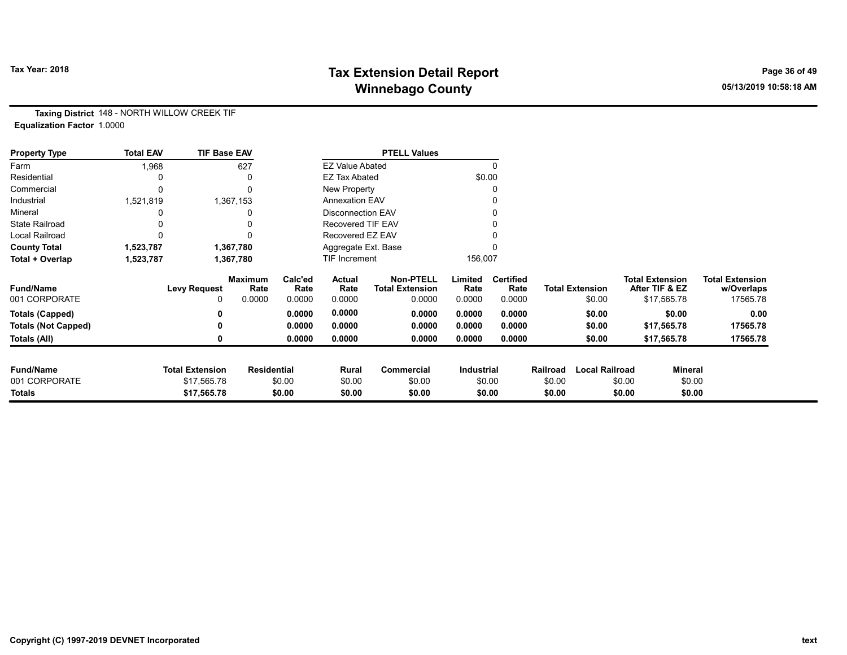# Tax Year: 2018 **Tax Extension Detail Report** Tax Year: 2018 **Page 36 of 49** Winnebago County and the County of the County of the County of the County of the County of the County of the County of the County of the County of the County of the County of the County of the County of the County of the C

Taxing District 148 - NORTH WILLOW CREEK TIF Equalization Factor 1.0000

| <b>Property Type</b>       | <b>Total EAV</b> | <b>TIF Base EAV</b>    |                        |                 |                          | <b>PTELL Values</b>                        |                   |                          |          |                        |                                          |                |                                      |
|----------------------------|------------------|------------------------|------------------------|-----------------|--------------------------|--------------------------------------------|-------------------|--------------------------|----------|------------------------|------------------------------------------|----------------|--------------------------------------|
| Farm                       | 1,968            |                        | 627                    |                 | <b>EZ Value Abated</b>   |                                            |                   |                          |          |                        |                                          |                |                                      |
| Residential                |                  |                        |                        |                 | <b>EZ Tax Abated</b>     |                                            |                   | \$0.00                   |          |                        |                                          |                |                                      |
| Commercial                 |                  |                        |                        |                 | New Property             |                                            |                   |                          |          |                        |                                          |                |                                      |
| Industrial                 | 1,521,819        |                        | 1,367,153              |                 | <b>Annexation EAV</b>    |                                            |                   |                          |          |                        |                                          |                |                                      |
| Mineral                    |                  |                        |                        |                 | Disconnection EAV        |                                            |                   |                          |          |                        |                                          |                |                                      |
| <b>State Railroad</b>      |                  |                        |                        |                 | <b>Recovered TIF EAV</b> |                                            |                   |                          |          |                        |                                          |                |                                      |
| Local Railroad             |                  |                        |                        |                 | Recovered EZ EAV         |                                            |                   |                          |          |                        |                                          |                |                                      |
| <b>County Total</b>        | 1,523,787        |                        | 1,367,780              |                 | Aggregate Ext. Base      |                                            |                   |                          |          |                        |                                          |                |                                      |
| Total + Overlap            | 1,523,787        |                        | 1,367,780              |                 | <b>TIF Increment</b>     |                                            | 156,007           |                          |          |                        |                                          |                |                                      |
| <b>Fund/Name</b>           |                  | <b>Levy Request</b>    | <b>Maximum</b><br>Rate | Calc'ed<br>Rate | Actual<br>Rate           | <b>Non-PTELL</b><br><b>Total Extension</b> | Limited<br>Rate   | <b>Certified</b><br>Rate |          | <b>Total Extension</b> | <b>Total Extension</b><br>After TIF & EZ |                | <b>Total Extension</b><br>w/Overlaps |
| 001 CORPORATE              |                  | 0                      | 0.0000                 | 0.0000          | 0.0000                   | 0.0000                                     | 0.0000            | 0.0000                   |          | \$0.00                 |                                          | \$17,565.78    | 17565.78                             |
| Totals (Capped)            |                  |                        |                        | 0.0000          | 0.0000                   | 0.0000                                     | 0.0000            | 0.0000                   |          | \$0.00                 |                                          | \$0.00         | 0.00                                 |
| <b>Totals (Not Capped)</b> |                  |                        |                        | 0.0000          | 0.0000                   | 0.0000                                     | 0.0000            | 0.0000                   |          | \$0.00                 |                                          | \$17,565.78    | 17565.78                             |
| Totals (All)               |                  | 0                      |                        | 0.0000          | 0.0000                   | 0.0000                                     | 0.0000            | 0.0000                   |          | \$0.00                 |                                          | \$17,565.78    | 17565.78                             |
| <b>Fund/Name</b>           |                  | <b>Total Extension</b> | <b>Residential</b>     |                 | Rural                    | Commercial                                 | <b>Industrial</b> |                          | Railroad | <b>Local Railroad</b>  |                                          | <b>Mineral</b> |                                      |
| 001 CORPORATE              |                  | \$17,565.78            |                        | \$0.00          | \$0.00                   | \$0.00                                     |                   | \$0.00                   | \$0.00   |                        | \$0.00                                   | \$0.00         |                                      |
| <b>Totals</b>              |                  | \$17,565.78            |                        | \$0.00          | \$0.00                   | \$0.00                                     |                   | \$0.00                   | \$0.00   |                        | \$0.00                                   | \$0.00         |                                      |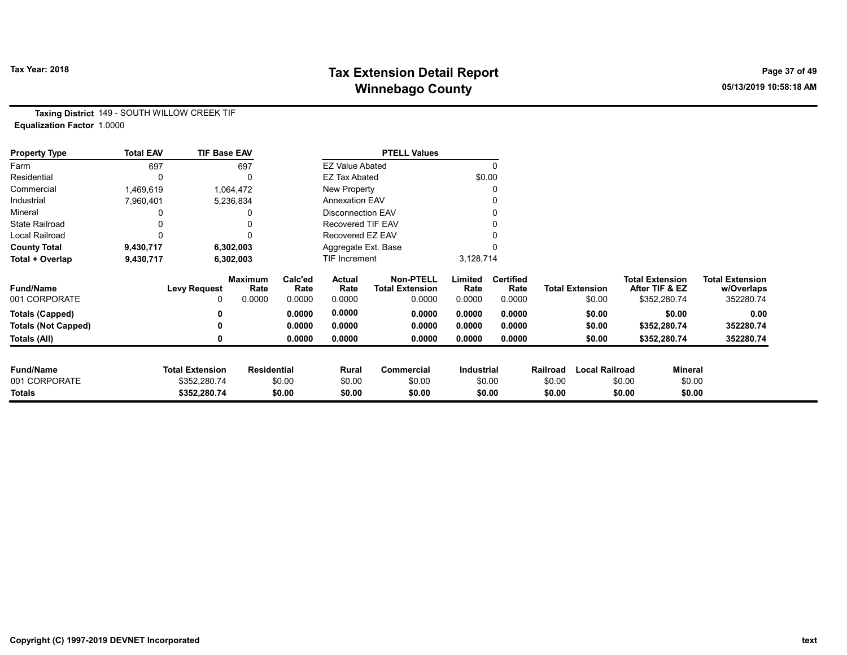# Tax Year: 2018 **Tax Extension Detail Report** Tax Year: 2018 **Page 37 of 49** Winnebago County and the County of the County of the County of the County of the County of the County of the County of the County of the County of the County of the County of the County of the County of the County of the C

Taxing District 149 - SOUTH WILLOW CREEK TIF Equalization Factor 1.0000

| <b>Property Type</b>       | <b>Total EAV</b> | <b>TIF Base EAV</b>    |                        |                 |                          | <b>PTELL Values</b>                        |                 |                          |          |                        |                                          |                |                                      |
|----------------------------|------------------|------------------------|------------------------|-----------------|--------------------------|--------------------------------------------|-----------------|--------------------------|----------|------------------------|------------------------------------------|----------------|--------------------------------------|
| Farm                       | 697              |                        | 697                    |                 | <b>EZ Value Abated</b>   |                                            |                 | $\mathbf{0}$             |          |                        |                                          |                |                                      |
| Residential                |                  |                        | $\mathbf{0}$           |                 | <b>EZ Tax Abated</b>     |                                            |                 | \$0.00                   |          |                        |                                          |                |                                      |
| Commercial                 | 1,469,619        |                        | 1,064,472              |                 | New Property             |                                            |                 | 0                        |          |                        |                                          |                |                                      |
| Industrial                 | 7,960,401        |                        | 5,236,834              |                 | <b>Annexation EAV</b>    |                                            |                 |                          |          |                        |                                          |                |                                      |
| Mineral                    |                  |                        | 0                      |                 | <b>Disconnection EAV</b> |                                            |                 | 0                        |          |                        |                                          |                |                                      |
| <b>State Railroad</b>      |                  |                        |                        |                 | <b>Recovered TIF EAV</b> |                                            |                 |                          |          |                        |                                          |                |                                      |
| Local Railroad             |                  |                        | 0                      |                 | Recovered EZ EAV         |                                            |                 |                          |          |                        |                                          |                |                                      |
| <b>County Total</b>        | 9,430,717        |                        | 6,302,003              |                 | Aggregate Ext. Base      |                                            |                 |                          |          |                        |                                          |                |                                      |
| Total + Overlap            | 9,430,717        |                        | 6,302,003              |                 | <b>TIF Increment</b>     |                                            | 3,128,714       |                          |          |                        |                                          |                |                                      |
| <b>Fund/Name</b>           |                  | <b>Levy Request</b>    | <b>Maximum</b><br>Rate | Calc'ed<br>Rate | Actual<br>Rate           | <b>Non-PTELL</b><br><b>Total Extension</b> | Limited<br>Rate | <b>Certified</b><br>Rate |          | <b>Total Extension</b> | <b>Total Extension</b><br>After TIF & EZ |                | <b>Total Extension</b><br>w/Overlaps |
| 001 CORPORATE              |                  | 0                      | 0.0000                 | 0.0000          | 0.0000                   | 0.0000                                     | 0.0000          | 0.0000                   |          | \$0.00                 | \$352,280.74                             |                | 352280.74                            |
| <b>Totals (Capped)</b>     |                  |                        |                        | 0.0000          | 0.0000                   | 0.0000                                     | 0.0000          | 0.0000                   |          | \$0.00                 |                                          | \$0.00         | 0.00                                 |
| <b>Totals (Not Capped)</b> |                  |                        |                        | 0.0000          | 0.0000                   | 0.0000                                     | 0.0000          | 0.0000                   |          | \$0.00                 | \$352,280.74                             |                | 352280.74                            |
| Totals (All)               |                  |                        |                        | 0.0000          | 0.0000                   | 0.0000                                     | 0.0000          | 0.0000                   |          | \$0.00                 | \$352,280.74                             |                | 352280.74                            |
| <b>Fund/Name</b>           |                  | <b>Total Extension</b> | <b>Residential</b>     |                 | Rural                    | <b>Commercial</b>                          | Industrial      |                          | Railroad | <b>Local Railroad</b>  |                                          | <b>Mineral</b> |                                      |
| 001 CORPORATE              |                  | \$352,280.74           |                        | \$0.00          | \$0.00                   | \$0.00                                     |                 | \$0.00                   | \$0.00   |                        | \$0.00                                   | \$0.00         |                                      |
| Totals                     |                  | \$352,280.74           |                        | \$0.00          | \$0.00                   | \$0.00                                     |                 | \$0.00                   | \$0.00   |                        | \$0.00                                   | \$0.00         |                                      |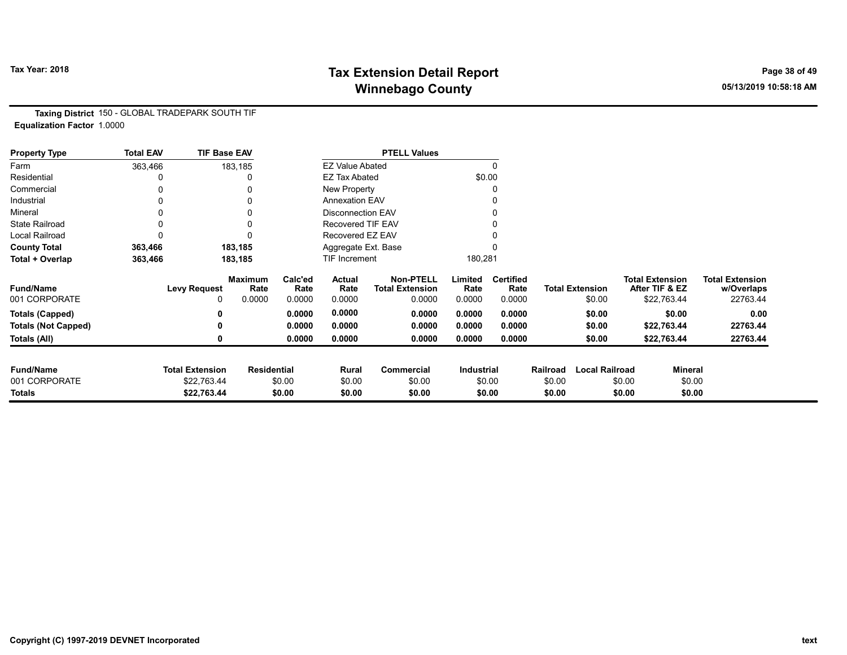# Tax Year: 2018 **Tax Extension Detail Report** Tax Year: 2018 **Page 38 of 49** Winnebago County and the County of the County of the County of the County of the County of the County of the County of the County of the County of the County of the County of the County of the County of the County of the C

Taxing District 150 - GLOBAL TRADEPARK SOUTH TIF Equalization Factor 1.0000

| <b>Property Type</b>       | <b>Total EAV</b> | <b>TIF Base EAV</b>    |                        |                 |                          | <b>PTELL Values</b>                        |                 |                          |          |                        |                                          |                |                                      |
|----------------------------|------------------|------------------------|------------------------|-----------------|--------------------------|--------------------------------------------|-----------------|--------------------------|----------|------------------------|------------------------------------------|----------------|--------------------------------------|
| Farm                       | 363,466          |                        | 183,185                |                 | <b>EZ Value Abated</b>   |                                            |                 | $\Omega$                 |          |                        |                                          |                |                                      |
| Residential                |                  |                        | 0                      |                 | <b>EZ Tax Abated</b>     |                                            |                 | \$0.00                   |          |                        |                                          |                |                                      |
| Commercial                 | 0                |                        |                        |                 | New Property             |                                            |                 | 0                        |          |                        |                                          |                |                                      |
| Industrial                 |                  |                        |                        |                 | <b>Annexation EAV</b>    |                                            |                 | 0                        |          |                        |                                          |                |                                      |
| Mineral                    |                  |                        | 0                      |                 | <b>Disconnection EAV</b> |                                            |                 | 0                        |          |                        |                                          |                |                                      |
| <b>State Railroad</b>      | 0                |                        | 0                      |                 | Recovered TIF EAV        |                                            |                 |                          |          |                        |                                          |                |                                      |
| Local Railroad             | 0                |                        | 0                      |                 | Recovered EZ EAV         |                                            |                 |                          |          |                        |                                          |                |                                      |
| <b>County Total</b>        | 363,466          |                        | 183,185                |                 | Aggregate Ext. Base      |                                            |                 | 0                        |          |                        |                                          |                |                                      |
| Total + Overlap            | 363,466          |                        | 183,185                |                 | TIF Increment            |                                            | 180,281         |                          |          |                        |                                          |                |                                      |
| <b>Fund/Name</b>           |                  | <b>Levy Request</b>    | <b>Maximum</b><br>Rate | Calc'ed<br>Rate | Actual<br>Rate           | <b>Non-PTELL</b><br><b>Total Extension</b> | Limited<br>Rate | <b>Certified</b><br>Rate |          | <b>Total Extension</b> | <b>Total Extension</b><br>After TIF & EZ |                | <b>Total Extension</b><br>w/Overlaps |
| 001 CORPORATE              |                  | 0                      | 0.0000                 | 0.0000          | 0.0000                   | 0.0000                                     | 0.0000          | 0.0000                   |          | \$0.00                 |                                          | \$22,763.44    | 22763.44                             |
| <b>Totals (Capped)</b>     |                  | 0                      |                        | 0.0000          | 0.0000                   | 0.0000                                     | 0.0000          | 0.0000                   |          | \$0.00                 |                                          | \$0.00         | 0.00                                 |
| <b>Totals (Not Capped)</b> |                  | 0                      |                        | 0.0000          | 0.0000                   | 0.0000                                     | 0.0000          | 0.0000                   |          | \$0.00                 |                                          | \$22,763.44    | 22763.44                             |
| Totals (All)               |                  | 0                      |                        | 0.0000          | 0.0000                   | 0.0000                                     | 0.0000          | 0.0000                   |          | \$0.00                 |                                          | \$22,763.44    | 22763.44                             |
| <b>Fund/Name</b>           |                  | <b>Total Extension</b> | <b>Residential</b>     |                 | Rural                    | <b>Commercial</b>                          | Industrial      |                          | Railroad | <b>Local Railroad</b>  |                                          | <b>Mineral</b> |                                      |
| 001 CORPORATE              |                  | \$22,763.44            |                        | \$0.00          | \$0.00                   | \$0.00                                     |                 | \$0.00                   | \$0.00   |                        | \$0.00                                   | \$0.00         |                                      |
| <b>Totals</b>              |                  | \$22,763.44            |                        | \$0.00          | \$0.00                   | \$0.00                                     |                 | \$0.00                   | \$0.00   |                        | \$0.00                                   | \$0.00         |                                      |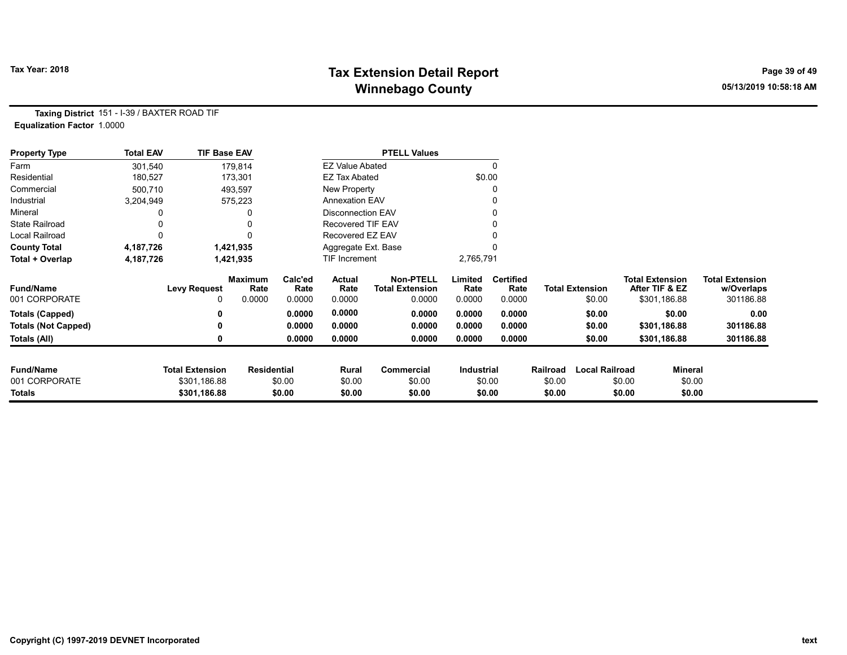# Tax Year: 2018 **Tax Extension Detail Report** Tax Year: 2018 **Page 39 of 49** Winnebago County and the County of the County of the County of the County of the County of the County of the County of the County of the County of the County of the County of the County of the County of the County of the C

Taxing District 151 - I-39 / BAXTER ROAD TIF Equalization Factor 1.0000

| <b>Property Type</b>       | <b>Total EAV</b> | <b>TIF Base EAV</b>    |                    |                 |                          | <b>PTELL Values</b>                        |                   |                          |          |                        |                        |                |                                      |
|----------------------------|------------------|------------------------|--------------------|-----------------|--------------------------|--------------------------------------------|-------------------|--------------------------|----------|------------------------|------------------------|----------------|--------------------------------------|
| Farm                       | 301,540          |                        | 179,814            |                 | <b>EZ Value Abated</b>   |                                            |                   | 0                        |          |                        |                        |                |                                      |
| Residential                | 180,527          |                        | 173,301            |                 | <b>EZ Tax Abated</b>     |                                            | \$0.00            |                          |          |                        |                        |                |                                      |
| Commercial                 | 500,710          |                        | 493,597            |                 | <b>New Property</b>      |                                            |                   | 0                        |          |                        |                        |                |                                      |
| Industrial                 | 3,204,949        |                        | 575,223            |                 | <b>Annexation EAV</b>    |                                            |                   |                          |          |                        |                        |                |                                      |
| Mineral                    |                  |                        |                    |                 | <b>Disconnection EAV</b> |                                            |                   |                          |          |                        |                        |                |                                      |
| <b>State Railroad</b>      |                  |                        | 0                  |                 | Recovered TIF EAV        |                                            |                   |                          |          |                        |                        |                |                                      |
| Local Railroad             |                  |                        | $\Omega$           |                 | Recovered EZ EAV         |                                            |                   |                          |          |                        |                        |                |                                      |
| <b>County Total</b>        | 4,187,726        |                        | 1,421,935          |                 | Aggregate Ext. Base      |                                            |                   |                          |          |                        |                        |                |                                      |
| Total + Overlap            | 4,187,726        |                        | 1,421,935          |                 | TIF Increment            |                                            | 2,765,791         |                          |          |                        |                        |                |                                      |
| <b>Fund/Name</b>           |                  | <b>Levy Request</b>    | Maximum<br>Rate    | Calc'ed<br>Rate | Actual<br>Rate           | <b>Non-PTELL</b><br><b>Total Extension</b> | Limited<br>Rate   | <b>Certified</b><br>Rate |          | <b>Total Extension</b> | <b>Total Extension</b> | After TIF & EZ | <b>Total Extension</b><br>w/Overlaps |
| 001 CORPORATE              |                  |                        | 0.0000             | 0.0000          | 0.0000                   | 0.0000                                     | 0.0000            | 0.0000                   |          | \$0.00                 |                        | \$301,186.88   | 301186.88                            |
| <b>Totals (Capped)</b>     |                  |                        |                    | 0.0000          | 0.0000                   | 0.0000                                     | 0.0000            | 0.0000                   |          | \$0.00                 |                        | \$0.00         | 0.00                                 |
| <b>Totals (Not Capped)</b> |                  |                        |                    | 0.0000          | 0.0000                   | 0.0000                                     | 0.0000            | 0.0000                   |          | \$0.00                 |                        | \$301,186.88   | 301186.88                            |
| Totals (All)               |                  | 0                      |                    | 0.0000          | 0.0000                   | 0.0000                                     | 0.0000            | 0.0000                   |          | \$0.00                 |                        | \$301,186.88   | 301186.88                            |
| <b>Fund/Name</b>           |                  | <b>Total Extension</b> | <b>Residential</b> |                 | Rural                    | Commercial                                 | <b>Industrial</b> |                          | Railroad | <b>Local Railroad</b>  |                        | Mineral        |                                      |
| 001 CORPORATE              |                  | \$301,186.88           |                    | \$0.00          | \$0.00                   | \$0.00                                     |                   | \$0.00                   | \$0.00   |                        | \$0.00                 | \$0.00         |                                      |
| Totals                     |                  | \$301,186.88           |                    | \$0.00          | \$0.00                   | \$0.00                                     |                   | \$0.00                   | \$0.00   |                        | \$0.00                 | \$0.00         |                                      |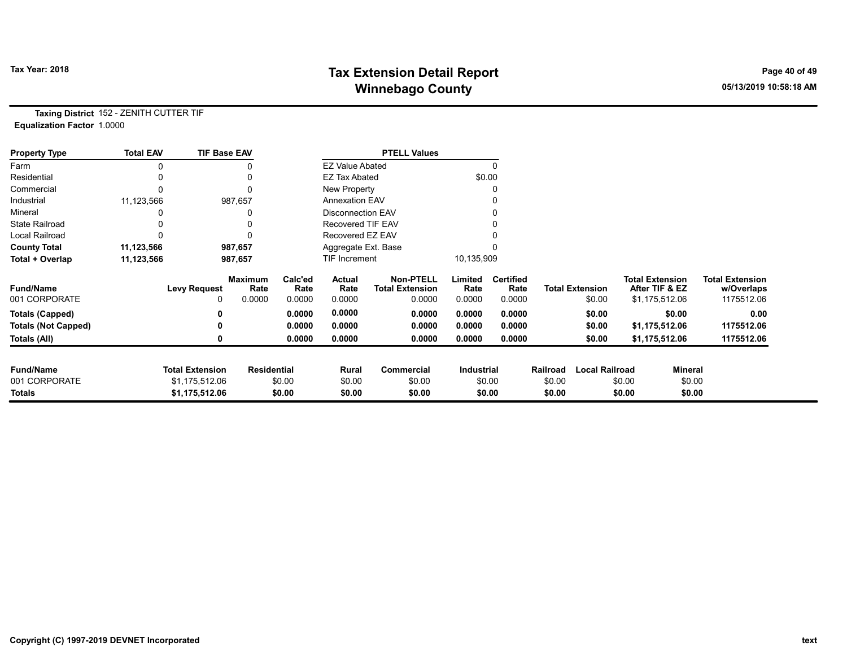# Tax Year: 2018 **Tax Extension Detail Report** Tax Year: 2018 **Page 40 of 49** Winnebago County and the County of the County of the County of the County of the County of the County of the County of the County of the County of the County of the County of the County of the County of the County of the C

Taxing District 152 - ZENITH CUTTER TIF Equalization Factor 1.0000

| <b>Property Type</b>       | <b>Total EAV</b> | <b>TIF Base EAV</b>    |                        |                 |                          | <b>PTELL Values</b>                        |                   |                          |          |                        |                                          |                                      |
|----------------------------|------------------|------------------------|------------------------|-----------------|--------------------------|--------------------------------------------|-------------------|--------------------------|----------|------------------------|------------------------------------------|--------------------------------------|
| Farm                       |                  |                        |                        |                 | <b>EZ Value Abated</b>   |                                            |                   |                          |          |                        |                                          |                                      |
| Residential                |                  |                        | 0                      |                 | <b>EZ Tax Abated</b>     |                                            |                   | \$0.00                   |          |                        |                                          |                                      |
| Commercial                 |                  |                        | 0                      |                 | New Property             |                                            |                   |                          |          |                        |                                          |                                      |
| Industrial                 | 11,123,566       |                        | 987,657                |                 | <b>Annexation EAV</b>    |                                            |                   |                          |          |                        |                                          |                                      |
| Mineral                    |                  |                        | 0                      |                 | <b>Disconnection EAV</b> |                                            |                   |                          |          |                        |                                          |                                      |
| <b>State Railroad</b>      |                  |                        |                        |                 | Recovered TIF EAV        |                                            |                   |                          |          |                        |                                          |                                      |
| <b>Local Railroad</b>      |                  |                        |                        |                 | Recovered EZ EAV         |                                            |                   |                          |          |                        |                                          |                                      |
| <b>County Total</b>        | 11,123,566       |                        | 987,657                |                 | Aggregate Ext. Base      |                                            |                   |                          |          |                        |                                          |                                      |
| Total + Overlap            | 11,123,566       |                        | 987,657                |                 | TIF Increment            |                                            | 10,135,909        |                          |          |                        |                                          |                                      |
| <b>Fund/Name</b>           |                  | <b>Levy Request</b>    | <b>Maximum</b><br>Rate | Calc'ed<br>Rate | Actual<br>Rate           | <b>Non-PTELL</b><br><b>Total Extension</b> | Limited<br>Rate   | <b>Certified</b><br>Rate |          | <b>Total Extension</b> | <b>Total Extension</b><br>After TIF & EZ | <b>Total Extension</b><br>w/Overlaps |
| 001 CORPORATE              |                  | 0                      | 0.0000                 | 0.0000          | 0.0000                   | 0.0000                                     | 0.0000            | 0.0000                   |          | \$0.00                 | \$1,175,512.06                           | 1175512.06                           |
| <b>Totals (Capped)</b>     |                  |                        |                        | 0.0000          | 0.0000                   | 0.0000                                     | 0.0000            | 0.0000                   |          | \$0.00                 | \$0.00                                   | 0.00                                 |
| <b>Totals (Not Capped)</b> |                  |                        |                        | 0.0000          | 0.0000                   | 0.0000                                     | 0.0000            | 0.0000                   |          | \$0.00                 | \$1,175,512.06                           | 1175512.06                           |
| Totals (All)               |                  |                        |                        | 0.0000          | 0.0000                   | 0.0000                                     | 0.0000            | 0.0000                   |          | \$0.00                 | \$1,175,512.06                           | 1175512.06                           |
|                            |                  |                        |                        |                 |                          |                                            |                   |                          |          |                        |                                          |                                      |
| <b>Fund/Name</b>           |                  | <b>Total Extension</b> | <b>Residential</b>     |                 | Rural                    | <b>Commercial</b>                          | <b>Industrial</b> |                          | Railroad | <b>Local Railroad</b>  | Mineral                                  |                                      |
| 001 CORPORATE              |                  | \$1,175,512.06         |                        | \$0.00          | \$0.00                   | \$0.00                                     |                   | \$0.00                   | \$0.00   |                        | \$0.00                                   | \$0.00                               |
| <b>Totals</b>              |                  | \$1,175,512.06         |                        | \$0.00          | \$0.00                   | \$0.00                                     |                   | \$0.00                   | \$0.00   |                        | \$0.00                                   | \$0.00                               |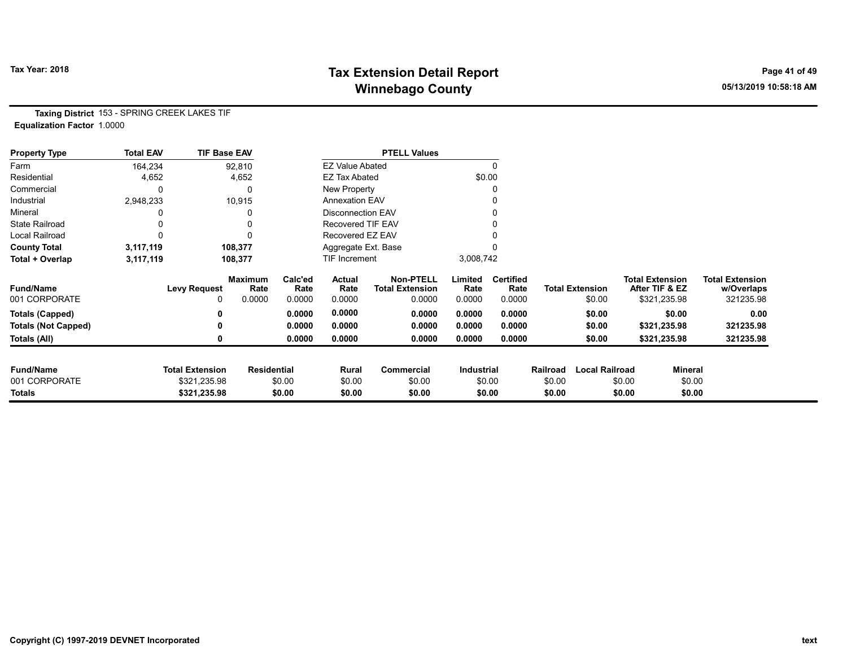# Tax Year: 2018 **Tax Extension Detail Report** Tax Year: 2018 **Page 41 of 49** Winnebago County and the County of the County of the County of the County of the County of the County of the County of the County of the County of the County of the County of the County of the County of the County of the C

Taxing District 153 - SPRING CREEK LAKES TIF Equalization Factor 1.0000

| <b>Property Type</b>       | <b>Total EAV</b> | <b>TIF Base EAV</b>    |                        |                 |                          | <b>PTELL Values</b>                        |                 |                          |          |                        |                                          |                |                                      |
|----------------------------|------------------|------------------------|------------------------|-----------------|--------------------------|--------------------------------------------|-----------------|--------------------------|----------|------------------------|------------------------------------------|----------------|--------------------------------------|
| Farm                       | 164,234          |                        | 92,810                 |                 | <b>EZ Value Abated</b>   |                                            |                 |                          |          |                        |                                          |                |                                      |
| Residential                | 4,652            |                        | 4,652                  |                 | <b>EZ Tax Abated</b>     |                                            | \$0.00          |                          |          |                        |                                          |                |                                      |
| Commercial                 | 0                |                        | 0                      |                 | New Property             |                                            |                 |                          |          |                        |                                          |                |                                      |
| Industrial                 | 2,948,233        |                        | 10,915                 |                 | <b>Annexation EAV</b>    |                                            |                 |                          |          |                        |                                          |                |                                      |
| Mineral                    |                  |                        |                        |                 | <b>Disconnection EAV</b> |                                            |                 |                          |          |                        |                                          |                |                                      |
| <b>State Railroad</b>      |                  |                        |                        |                 | Recovered TIF EAV        |                                            |                 |                          |          |                        |                                          |                |                                      |
| <b>Local Railroad</b>      |                  |                        | $\Omega$               |                 | Recovered EZ EAV         |                                            |                 |                          |          |                        |                                          |                |                                      |
| <b>County Total</b>        | 3,117,119        |                        | 108,377                |                 | Aggregate Ext. Base      |                                            |                 |                          |          |                        |                                          |                |                                      |
| Total + Overlap            | 3,117,119        |                        | 108,377                |                 | TIF Increment            |                                            | 3,008,742       |                          |          |                        |                                          |                |                                      |
| <b>Fund/Name</b>           |                  | <b>Levy Request</b>    | <b>Maximum</b><br>Rate | Calc'ed<br>Rate | Actual<br>Rate           | <b>Non-PTELL</b><br><b>Total Extension</b> | Limited<br>Rate | <b>Certified</b><br>Rate |          | <b>Total Extension</b> | <b>Total Extension</b><br>After TIF & EZ |                | <b>Total Extension</b><br>w/Overlaps |
| 001 CORPORATE              |                  | 0                      | 0.0000                 | 0.0000          | 0.0000                   | 0.0000                                     | 0.0000          | 0.0000                   |          | \$0.00                 | \$321,235.98                             |                | 321235.98                            |
| <b>Totals (Capped)</b>     |                  | 0                      |                        | 0.0000          | 0.0000                   | 0.0000                                     | 0.0000          | 0.0000                   |          | \$0.00                 |                                          | \$0.00         | 0.00                                 |
| <b>Totals (Not Capped)</b> |                  | 0                      |                        | 0.0000          | 0.0000                   | 0.0000                                     | 0.0000          | 0.0000                   |          | \$0.00                 | \$321,235.98                             |                | 321235.98                            |
| Totals (All)               |                  | 0                      |                        | 0.0000          | 0.0000                   | 0.0000                                     | 0.0000          | 0.0000                   |          | \$0.00                 | \$321,235.98                             |                | 321235.98                            |
| <b>Fund/Name</b>           |                  | <b>Total Extension</b> | <b>Residential</b>     |                 | Rural                    | Commercial                                 | Industrial      |                          | Railroad | <b>Local Railroad</b>  |                                          | <b>Mineral</b> |                                      |
| 001 CORPORATE              |                  | \$321,235.98           |                        | \$0.00          | \$0.00                   | \$0.00                                     |                 | \$0.00                   | \$0.00   |                        | \$0.00                                   | \$0.00         |                                      |
| Totals                     |                  | \$321,235.98           |                        | \$0.00          | \$0.00                   | \$0.00                                     |                 | \$0.00                   | \$0.00   |                        | \$0.00                                   | \$0.00         |                                      |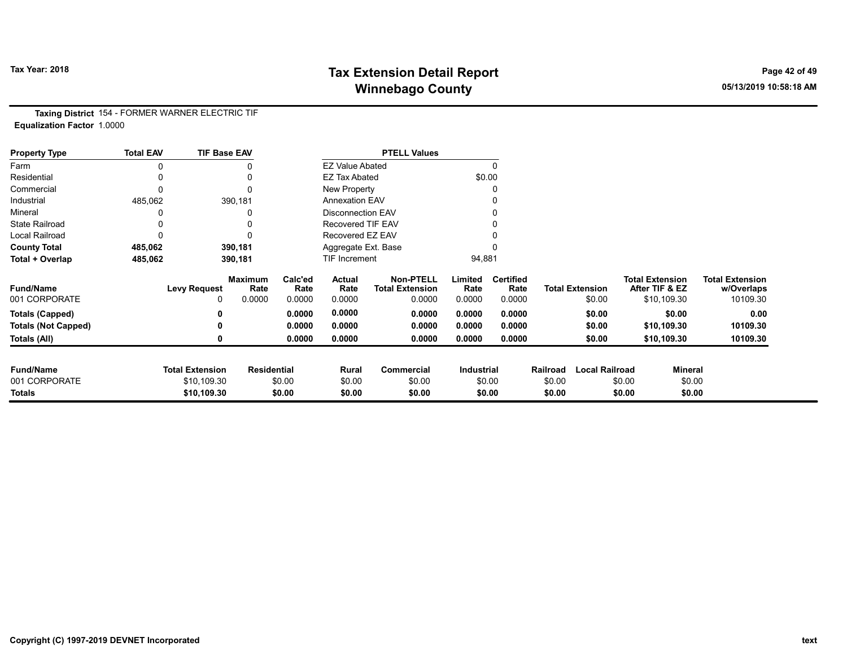# Tax Year: 2018 **Tax Extension Detail Report** Tax Year: 2018 **Page 42 of 49** Winnebago County and the County of the County of the County of the County of the County of the County of the County of the County of the County of the County of the County of the County of the County of the County of the C

Taxing District 154 - FORMER WARNER ELECTRIC TIF Equalization Factor 1.0000

| <b>Property Type</b>       | <b>Total EAV</b> | <b>TIF Base EAV</b>    |                        |                 |                          | <b>PTELL Values</b>                        |                   |                          |          |                        |                                          |                |                                      |
|----------------------------|------------------|------------------------|------------------------|-----------------|--------------------------|--------------------------------------------|-------------------|--------------------------|----------|------------------------|------------------------------------------|----------------|--------------------------------------|
| Farm                       |                  |                        |                        |                 | <b>EZ Value Abated</b>   |                                            |                   | 0                        |          |                        |                                          |                |                                      |
| Residential                |                  |                        |                        |                 | <b>EZ Tax Abated</b>     |                                            |                   | \$0.00                   |          |                        |                                          |                |                                      |
| Commercial                 |                  |                        |                        |                 | New Property             |                                            |                   |                          |          |                        |                                          |                |                                      |
| Industrial                 | 485,062          |                        | 390,181                |                 | <b>Annexation EAV</b>    |                                            |                   |                          |          |                        |                                          |                |                                      |
| Mineral                    |                  |                        |                        |                 | <b>Disconnection EAV</b> |                                            |                   |                          |          |                        |                                          |                |                                      |
| <b>State Railroad</b>      |                  |                        |                        |                 | Recovered TIF EAV        |                                            |                   |                          |          |                        |                                          |                |                                      |
| Local Railroad             |                  |                        |                        |                 | Recovered EZ EAV         |                                            |                   |                          |          |                        |                                          |                |                                      |
| <b>County Total</b>        | 485,062          |                        | 390,181                |                 | Aggregate Ext. Base      |                                            |                   |                          |          |                        |                                          |                |                                      |
| Total + Overlap            | 485,062          |                        | 390,181                |                 | TIF Increment            |                                            | 94,881            |                          |          |                        |                                          |                |                                      |
| <b>Fund/Name</b>           |                  | <b>Levy Request</b>    | <b>Maximum</b><br>Rate | Calc'ed<br>Rate | Actual<br>Rate           | <b>Non-PTELL</b><br><b>Total Extension</b> | Limited<br>Rate   | <b>Certified</b><br>Rate |          | <b>Total Extension</b> | <b>Total Extension</b><br>After TIF & EZ |                | <b>Total Extension</b><br>w/Overlaps |
| 001 CORPORATE              |                  | 0                      | 0.0000                 | 0.0000          | 0.0000                   | 0.0000                                     | 0.0000            | 0.0000                   |          | \$0.00                 |                                          | \$10,109.30    | 10109.30                             |
| <b>Totals (Capped)</b>     |                  |                        |                        | 0.0000          | 0.0000                   | 0.0000                                     | 0.0000            | 0.0000                   |          | \$0.00                 |                                          | \$0.00         | 0.00                                 |
| <b>Totals (Not Capped)</b> |                  |                        |                        | 0.0000          | 0.0000                   | 0.0000                                     | 0.0000            | 0.0000                   |          | \$0.00                 |                                          | \$10,109.30    | 10109.30                             |
| Totals (All)               |                  |                        |                        | 0.0000          | 0.0000                   | 0.0000                                     | 0.0000            | 0.0000                   |          | \$0.00                 |                                          | \$10,109.30    | 10109.30                             |
|                            |                  |                        |                        |                 |                          |                                            |                   |                          |          |                        |                                          |                |                                      |
| <b>Fund/Name</b>           |                  | <b>Total Extension</b> | <b>Residential</b>     |                 | Rural                    | Commercial                                 | <b>Industrial</b> |                          | Railroad | <b>Local Railroad</b>  |                                          | <b>Mineral</b> |                                      |
| 001 CORPORATE              |                  | \$10,109.30            |                        | \$0.00          | \$0.00                   | \$0.00                                     |                   | \$0.00                   | \$0.00   |                        | \$0.00                                   | \$0.00         |                                      |
| Totals                     |                  | \$10,109.30            |                        | \$0.00          | \$0.00                   | \$0.00                                     |                   | \$0.00                   | \$0.00   |                        | \$0.00                                   | \$0.00         |                                      |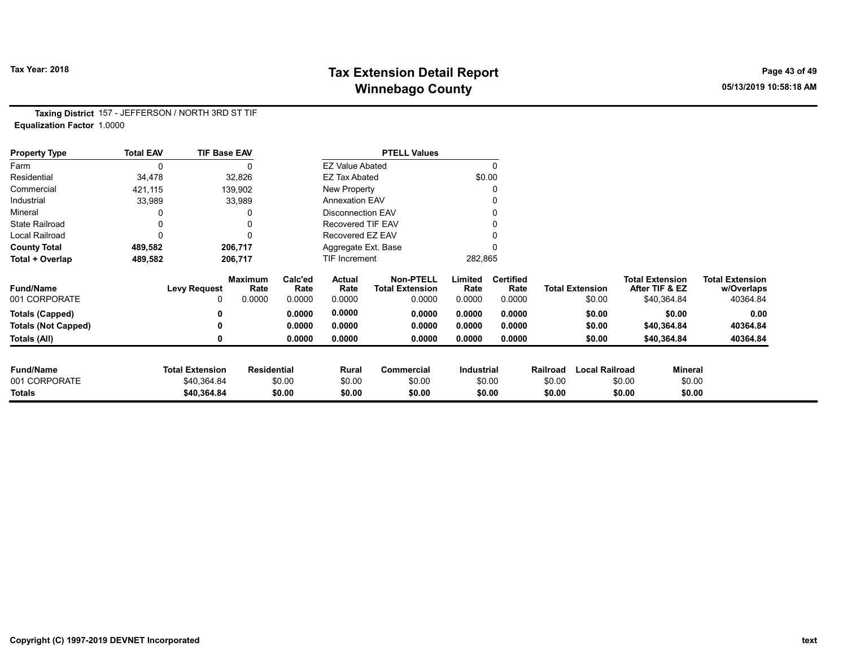# Tax Year: 2018 **Tax Extension Detail Report** Tax Year: 2018 **Page 43 of 49** Winnebago County and the County of the County of the County of the County of the County of the County of the County of the County of the County of the County of the County of the County of the County of the County of the C

Taxing District 157 - JEFFERSON / NORTH 3RD ST TIF Equalization Factor 1.0000

| <b>Property Type</b>       | <b>Total EAV</b> | <b>TIF Base EAV</b>    |                        |                 |                          | <b>PTELL Values</b>                        |                 |                          |          |                        |                        |                |                                      |
|----------------------------|------------------|------------------------|------------------------|-----------------|--------------------------|--------------------------------------------|-----------------|--------------------------|----------|------------------------|------------------------|----------------|--------------------------------------|
| Farm                       | 0                |                        | $\Omega$               |                 | <b>EZ Value Abated</b>   |                                            |                 | $\mathbf{0}$             |          |                        |                        |                |                                      |
| Residential                | 34,478           |                        | 32,826                 |                 | <b>EZ Tax Abated</b>     |                                            |                 | \$0.00                   |          |                        |                        |                |                                      |
| Commercial                 | 421,115          |                        | 139,902                |                 | New Property             |                                            |                 |                          |          |                        |                        |                |                                      |
| Industrial                 | 33,989           |                        | 33,989                 |                 | <b>Annexation EAV</b>    |                                            |                 | 0                        |          |                        |                        |                |                                      |
| Mineral                    |                  |                        |                        |                 | <b>Disconnection EAV</b> |                                            |                 | 0                        |          |                        |                        |                |                                      |
| <b>State Railroad</b>      | 0                |                        |                        |                 | Recovered TIF EAV        |                                            |                 |                          |          |                        |                        |                |                                      |
| Local Railroad             | 0                |                        | $\Omega$               |                 | Recovered EZ EAV         |                                            |                 |                          |          |                        |                        |                |                                      |
| <b>County Total</b>        | 489,582          |                        | 206,717                |                 | Aggregate Ext. Base      |                                            |                 |                          |          |                        |                        |                |                                      |
| Total + Overlap            | 489,582          |                        | 206,717                |                 | <b>TIF Increment</b>     |                                            | 282,865         |                          |          |                        |                        |                |                                      |
| <b>Fund/Name</b>           |                  | <b>Levy Request</b>    | <b>Maximum</b><br>Rate | Calc'ed<br>Rate | Actual<br>Rate           | <b>Non-PTELL</b><br><b>Total Extension</b> | Limited<br>Rate | <b>Certified</b><br>Rate |          | <b>Total Extension</b> | <b>Total Extension</b> | After TIF & EZ | <b>Total Extension</b><br>w/Overlaps |
| 001 CORPORATE              |                  | 0                      | 0.0000                 | 0.0000          | 0.0000                   | 0.0000                                     | 0.0000          | 0.0000                   |          | \$0.00                 |                        | \$40,364.84    | 40364.84                             |
| <b>Totals (Capped)</b>     |                  | 0                      |                        | 0.0000          | 0.0000                   | 0.0000                                     | 0.0000          | 0.0000                   |          | \$0.00                 |                        | \$0.00         | 0.00                                 |
| <b>Totals (Not Capped)</b> |                  | 0                      |                        | 0.0000          | 0.0000                   | 0.0000                                     | 0.0000          | 0.0000                   |          | \$0.00                 |                        | \$40,364.84    | 40364.84                             |
| Totals (All)               |                  | 0                      |                        | 0.0000          | 0.0000                   | 0.0000                                     | 0.0000          | 0.0000                   |          | \$0.00                 |                        | \$40,364.84    | 40364.84                             |
| <b>Fund/Name</b>           |                  | <b>Total Extension</b> | <b>Residential</b>     |                 | Rural                    | <b>Commercial</b>                          | Industrial      |                          | Railroad | <b>Local Railroad</b>  |                        | <b>Mineral</b> |                                      |
| 001 CORPORATE              |                  | \$40,364.84            |                        | \$0.00          | \$0.00                   | \$0.00                                     |                 | \$0.00                   | \$0.00   |                        | \$0.00                 | \$0.00         |                                      |
| <b>Totals</b>              |                  | \$40,364.84            |                        | \$0.00          | \$0.00                   | \$0.00                                     |                 | \$0.00                   | \$0.00   |                        | \$0.00                 | \$0.00         |                                      |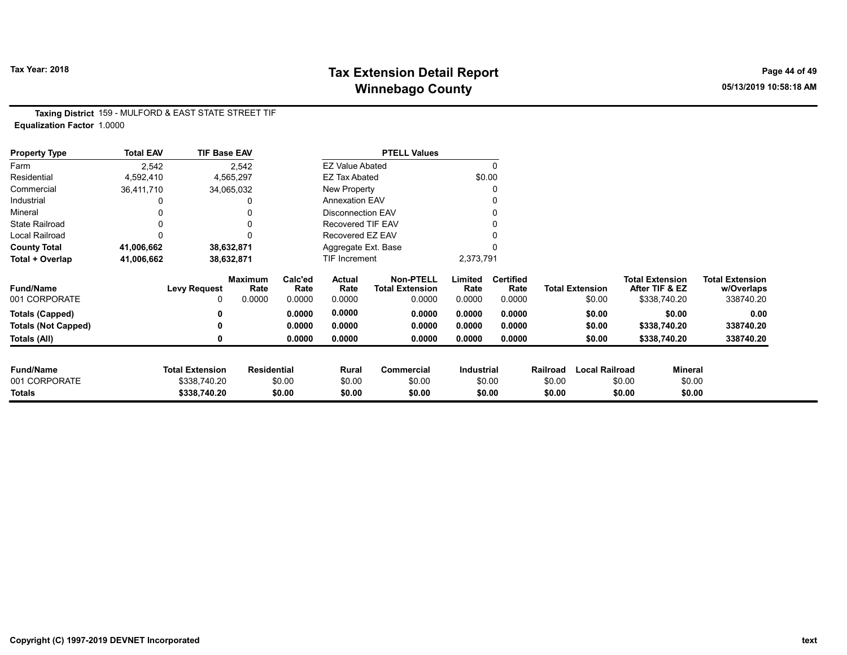# Tax Year: 2018 **Tax Extension Detail Report** Tax Year: 2018 **Page 44 of 49** Winnebago County and the County of the County of the County of the County of the County of the County of the County of the County of the County of the County of the County of the County of the County of the County of the C

Taxing District 159 - MULFORD & EAST STATE STREET TIF Equalization Factor 1.0000

| <b>Property Type</b>       | <b>Total EAV</b> | <b>TIF Base EAV</b>    |                        |                 |                          | <b>PTELL Values</b>                        |                 |                          |          |                        |                                          |                |                                      |
|----------------------------|------------------|------------------------|------------------------|-----------------|--------------------------|--------------------------------------------|-----------------|--------------------------|----------|------------------------|------------------------------------------|----------------|--------------------------------------|
| Farm                       | 2,542            |                        | 2,542                  |                 | <b>EZ Value Abated</b>   |                                            |                 |                          |          |                        |                                          |                |                                      |
| Residential                | 4,592,410        |                        | 4,565,297              |                 | <b>EZ Tax Abated</b>     |                                            |                 | \$0.00                   |          |                        |                                          |                |                                      |
| Commercial                 | 36,411,710       |                        | 34,065,032             |                 | New Property             |                                            |                 | 0                        |          |                        |                                          |                |                                      |
| Industrial                 |                  |                        | 0                      |                 | <b>Annexation EAV</b>    |                                            |                 |                          |          |                        |                                          |                |                                      |
| Mineral                    |                  |                        | 0                      |                 | <b>Disconnection EAV</b> |                                            |                 |                          |          |                        |                                          |                |                                      |
| <b>State Railroad</b>      | $\Omega$         |                        | 0                      |                 | <b>Recovered TIF EAV</b> |                                            |                 |                          |          |                        |                                          |                |                                      |
| Local Railroad             |                  |                        |                        |                 | Recovered EZ EAV         |                                            |                 |                          |          |                        |                                          |                |                                      |
| <b>County Total</b>        | 41,006,662       |                        | 38,632,871             |                 | Aggregate Ext. Base      |                                            |                 |                          |          |                        |                                          |                |                                      |
| Total + Overlap            | 41,006,662       |                        | 38,632,871             |                 | <b>TIF Increment</b>     |                                            | 2,373,791       |                          |          |                        |                                          |                |                                      |
| <b>Fund/Name</b>           |                  | <b>Levy Request</b>    | <b>Maximum</b><br>Rate | Calc'ed<br>Rate | Actual<br>Rate           | <b>Non-PTELL</b><br><b>Total Extension</b> | Limited<br>Rate | <b>Certified</b><br>Rate |          | <b>Total Extension</b> | <b>Total Extension</b><br>After TIF & EZ |                | <b>Total Extension</b><br>w/Overlaps |
| 001 CORPORATE              |                  |                        | 0.0000                 | 0.0000          | 0.0000                   | 0.0000                                     | 0.0000          | 0.0000                   |          | \$0.00                 | \$338,740.20                             |                | 338740.20                            |
| <b>Totals (Capped)</b>     |                  |                        |                        | 0.0000          | 0.0000                   | 0.0000                                     | 0.0000          | 0.0000                   |          | \$0.00                 |                                          | \$0.00         | 0.00                                 |
| <b>Totals (Not Capped)</b> |                  |                        |                        | 0.0000          | 0.0000                   | 0.0000                                     | 0.0000          | 0.0000                   |          | \$0.00                 | \$338,740.20                             |                | 338740.20                            |
| Totals (All)               |                  |                        |                        | 0.0000          | 0.0000                   | 0.0000                                     | 0.0000          | 0.0000                   |          | \$0.00                 | \$338,740.20                             |                | 338740.20                            |
|                            |                  |                        |                        |                 |                          |                                            |                 |                          |          |                        |                                          |                |                                      |
| <b>Fund/Name</b>           |                  | <b>Total Extension</b> | <b>Residential</b>     |                 | Rural                    | Commercial                                 | Industrial      |                          | Railroad | <b>Local Railroad</b>  |                                          | <b>Mineral</b> |                                      |
| 001 CORPORATE              |                  | \$338,740.20           |                        | \$0.00          | \$0.00                   | \$0.00                                     |                 | \$0.00                   | \$0.00   |                        | \$0.00                                   | \$0.00         |                                      |
| Totals                     |                  | \$338,740.20           |                        | \$0.00          | \$0.00                   | \$0.00                                     |                 | \$0.00                   | \$0.00   |                        | \$0.00                                   | \$0.00         |                                      |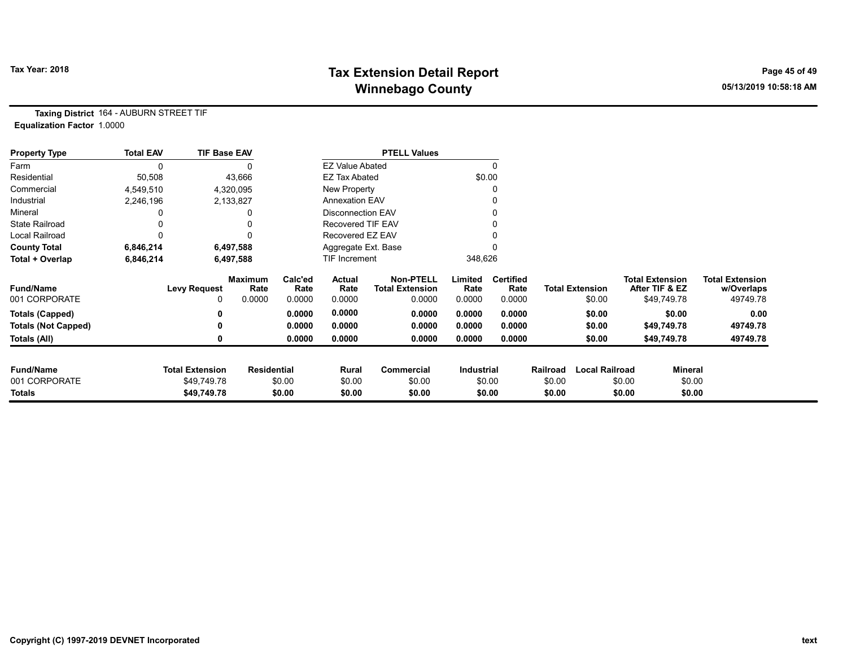# Tax Year: 2018 **Tax Extension Detail Report** Tax Year: 2018 **Page 45 of 49** Winnebago County and the County of the County of the County of the County of the County of the County of the County of the County of the County of the County of the County of the County of the County of the County of the C

Taxing District 164 - AUBURN STREET TIF Equalization Factor 1.0000

| <b>Property Type</b>       | <b>Total EAV</b> | <b>TIF Base EAV</b>    |                        |                 |                        | <b>PTELL Values</b>                        |                   |                          |          |                        |                                          |                |                                      |
|----------------------------|------------------|------------------------|------------------------|-----------------|------------------------|--------------------------------------------|-------------------|--------------------------|----------|------------------------|------------------------------------------|----------------|--------------------------------------|
| Farm                       |                  |                        |                        |                 | <b>EZ Value Abated</b> |                                            |                   |                          |          |                        |                                          |                |                                      |
| Residential                | 50,508           |                        | 43,666                 |                 | <b>EZ Tax Abated</b>   |                                            |                   | \$0.00                   |          |                        |                                          |                |                                      |
| Commercial                 | 4,549,510        |                        | 4,320,095              |                 | New Property           |                                            |                   |                          |          |                        |                                          |                |                                      |
| Industrial                 | 2,246,196        |                        | 2,133,827              |                 | <b>Annexation EAV</b>  |                                            |                   |                          |          |                        |                                          |                |                                      |
| Mineral                    |                  |                        |                        |                 | Disconnection EAV      |                                            |                   |                          |          |                        |                                          |                |                                      |
| <b>State Railroad</b>      |                  |                        |                        |                 | Recovered TIF EAV      |                                            |                   |                          |          |                        |                                          |                |                                      |
| Local Railroad             |                  |                        |                        |                 | Recovered EZ EAV       |                                            |                   |                          |          |                        |                                          |                |                                      |
| <b>County Total</b>        | 6,846,214        |                        | 6,497,588              |                 | Aggregate Ext. Base    |                                            |                   |                          |          |                        |                                          |                |                                      |
| Total + Overlap            | 6,846,214        |                        | 6,497,588              |                 | <b>TIF Increment</b>   |                                            | 348,626           |                          |          |                        |                                          |                |                                      |
| <b>Fund/Name</b>           |                  | <b>Levy Request</b>    | <b>Maximum</b><br>Rate | Calc'ed<br>Rate | Actual<br>Rate         | <b>Non-PTELL</b><br><b>Total Extension</b> | Limited<br>Rate   | <b>Certified</b><br>Rate |          | <b>Total Extension</b> | <b>Total Extension</b><br>After TIF & EZ |                | <b>Total Extension</b><br>w/Overlaps |
| 001 CORPORATE              |                  | 0                      | 0.0000                 | 0.0000          | 0.0000                 | 0.0000                                     | 0.0000            | 0.0000                   |          | \$0.00                 | \$49,749.78                              |                | 49749.78                             |
| Totals (Capped)            |                  |                        |                        | 0.0000          | 0.0000                 | 0.0000                                     | 0.0000            | 0.0000                   |          | \$0.00                 |                                          | \$0.00         | 0.00                                 |
| <b>Totals (Not Capped)</b> |                  |                        |                        | 0.0000          | 0.0000                 | 0.0000                                     | 0.0000            | 0.0000                   |          | \$0.00                 | \$49,749.78                              |                | 49749.78                             |
| Totals (All)               |                  | 0                      |                        | 0.0000          | 0.0000                 | 0.0000                                     | 0.0000            | 0.0000                   |          | \$0.00                 | \$49,749.78                              |                | 49749.78                             |
| <b>Fund/Name</b>           |                  | <b>Total Extension</b> | <b>Residential</b>     |                 | Rural                  | Commercial                                 | <b>Industrial</b> |                          | Railroad | <b>Local Railroad</b>  |                                          | <b>Mineral</b> |                                      |
| 001 CORPORATE              |                  | \$49,749.78            |                        | \$0.00          | \$0.00                 | \$0.00                                     |                   | \$0.00                   | \$0.00   |                        | \$0.00                                   | \$0.00         |                                      |
| <b>Totals</b>              |                  | \$49,749.78            |                        | \$0.00          | \$0.00                 | \$0.00                                     |                   | \$0.00                   | \$0.00   |                        | \$0.00                                   | \$0.00         |                                      |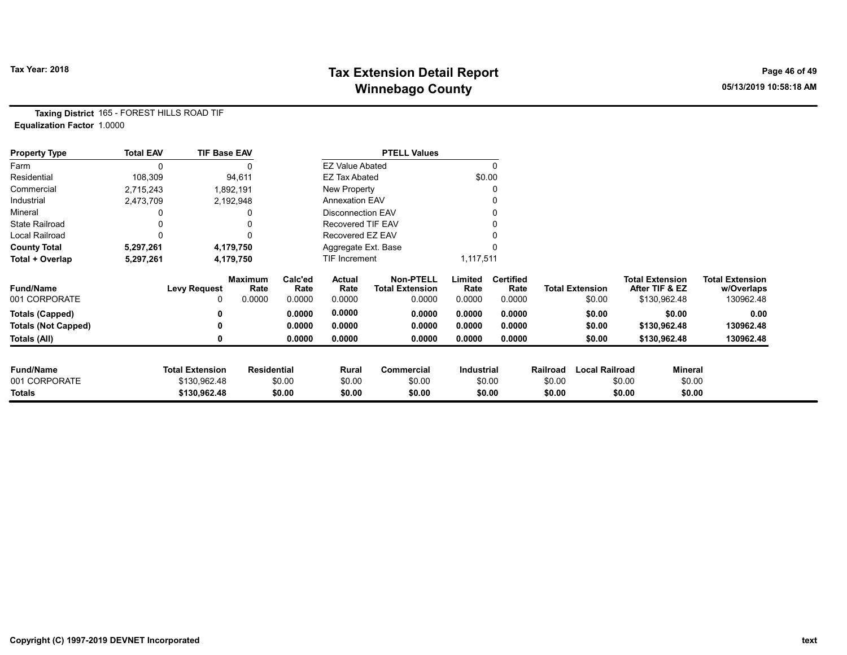# Tax Year: 2018 **Tax Extension Detail Report** Tax Year: 2018 **Page 46 of 49** Winnebago County and the County of the County of the County of the County of the County of the County of the County of the County of the County of the County of the County of the County of the County of the County of the C

Taxing District 165 - FOREST HILLS ROAD TIF Equalization Factor 1.0000

| <b>Property Type</b>       | <b>Total EAV</b> | <b>TIF Base EAV</b>    |                        |                 |                          | <b>PTELL Values</b>                        |                   |                          |                  |                        |                                          |                  |                                      |
|----------------------------|------------------|------------------------|------------------------|-----------------|--------------------------|--------------------------------------------|-------------------|--------------------------|------------------|------------------------|------------------------------------------|------------------|--------------------------------------|
| Farm                       |                  |                        |                        |                 | <b>EZ Value Abated</b>   |                                            |                   | 0                        |                  |                        |                                          |                  |                                      |
| Residential                | 108,309          |                        | 94,611                 |                 | <b>EZ Tax Abated</b>     |                                            |                   | \$0.00                   |                  |                        |                                          |                  |                                      |
| Commercial                 | 2,715,243        |                        | 1,892,191              |                 | New Property             |                                            |                   |                          |                  |                        |                                          |                  |                                      |
| Industrial                 | 2,473,709        |                        | 2,192,948              |                 | <b>Annexation EAV</b>    |                                            |                   |                          |                  |                        |                                          |                  |                                      |
| Mineral                    |                  |                        |                        |                 | <b>Disconnection EAV</b> |                                            |                   |                          |                  |                        |                                          |                  |                                      |
| <b>State Railroad</b>      |                  |                        |                        |                 | Recovered TIF EAV        |                                            |                   |                          |                  |                        |                                          |                  |                                      |
| Local Railroad             |                  |                        |                        |                 | Recovered EZ EAV         |                                            |                   |                          |                  |                        |                                          |                  |                                      |
| <b>County Total</b>        | 5,297,261        |                        | 4,179,750              |                 | Aggregate Ext. Base      |                                            |                   |                          |                  |                        |                                          |                  |                                      |
| Total + Overlap            | 5,297,261        |                        | 4,179,750              |                 | <b>TIF Increment</b>     |                                            | 1,117,511         |                          |                  |                        |                                          |                  |                                      |
| <b>Fund/Name</b>           |                  | Levy Request           | <b>Maximum</b><br>Rate | Calc'ed<br>Rate | Actual<br>Rate           | <b>Non-PTELL</b><br><b>Total Extension</b> | Limited<br>Rate   | <b>Certified</b><br>Rate |                  | <b>Total Extension</b> | <b>Total Extension</b><br>After TIF & EZ |                  | <b>Total Extension</b><br>w/Overlaps |
| 001 CORPORATE              |                  | 0                      | 0.0000                 | 0.0000          | 0.0000                   | 0.0000                                     | 0.0000            | 0.0000                   |                  | \$0.00                 |                                          | \$130,962.48     | 130962.48                            |
| <b>Totals (Capped)</b>     |                  | 0                      |                        | 0.0000          | 0.0000                   | 0.0000                                     | 0.0000            | 0.0000                   |                  | \$0.00                 |                                          | \$0.00           | 0.00                                 |
| <b>Totals (Not Capped)</b> |                  | ŋ                      |                        | 0.0000          | 0.0000                   | 0.0000                                     | 0.0000            | 0.0000                   |                  | \$0.00                 |                                          | \$130,962.48     | 130962.48                            |
| Totals (All)               |                  | 0                      |                        | 0.0000          | 0.0000                   | 0.0000                                     | 0.0000            | 0.0000                   |                  | \$0.00                 |                                          | \$130,962.48     | 130962.48                            |
| <b>Fund/Name</b>           |                  | <b>Total Extension</b> | <b>Residential</b>     |                 |                          |                                            | <b>Industrial</b> |                          | Railroad         | <b>Local Railroad</b>  |                                          | Mineral          |                                      |
| 001 CORPORATE              |                  | \$130,962.48           |                        | \$0.00          | Rural                    | Commercial<br>\$0.00                       |                   |                          |                  |                        | \$0.00                                   |                  |                                      |
| Totals                     |                  | \$130,962.48           |                        | \$0.00          | \$0.00<br>\$0.00         | \$0.00                                     |                   | \$0.00<br>\$0.00         | \$0.00<br>\$0.00 |                        | \$0.00                                   | \$0.00<br>\$0.00 |                                      |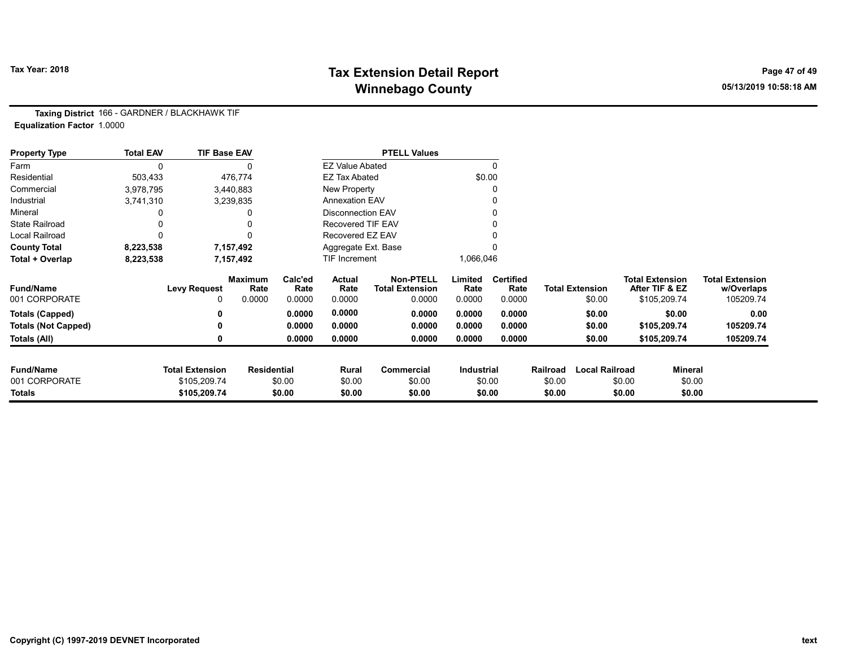# Tax Year: 2018 **Tax Extension Detail Report** Tax Year: 2018 **Page 47 of 49** Winnebago County and the County of the County of the County of the County of the County of the County of the County of the County of the County of the County of the County of the County of the County of the County of the C

Taxing District 166 - GARDNER / BLACKHAWK TIF Equalization Factor 1.0000

| <b>Property Type</b>       | <b>Total EAV</b> | <b>TIF Base EAV</b>    |                        |                 |                          | <b>PTELL Values</b>                        |                 |                          |          |                        |                                          |                |                                      |
|----------------------------|------------------|------------------------|------------------------|-----------------|--------------------------|--------------------------------------------|-----------------|--------------------------|----------|------------------------|------------------------------------------|----------------|--------------------------------------|
| Farm                       | 0                |                        |                        |                 | <b>EZ Value Abated</b>   |                                            |                 | 0                        |          |                        |                                          |                |                                      |
| Residential                | 503,433          |                        | 476,774                |                 | <b>EZ Tax Abated</b>     |                                            | \$0.00          |                          |          |                        |                                          |                |                                      |
| Commercial                 | 3,978,795        |                        | 3,440,883              |                 | New Property             |                                            |                 | 0                        |          |                        |                                          |                |                                      |
| Industrial                 | 3,741,310        |                        | 3,239,835              |                 | <b>Annexation EAV</b>    |                                            |                 |                          |          |                        |                                          |                |                                      |
| Mineral                    |                  |                        |                        |                 | <b>Disconnection EAV</b> |                                            |                 | 0                        |          |                        |                                          |                |                                      |
| <b>State Railroad</b>      |                  |                        |                        |                 | <b>Recovered TIF EAV</b> |                                            |                 |                          |          |                        |                                          |                |                                      |
| <b>Local Railroad</b>      |                  |                        |                        |                 | Recovered EZ EAV         |                                            |                 |                          |          |                        |                                          |                |                                      |
| <b>County Total</b>        | 8,223,538        |                        | 7,157,492              |                 | Aggregate Ext. Base      |                                            |                 |                          |          |                        |                                          |                |                                      |
| Total + Overlap            | 8,223,538        |                        | 7,157,492              |                 | TIF Increment            |                                            | 1,066,046       |                          |          |                        |                                          |                |                                      |
| <b>Fund/Name</b>           |                  | <b>Levy Request</b>    | <b>Maximum</b><br>Rate | Calc'ed<br>Rate | Actual<br>Rate           | <b>Non-PTELL</b><br><b>Total Extension</b> | Limited<br>Rate | <b>Certified</b><br>Rate |          | <b>Total Extension</b> | <b>Total Extension</b><br>After TIF & EZ |                | <b>Total Extension</b><br>w/Overlaps |
| 001 CORPORATE              |                  |                        | 0.0000                 | 0.0000          | 0.0000                   | 0.0000                                     | 0.0000          | 0.0000                   |          | \$0.00                 | \$105,209.74                             |                | 105209.74                            |
| <b>Totals (Capped)</b>     |                  |                        |                        | 0.0000          | 0.0000                   | 0.0000                                     | 0.0000          | 0.0000                   |          | \$0.00                 |                                          | \$0.00         | 0.00                                 |
| <b>Totals (Not Capped)</b> |                  |                        |                        | 0.0000          | 0.0000                   | 0.0000                                     | 0.0000          | 0.0000                   |          | \$0.00                 | \$105,209.74                             |                | 105209.74                            |
| Totals (All)               |                  |                        |                        | 0.0000          | 0.0000                   | 0.0000                                     | 0.0000          | 0.0000                   |          | \$0.00                 | \$105,209.74                             |                | 105209.74                            |
| <b>Fund/Name</b>           |                  | <b>Total Extension</b> | <b>Residential</b>     |                 | Rural                    | Commercial                                 | Industrial      |                          | Railroad | <b>Local Railroad</b>  |                                          | <b>Mineral</b> |                                      |
| 001 CORPORATE              |                  | \$105,209.74           |                        | \$0.00          | \$0.00                   | \$0.00                                     | \$0.00          |                          | \$0.00   |                        | \$0.00                                   | \$0.00         |                                      |
| Totals                     |                  | \$105,209.74           |                        | \$0.00          | \$0.00                   | \$0.00                                     |                 | \$0.00                   | \$0.00   |                        | \$0.00                                   | \$0.00         |                                      |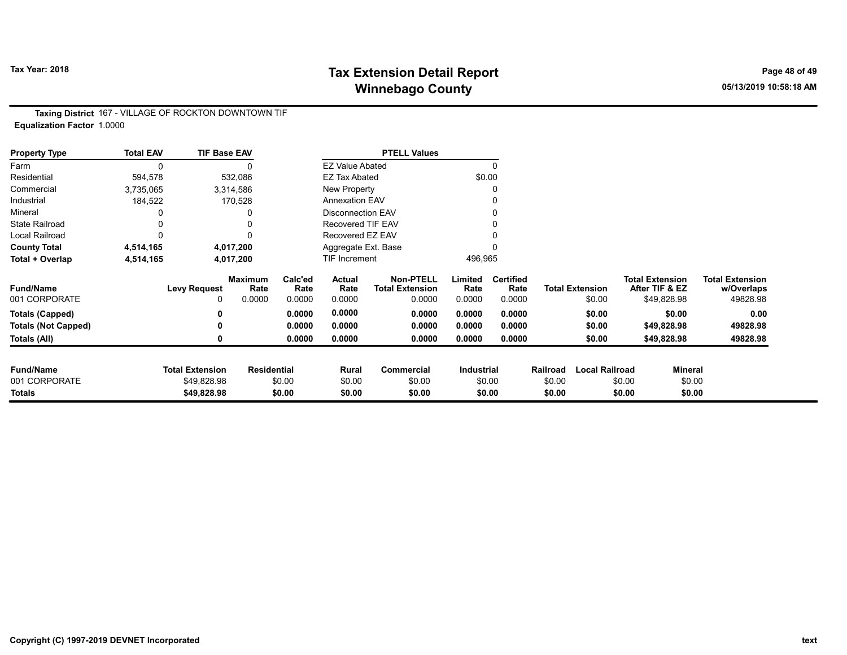# Tax Year: 2018 **Tax Extension Detail Report** Tax Year: 2018 **Page 48 of 49** Winnebago County and the County of the County of the County of the County of the County of the County of the County of the County of the County of the County of the County of the County of the County of the County of the C

Taxing District 167 - VILLAGE OF ROCKTON DOWNTOWN TIF Equalization Factor 1.0000

| <b>Property Type</b>       | <b>Total EAV</b> | <b>TIF Base EAV</b>    |                        |                 |                          | <b>PTELL Values</b>                        |                   |                          |          |                        |        |                                          |                                      |
|----------------------------|------------------|------------------------|------------------------|-----------------|--------------------------|--------------------------------------------|-------------------|--------------------------|----------|------------------------|--------|------------------------------------------|--------------------------------------|
| Farm                       | 0                |                        |                        |                 | <b>EZ Value Abated</b>   |                                            |                   | $\Omega$                 |          |                        |        |                                          |                                      |
| Residential                | 594,578          |                        | 532,086                |                 | <b>EZ Tax Abated</b>     |                                            |                   | \$0.00                   |          |                        |        |                                          |                                      |
| Commercial                 | 3,735,065        |                        | 3,314,586              |                 | New Property             |                                            |                   |                          |          |                        |        |                                          |                                      |
| Industrial                 | 184,522          |                        | 170,528                |                 | <b>Annexation EAV</b>    |                                            |                   |                          |          |                        |        |                                          |                                      |
| Mineral                    |                  |                        |                        |                 | <b>Disconnection EAV</b> |                                            |                   |                          |          |                        |        |                                          |                                      |
| <b>State Railroad</b>      |                  |                        | 0                      |                 | <b>Recovered TIF EAV</b> |                                            |                   |                          |          |                        |        |                                          |                                      |
| Local Railroad             | 0                |                        | 0                      |                 | Recovered EZ EAV         |                                            |                   |                          |          |                        |        |                                          |                                      |
| <b>County Total</b>        | 4,514,165        |                        | 4,017,200              |                 | Aggregate Ext. Base      |                                            |                   |                          |          |                        |        |                                          |                                      |
| Total + Overlap            | 4,514,165        |                        | 4,017,200              |                 | <b>TIF Increment</b>     |                                            | 496,965           |                          |          |                        |        |                                          |                                      |
| <b>Fund/Name</b>           |                  | <b>Levy Request</b>    | <b>Maximum</b><br>Rate | Calc'ed<br>Rate | Actual<br>Rate           | <b>Non-PTELL</b><br><b>Total Extension</b> | Limited<br>Rate   | <b>Certified</b><br>Rate |          | <b>Total Extension</b> |        | <b>Total Extension</b><br>After TIF & EZ | <b>Total Extension</b><br>w/Overlaps |
| 001 CORPORATE              |                  | 0                      | 0.0000                 | 0.0000          | 0.0000                   | 0.0000                                     | 0.0000            | 0.0000                   |          | \$0.00                 |        | \$49,828.98                              | 49828.98                             |
| <b>Totals (Capped)</b>     |                  | 0                      |                        | 0.0000          | 0.0000                   | 0.0000                                     | 0.0000            | 0.0000                   |          | \$0.00                 |        | \$0.00                                   | 0.00                                 |
| <b>Totals (Not Capped)</b> |                  | 0                      |                        | 0.0000          | 0.0000                   | 0.0000                                     | 0.0000            | 0.0000                   |          | \$0.00                 |        | \$49,828.98                              | 49828.98                             |
| Totals (All)               |                  | 0                      |                        | 0.0000          | 0.0000                   | 0.0000                                     | 0.0000            | 0.0000                   |          | \$0.00                 |        | \$49,828.98                              | 49828.98                             |
| <b>Fund/Name</b>           |                  | <b>Total Extension</b> | <b>Residential</b>     |                 | Rural                    | <b>Commercial</b>                          | <b>Industrial</b> |                          | Railroad | <b>Local Railroad</b>  |        | <b>Mineral</b>                           |                                      |
| 001 CORPORATE              |                  | \$49,828.98            |                        | \$0.00          | \$0.00                   | \$0.00                                     |                   | \$0.00                   | \$0.00   |                        | \$0.00 | \$0.00                                   |                                      |
| Totals                     |                  | \$49,828.98            |                        | \$0.00          | \$0.00                   | \$0.00                                     |                   | \$0.00                   | \$0.00   |                        | \$0.00 | \$0.00                                   |                                      |